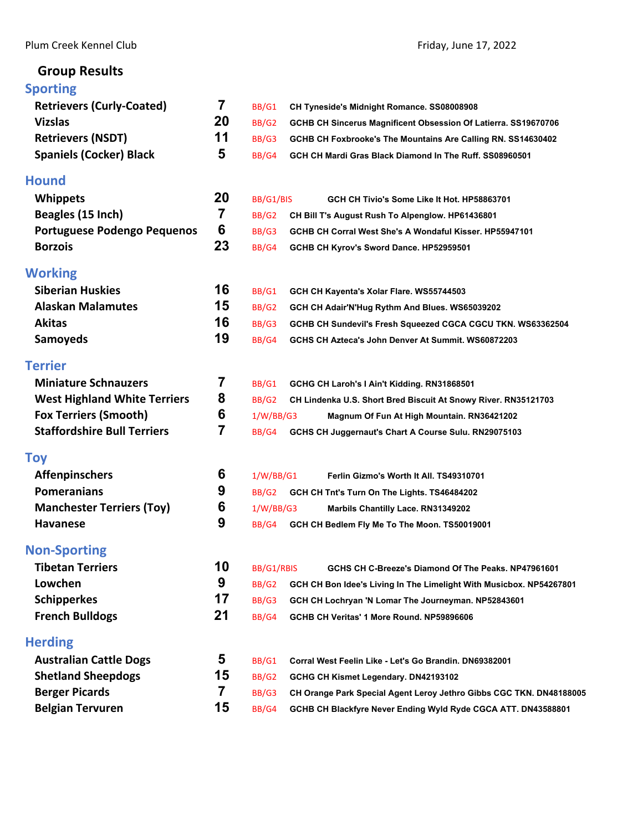# **Group Results**

# **[Sporting](#page-2-0)**

| <b>Sporting</b>                     |    |                                                                                     |
|-------------------------------------|----|-------------------------------------------------------------------------------------|
| <b>Retrievers (Curly-Coated)</b>    | 7  | BB/G1<br>CH Tyneside's Midnight Romance. SS08008908                                 |
| <b>Vizslas</b>                      | 20 | BB/G2<br>GCHB CH Sincerus Magnificent Obsession Of Latierra. SS19670706             |
| <b>Retrievers (NSDT)</b>            | 11 | BB/G3<br>GCHB CH Foxbrooke's The Mountains Are Calling RN. SS14630402               |
| <b>Spaniels (Cocker) Black</b>      | 5  | BB/G4<br>GCH CH Mardi Gras Black Diamond In The Ruff. SS08960501                    |
| Hound                               |    |                                                                                     |
| <b>Whippets</b>                     | 20 | BB/G1/BIS<br>GCH CH Tivio's Some Like It Hot. HP58863701                            |
| Beagles (15 Inch)                   | 7  | BB/G2<br>CH Bill T's August Rush To Alpenglow. HP61436801                           |
| <b>Portuguese Podengo Pequenos</b>  | 6  | BB/G3<br>GCHB CH Corral West She's A Wondaful Kisser. HP55947101                    |
| <b>Borzois</b>                      | 23 | BB/G4<br>GCHB CH Kyrov's Sword Dance. HP52959501                                    |
| Working                             |    |                                                                                     |
| <b>Siberian Huskies</b>             | 16 | BB/G1<br>GCH CH Kayenta's Xolar Flare. WS55744503                                   |
| <b>Alaskan Malamutes</b>            | 15 | BB/G2<br>GCH CH Adair'N'Hug Rythm And Blues. WS65039202                             |
| <b>Akitas</b>                       | 16 | BB/G3<br>GCHB CH Sundevil's Fresh Squeezed CGCA CGCU TKN. WS63362504                |
| <b>Samoyeds</b>                     | 19 | BB/G4<br>GCHS CH Azteca's John Denver At Summit. WS60872203                         |
| Terrier                             |    |                                                                                     |
| <b>Miniature Schnauzers</b>         | 7  | BB/G1<br>GCHG CH Laroh's I Ain't Kidding. RN31868501                                |
| <b>West Highland White Terriers</b> | 8  | BB/G2<br>CH Lindenka U.S. Short Bred Biscuit At Snowy River. RN35121703             |
| <b>Fox Terriers (Smooth)</b>        | 6  | 1/W/BB/G3<br>Magnum Of Fun At High Mountain. RN36421202                             |
| <b>Staffordshire Bull Terriers</b>  | 7  | BB/G4<br>GCHS CH Juggernaut's Chart A Course Sulu. RN29075103                       |
| Toy                                 |    |                                                                                     |
| <b>Affenpinschers</b>               | 6  | 1/W/BB/G1<br>Ferlin Gizmo's Worth It All. TS49310701                                |
| <b>Pomeranians</b>                  | 9  | BB/G2<br>GCH CH Tnt's Turn On The Lights. TS46484202                                |
| <b>Manchester Terriers (Toy)</b>    | 6  | 1/W/BB/G3<br>Marbils Chantilly Lace. RN31349202                                     |
| <b>Havanese</b>                     | 9  | BB/G4<br>GCH CH Bedlem Fly Me To The Moon. TS50019001                               |
| <b>Non-Sporting</b>                 |    |                                                                                     |
| <b>Tibetan Terriers</b>             | 10 | BB/G1/RBIS<br>GCHS CH C-Breeze's Diamond Of The Peaks. NP47961601                   |
| Lowchen                             | 9  | <b>BB/G2</b><br>GCH CH Bon Idee's Living In The Limelight With Musicbox. NP54267801 |
| <b>Schipperkes</b>                  | 17 | BB/G3<br>GCH CH Lochryan 'N Lomar The Journeyman. NP52843601                        |
| <b>French Bulldogs</b>              | 21 | BB/G4<br>GCHB CH Veritas' 1 More Round. NP59896606                                  |
| <b>Herding</b>                      |    |                                                                                     |
| <b>Australian Cattle Dogs</b>       | 5  | BB/G1<br>Corral West Feelin Like - Let's Go Brandin. DN69382001                     |
| <b>Shetland Sheepdogs</b>           | 15 | BB/G2<br>GCHG CH Kismet Legendary. DN42193102                                       |
| <b>Berger Picards</b>               | 7  | BB/G3<br>CH Orange Park Special Agent Leroy Jethro Gibbs CGC TKN. DN48188005        |
| <b>Belgian Tervuren</b>             | 15 | BB/G4<br>GCHB CH Blackfyre Never Ending Wyld Ryde CGCA ATT. DN43588801              |
|                                     |    |                                                                                     |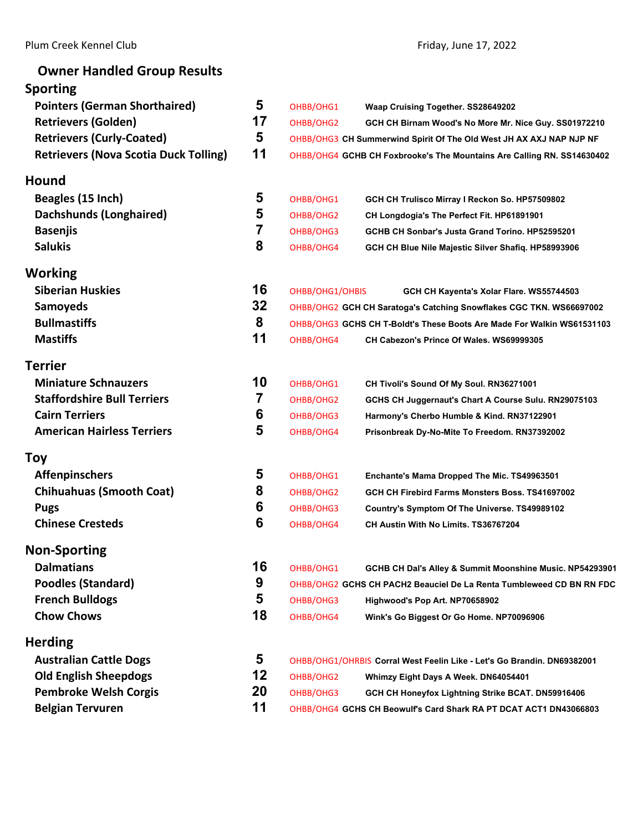Plum Creek Kennel Club **Plum Creek Kennel Club Friday**, June 17, 2022

| <b>Owner Handled Group Results</b>           |                         |                 |                                                                         |
|----------------------------------------------|-------------------------|-----------------|-------------------------------------------------------------------------|
| <b>Sporting</b>                              |                         |                 |                                                                         |
| <b>Pointers (German Shorthaired)</b>         | 5                       | OHBB/OHG1       | Waap Cruising Together. SS28649202                                      |
| <b>Retrievers (Golden)</b>                   | 17                      | OHBB/OHG2       | GCH CH Birnam Wood's No More Mr. Nice Guy. SS01972210                   |
| <b>Retrievers (Curly-Coated)</b>             | 5                       |                 | OHBB/OHG3 CH Summerwind Spirit Of The Old West JH AX AXJ NAP NJP NF     |
| <b>Retrievers (Nova Scotia Duck Tolling)</b> | 11                      |                 | OHBB/OHG4 GCHB CH Foxbrooke's The Mountains Are Calling RN. SS14630402  |
| <b>Hound</b>                                 |                         |                 |                                                                         |
| Beagles (15 Inch)                            | 5                       | OHBB/OHG1       | GCH CH Trulisco Mirray I Reckon So. HP57509802                          |
| Dachshunds (Longhaired)                      | 5                       | OHBB/OHG2       | CH Longdogia's The Perfect Fit. HP61891901                              |
| <b>Basenjis</b>                              | $\overline{\mathbf{7}}$ | OHBB/OHG3       | GCHB CH Sonbar's Justa Grand Torino, HP52595201                         |
| <b>Salukis</b>                               | 8                       | OHBB/OHG4       | GCH CH Blue Nile Majestic Silver Shafiq. HP58993906                     |
| Working                                      |                         |                 |                                                                         |
| <b>Siberian Huskies</b>                      | 16                      | OHBB/OHG1/OHBIS | GCH CH Kayenta's Xolar Flare. WS55744503                                |
| <b>Samoyeds</b>                              | 32                      |                 | OHBB/OHG2 GCH CH Saratoga's Catching Snowflakes CGC TKN. WS66697002     |
| <b>Bullmastiffs</b>                          | 8                       |                 | OHBB/OHG3 GCHS CH T-Boldt's These Boots Are Made For Walkin WS61531103  |
| <b>Mastiffs</b>                              | 11                      | OHBB/OHG4       | CH Cabezon's Prince Of Wales. WS69999305                                |
| <b>Terrier</b>                               |                         |                 |                                                                         |
| <b>Miniature Schnauzers</b>                  | 10                      | OHBB/OHG1       | CH Tivoli's Sound Of My Soul. RN36271001                                |
| <b>Staffordshire Bull Terriers</b>           | $\overline{7}$          | OHBB/OHG2       | GCHS CH Juggernaut's Chart A Course Sulu. RN29075103                    |
| <b>Cairn Terriers</b>                        | 6                       | OHBB/OHG3       | Harmony's Cherbo Humble & Kind. RN37122901                              |
| <b>American Hairless Terriers</b>            | 5                       | OHBB/OHG4       | Prisonbreak Dy-No-Mite To Freedom. RN37392002                           |
| <b>Toy</b>                                   |                         |                 |                                                                         |
| <b>Affenpinschers</b>                        | 5                       | OHBB/OHG1       | Enchante's Mama Dropped The Mic. TS49963501                             |
| <b>Chihuahuas (Smooth Coat)</b>              | 8                       | OHBB/OHG2       | GCH CH Firebird Farms Monsters Boss. TS41697002                         |
| <b>Pugs</b>                                  | 6                       | OHBB/OHG3       | Country's Symptom Of The Universe. TS49989102                           |
| <b>Chinese Cresteds</b>                      | 6                       | OHBB/OHG4       | CH Austin With No Limits. TS36767204                                    |
| <b>Non-Sporting</b>                          |                         |                 |                                                                         |
| <b>Dalmatians</b>                            | 16                      | OHBB/OHG1       | GCHB CH Dal's Alley & Summit Moonshine Music. NP54293901                |
| <b>Poodles (Standard)</b>                    | 9                       |                 | OHBB/OHG2 GCHS CH PACH2 Beauciel De La Renta Tumbleweed CD BN RN FDC    |
| <b>French Bulldogs</b>                       | 5                       | OHBB/OHG3       | Highwood's Pop Art. NP70658902                                          |
| <b>Chow Chows</b>                            | 18                      | OHBB/OHG4       | Wink's Go Biggest Or Go Home. NP70096906                                |
| <b>Herding</b>                               |                         |                 |                                                                         |
| <b>Australian Cattle Dogs</b>                | 5                       |                 | OHBB/OHG1/OHRBIS Corral West Feelin Like - Let's Go Brandin. DN69382001 |
| <b>Old English Sheepdogs</b>                 | 12                      | OHBB/OHG2       | Whimzy Eight Days A Week. DN64054401                                    |
| <b>Pembroke Welsh Corgis</b>                 | 20                      | OHBB/OHG3       | GCH CH Honeyfox Lightning Strike BCAT. DN59916406                       |
| <b>Belgian Tervuren</b>                      | 11                      |                 | OHBB/OHG4 GCHS CH Beowulf's Card Shark RA PT DCAT ACT1 DN43066803       |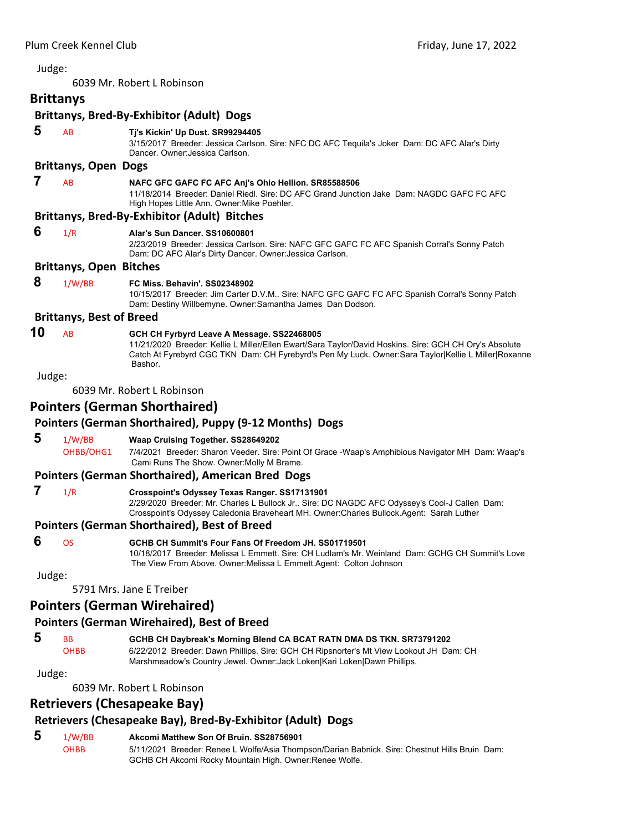<span id="page-2-0"></span>6039 Mr. Robert L Robinson

# **Brittanys**

|        |                                 | <b>Brittanys, Bred-By-Exhibitor (Adult) Dogs</b>                                                                                                                                                                                                                        |
|--------|---------------------------------|-------------------------------------------------------------------------------------------------------------------------------------------------------------------------------------------------------------------------------------------------------------------------|
| 5      | AB                              | Tj's Kickin' Up Dust. SR99294405<br>3/15/2017 Breeder: Jessica Carlson. Sire: NFC DC AFC Tequila's Joker Dam: DC AFC Alar's Dirty<br>Dancer, Owner: Jessica Carlson.                                                                                                    |
|        | <b>Brittanys, Open Dogs</b>     |                                                                                                                                                                                                                                                                         |
| 7      | AB                              | NAFC GFC GAFC FC AFC Anj's Ohio Hellion. SR85588506<br>11/18/2014 Breeder: Daniel Riedl, Sire: DC AFC Grand Junction Jake Dam: NAGDC GAFC FC AFC<br>High Hopes Little Ann. Owner: Mike Poehler.                                                                         |
|        |                                 | <b>Brittanys, Bred-By-Exhibitor (Adult) Bitches</b>                                                                                                                                                                                                                     |
| 6      | 1/R                             | Alar's Sun Dancer, SS10600801<br>2/23/2019 Breeder: Jessica Carlson. Sire: NAFC GFC GAFC FC AFC Spanish Corral's Sonny Patch<br>Dam: DC AFC Alar's Dirty Dancer. Owner: Jessica Carlson.                                                                                |
|        | <b>Brittanys, Open Bitches</b>  |                                                                                                                                                                                                                                                                         |
| 8      | 1/W/BB                          | FC Miss. Behavin'. SS02348902<br>10/15/2017 Breeder: Jim Carter D.V.M Sire: NAFC GFC GAFC FC AFC Spanish Corral's Sonny Patch<br>Dam: Destiny Willbemyne. Owner: Samantha James Dan Dodson.                                                                             |
|        | <b>Brittanys, Best of Breed</b> |                                                                                                                                                                                                                                                                         |
| 10     | AB                              | GCH CH Fyrbyrd Leave A Message. SS22468005<br>11/21/2020 Breeder: Kellie L Miller/Ellen Ewart/Sara Taylor/David Hoskins. Sire: GCH CH Ory's Absolute<br>Catch At Fyrebyrd CGC TKN Dam: CH Fyrebyrd's Pen My Luck. Owner: Sara Taylor Kellie L Miller Roxanne<br>Bashor. |
| Judge: |                                 |                                                                                                                                                                                                                                                                         |
|        |                                 | 6039 Mr. Robert L Robinson                                                                                                                                                                                                                                              |
|        |                                 | Pointers (German Shorthaired)                                                                                                                                                                                                                                           |
|        |                                 | Pointers (German Shorthaired), Puppy (9-12 Months) Dogs                                                                                                                                                                                                                 |
| 5      | 1/W/BB                          | Waap Cruising Together. SS28649202                                                                                                                                                                                                                                      |
|        | OHBB/OHG1                       | 7/4/2021 Breeder: Sharon Veeder. Sire: Point Of Grace -Waap's Amphibious Navigator MH Dam: Waap's<br>Cami Runs The Show. Owner: Molly M Brame.                                                                                                                          |
|        |                                 | Pointers (German Shorthaired), American Bred Dogs                                                                                                                                                                                                                       |
| 7      | 1/R                             | Crosspoint's Odyssey Texas Ranger. SS17131901<br>2/29/2020 Breeder: Mr. Charles L Bullock Jr Sire: DC NAGDC AFC Odyssey's Cool-J Callen Dam:<br>Crosspoint's Odyssey Caledonia Braveheart MH. Owner:Charles Bullock.Agent: Sarah Luther                                 |
|        |                                 | <b>Pointers (German Shorthaired), Best of Breed</b>                                                                                                                                                                                                                     |
| 6      | <b>OS</b>                       | GCHB CH Summit's Four Fans Of Freedom JH, SS01719501<br>10/18/2017 Breeder: Melissa L Emmett. Sire: CH Ludlam's Mr. Weinland Dam: GCHG CH Summit's Love<br>The View From Above. Owner: Melissa L Emmett. Agent: Colton Johnson                                          |
| Judge: |                                 |                                                                                                                                                                                                                                                                         |
|        |                                 | 5791 Mrs. Jane E Treiber                                                                                                                                                                                                                                                |
|        |                                 | <b>Pointers (German Wirehaired)</b>                                                                                                                                                                                                                                     |
|        |                                 | <b>Pointers (German Wirehaired), Best of Breed</b>                                                                                                                                                                                                                      |

#### **5** BB **GCHB CH Daybreak's Morning Blend CA BCAT RATN DMA DS TKN. SR73791202** OHBB 6/22/2012 Breeder: Dawn Phillips. Sire: GCH CH Ripsnorter's Mt View Lookout JH Dam: CH Marshmeadow's Country Jewel. Owner:Jack Loken|Kari Loken|Dawn Phillips.

#### Judge:

6039 Mr. Robert L Robinson

# **Retrievers (Chesapeake Bay)**

# **Retrievers (Chesapeake Bay), Bred‐By‐Exhibitor (Adult) Dogs**

# **5** 1/W/BB **Akcomi Matthew Son Of Bruin. SS28756901**

OHBB 5/11/2021 Breeder: Renee L Wolfe/Asia Thompson/Darian Babnick. Sire: Chestnut Hills Bruin Dam: GCHB CH Akcomi Rocky Mountain High. Owner:Renee Wolfe.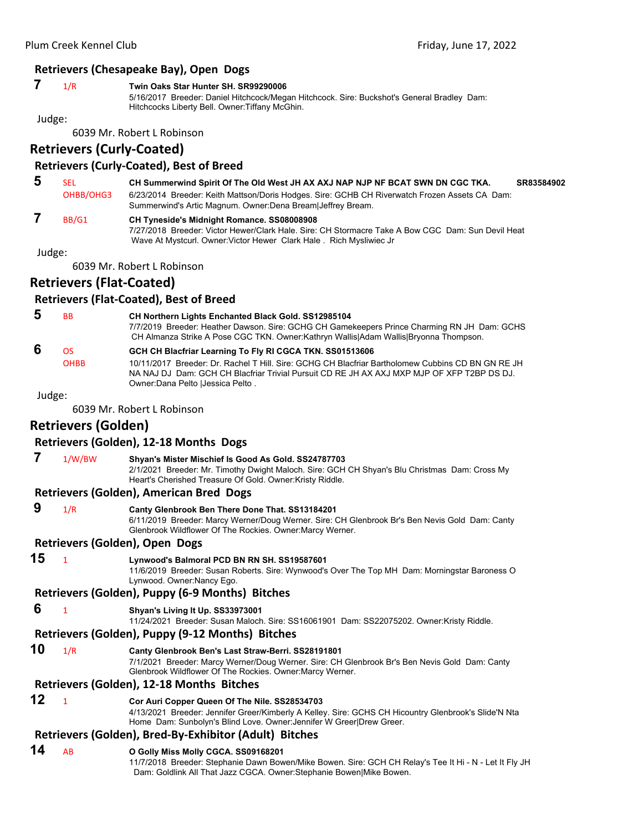# **Retrievers (Chesapeake Bay), Open Dogs**

#### **7** 1/R **Twin Oaks Star Hunter SH. SR99290006**

5/16/2017 Breeder: Daniel Hitchcock/Megan Hitchcock. Sire: Buckshot's General Bradley Dam: Hitchcocks Liberty Bell. Owner:Tiffany McGhin.

Judge:

6039 Mr. Robert L Robinson

# **Retrievers (Curly‐Coated)**

# **Retrievers (Curly‐Coated), Best of Breed**

 **5** SEL **CH Summerwind Spirit Of The Old West JH AX AXJ NAP NJP NF BCAT SWN DN CGC TKA. SR83584902** OHBB/OHG3 6/23/2014 Breeder: Keith Mattson/Doris Hodges. Sire: GCHB CH Riverwatch Frozen Assets CA Dam: Summerwind's Artic Magnum. Owner:Dena Bream|Jeffrey Bream.  **7** BB/G1 **CH Tyneside's Midnight Romance. SS08008908**

7/27/2018 Breeder: Victor Hewer/Clark Hale. Sire: CH Stormacre Take A Bow CGC Dam: Sun Devil Heat Wave At Mystcurl. Owner:Victor Hewer Clark Hale . Rich Mysliwiec Jr

Judge:

6039 Mr. Robert L Robinson

# **Retrievers (Flat‐Coated)**

#### **Retrievers (Flat‐Coated), Best of Breed**

 **5** BB **CH Northern Lights Enchanted Black Gold. SS12985104** 7/7/2019 Breeder: Heather Dawson. Sire: GCHG CH Gamekeepers Prince Charming RN JH Dam: GCHS CH Almanza Strike A Pose CGC TKN. Owner:Kathryn Wallis|Adam Wallis|Bryonna Thompson.  **6** OS **GCH CH Blacfriar Learning To Fly RI CGCA TKN. SS01513606** OHBB 10/11/2017 Breeder: Dr. Rachel T Hill. Sire: GCHG CH Blacfriar Bartholomew Cubbins CD BN GN RE JH NA NAJ DJ Dam: GCH CH Blacfriar Trivial Pursuit CD RE JH AX AXJ MXP MJP OF XFP T2BP DS DJ. Owner:Dana Pelto |Jessica Pelto .

Judge:

6039 Mr. Robert L Robinson

# **Retrievers (Golden)**

#### **Retrievers (Golden), 12‐18 Months Dogs**

 **7** 1/W/BW **Shyan's Mister Mischief Is Good As Gold. SS24787703** 2/1/2021 Breeder: Mr. Timothy Dwight Maloch. Sire: GCH CH Shyan's Blu Christmas Dam: Cross My Heart's Cherished Treasure Of Gold. Owner:Kristy Riddle.

#### **Retrievers (Golden), American Bred Dogs**

 **9** 1/R **Canty Glenbrook Ben There Done That. SS13184201**

6/11/2019 Breeder: Marcy Werner/Doug Werner. Sire: CH Glenbrook Br's Ben Nevis Gold Dam: Canty Glenbrook Wildflower Of The Rockies. Owner:Marcy Werner.

#### **Retrievers (Golden), Open Dogs**

#### **15** <sup>1</sup> **Lynwood's Balmoral PCD BN RN SH. SS19587601**

11/6/2019 Breeder: Susan Roberts. Sire: Wynwood's Over The Top MH Dam: Morningstar Baroness O Lynwood. Owner:Nancy Ego.

#### **Retrievers (Golden), Puppy (6‐9 Months) Bitches**

 **6** <sup>1</sup> **Shyan's Living It Up. SS33973001**

11/24/2021 Breeder: Susan Maloch. Sire: SS16061901 Dam: SS22075202. Owner:Kristy Riddle.

#### **Retrievers (Golden), Puppy (9‐12 Months) Bitches**

**10** 1/R **Canty Glenbrook Ben's Last Straw-Berri. SS28191801**

7/1/2021 Breeder: Marcy Werner/Doug Werner. Sire: CH Glenbrook Br's Ben Nevis Gold Dam: Canty Glenbrook Wildflower Of The Rockies. Owner:Marcy Werner.

#### **Retrievers (Golden), 12‐18 Months Bitches**

# **12** <sup>1</sup> **Cor Auri Copper Queen Of The Nile. SS28534703**

4/13/2021 Breeder: Jennifer Greer/Kimberly A Kelley. Sire: GCHS CH Hicountry Glenbrook's Slide'N Nta Home Dam: Sunbolyn's Blind Love. Owner:Jennifer W Greer|Drew Greer.

# **Retrievers (Golden), Bred‐By‐Exhibitor (Adult) Bitches**

# **14** AB **O Golly Miss Molly CGCA. SS09168201**

11/7/2018 Breeder: Stephanie Dawn Bowen/Mike Bowen. Sire: GCH CH Relay's Tee It Hi - N - Let It Fly JH Dam: Goldlink All That Jazz CGCA. Owner:Stephanie Bowen|Mike Bowen.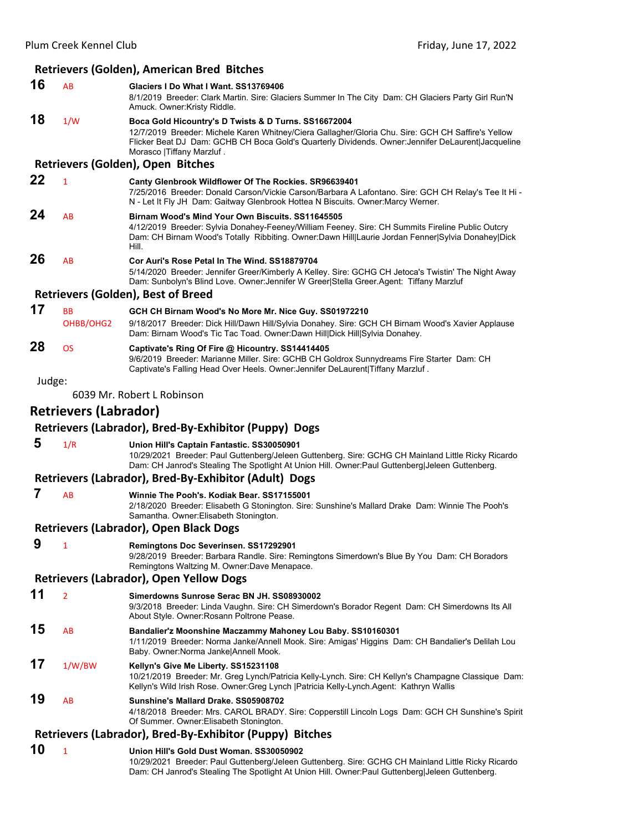# **Retrievers (Golden), American Bred Bitches**

| 16     | AB                           | Glaciers I Do What I Want. SS13769406<br>8/1/2019 Breeder: Clark Martin. Sire: Glaciers Summer In The City Dam: CH Glaciers Party Girl Run'N<br>Amuck. Owner:Kristy Riddle.                                                                                                                    |
|--------|------------------------------|------------------------------------------------------------------------------------------------------------------------------------------------------------------------------------------------------------------------------------------------------------------------------------------------|
| 18     | 1/W                          | Boca Gold Hicountry's D Twists & D Turns. SS16672004<br>12/7/2019 Breeder: Michele Karen Whitney/Ciera Gallagher/Gloria Chu. Sire: GCH CH Saffire's Yellow<br>Flicker Beat DJ Dam: GCHB CH Boca Gold's Quarterly Dividends. Owner: Jennifer DeLaurent Jacqueline<br>Morasco   Tiffany Marzluf. |
|        |                              | Retrievers (Golden), Open Bitches                                                                                                                                                                                                                                                              |
| 22     | $\mathbf{1}$                 | Canty Glenbrook Wildflower Of The Rockies. SR96639401<br>7/25/2016 Breeder: Donald Carson/Vickie Carson/Barbara A Lafontano. Sire: GCH CH Relay's Tee It Hi -<br>N - Let It Fly JH Dam: Gaitway Glenbrook Hottea N Biscuits. Owner: Marcy Werner.                                              |
| 24     | AB                           | Birnam Wood's Mind Your Own Biscuits. SS11645505<br>4/12/2019 Breeder: Sylvia Donahey-Feeney/William Feeney. Sire: CH Summits Fireline Public Outcry<br>Dam: CH Birnam Wood's Totally Ribbiting. Owner:Dawn Hill Laurie Jordan Fenner Sylvia Donahey Dick<br>Hill.                             |
| 26     | AB                           | Cor Auri's Rose Petal In The Wind. SS18879704<br>5/14/2020 Breeder: Jennifer Greer/Kimberly A Kelley. Sire: GCHG CH Jetoca's Twistin' The Night Away<br>Dam: Sunbolyn's Blind Love. Owner: Jennifer W Greer Stella Greer.Agent: Tiffany Marzluf                                                |
|        |                              | <b>Retrievers (Golden), Best of Breed</b>                                                                                                                                                                                                                                                      |
| 17     | <b>BB</b><br>OHBB/OHG2       | GCH CH Birnam Wood's No More Mr. Nice Guy. SS01972210<br>9/18/2017 Breeder: Dick Hill/Dawn Hill/Sylvia Donahey. Sire: GCH CH Birnam Wood's Xavier Applause<br>Dam: Birnam Wood's Tic Tac Toad. Owner:Dawn Hill Dick Hill Sylvia Donahey.                                                       |
| 28     | <b>OS</b>                    | Captivate's Ring Of Fire @ Hicountry. SS14414405<br>9/6/2019 Breeder: Marianne Miller. Sire: GCHB CH Goldrox Sunnydreams Fire Starter Dam: CH<br>Captivate's Falling Head Over Heels. Owner: Jennifer DeLaurent   Tiffany Marzluf.                                                             |
| Judge: |                              | 6039 Mr. Robert L Robinson                                                                                                                                                                                                                                                                     |
|        | <b>Retrievers (Labrador)</b> |                                                                                                                                                                                                                                                                                                |
|        |                              | Retrievers (Labrador), Bred-By-Exhibitor (Puppy) Dogs                                                                                                                                                                                                                                          |
| 5      | 1/R                          | Union Hill's Captain Fantastic. SS30050901                                                                                                                                                                                                                                                     |
|        |                              | 10/29/2021 Breeder: Paul Guttenberg/Jeleen Guttenberg. Sire: GCHG CH Mainland Little Ricky Ricardo<br>Dam: CH Janrod's Stealing The Spotlight At Union Hill. Owner:Paul Guttenberg Jeleen Guttenberg.                                                                                          |
|        |                              | Retrievers (Labrador), Bred-By-Exhibitor (Adult) Dogs                                                                                                                                                                                                                                          |
| 7      | AB                           | Winnie The Pooh's. Kodiak Bear. SS17155001<br>2/18/2020 Breeder: Elisabeth G Stonington. Sire: Sunshine's Mallard Drake Dam: Winnie The Pooh's<br>Samantha. Owner: Elisabeth Stonington.                                                                                                       |
|        |                              | <b>Retrievers (Labrador), Open Black Dogs</b>                                                                                                                                                                                                                                                  |
| 9      | 1                            | Remingtons Doc Severinsen. SS17292901<br>9/28/2019 Breeder: Barbara Randle. Sire: Remingtons Simerdown's Blue By You Dam: CH Boradors<br>Remingtons Waltzing M. Owner:Dave Menapace.                                                                                                           |
|        |                              | <b>Retrievers (Labrador), Open Yellow Dogs</b>                                                                                                                                                                                                                                                 |
| 11     | $\overline{2}$               | Simerdowns Sunrose Serac BN JH, SS08930002<br>9/3/2018 Breeder: Linda Vaughn. Sire: CH Simerdown's Borador Regent Dam: CH Simerdowns Its All<br>About Style. Owner: Rosann Poltrone Pease.                                                                                                     |
| 15     | AB                           | Bandalier'z Moonshine Maczammy Mahoney Lou Baby. SS10160301<br>1/11/2019 Breeder: Norma Janke/Annell Mook. Sire: Amigas' Higgins Dam: CH Bandalier's Delilah Lou<br>Baby. Owner: Norma Janke Annell Mook.                                                                                      |
| 17     | 1/W/BW                       | Kellyn's Give Me Liberty. SS15231108<br>10/21/2019 Breeder: Mr. Greg Lynch/Patricia Kelly-Lynch. Sire: CH Kellyn's Champagne Classique Dam:<br>Kellyn's Wild Irish Rose. Owner:Greg Lynch  Patricia Kelly-Lynch.Agent: Kathryn Wallis                                                          |
| 19     | AB                           | Sunshine's Mallard Drake. SS05908702<br>4/18/2018 Breeder: Mrs. CAROL BRADY. Sire: Copperstill Lincoln Logs Dam: GCH CH Sunshine's Spirit<br>Of Summer. Owner: Elisabeth Stonington.                                                                                                           |
|        |                              | Retrievers (Labrador), Bred-By-Exhibitor (Puppy) Bitches                                                                                                                                                                                                                                       |
| 10     | $\mathbf{1}$                 | Union Hill's Gold Dust Woman. SS30050902<br>10/29/2021 Breeder: Paul Guttenberg/Jeleen Guttenberg. Sire: GCHG CH Mainland Little Ricky Ricardo                                                                                                                                                 |

Dam: CH Janrod's Stealing The Spotlight At Union Hill. Owner:Paul Guttenberg|Jeleen Guttenberg.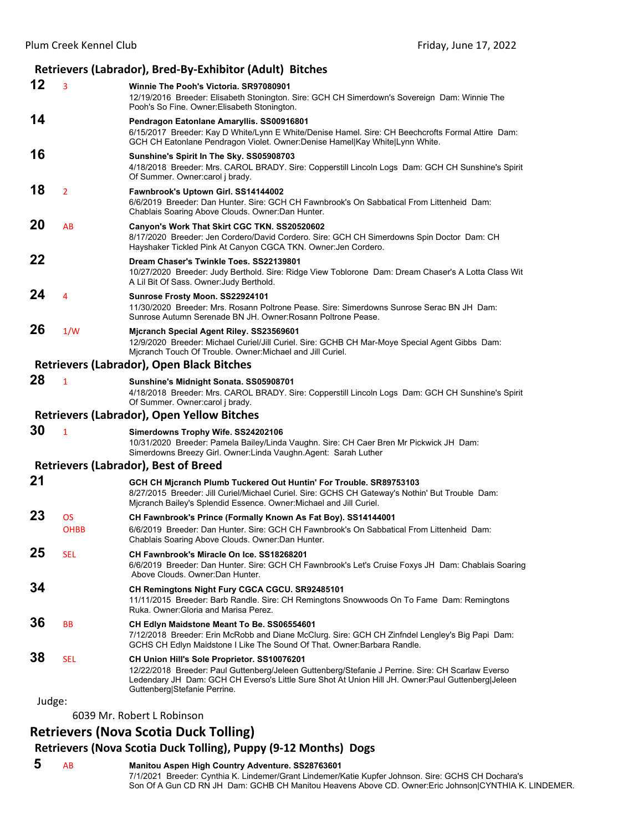# **Retrievers (Labrador), Bred‐By‐Exhibitor (Adult) Bitches**

| 12     | 3              | Winnie The Pooh's Victoria. SR97080901<br>12/19/2016 Breeder: Elisabeth Stonington. Sire: GCH CH Simerdown's Sovereign Dam: Winnie The<br>Pooh's So Fine. Owner: Elisabeth Stonington.                                                                                                |
|--------|----------------|---------------------------------------------------------------------------------------------------------------------------------------------------------------------------------------------------------------------------------------------------------------------------------------|
| 14     |                | Pendragon Eatonlane Amaryllis. SS00916801<br>6/15/2017 Breeder: Kay D White/Lynn E White/Denise Hamel. Sire: CH Beechcrofts Formal Attire Dam:<br>GCH CH Eatonlane Pendragon Violet. Owner:Denise Hamel Kay White Lynn White.                                                         |
| 16     |                | Sunshine's Spirit In The Sky. SS05908703<br>4/18/2018 Breeder: Mrs. CAROL BRADY. Sire: Copperstill Lincoln Logs Dam: GCH CH Sunshine's Spirit<br>Of Summer. Owner: carol j brady.                                                                                                     |
| 18     | $\overline{2}$ | Fawnbrook's Uptown Girl. SS14144002<br>6/6/2019 Breeder: Dan Hunter. Sire: GCH CH Fawnbrook's On Sabbatical From Littenheid Dam:<br>Chablais Soaring Above Clouds. Owner: Dan Hunter.                                                                                                 |
| 20     | AB             | Canyon's Work That Skirt CGC TKN. SS20520602<br>8/17/2020 Breeder: Jen Cordero/David Cordero. Sire: GCH CH Simerdowns Spin Doctor Dam: CH<br>Hayshaker Tickled Pink At Canyon CGCA TKN. Owner: Jen Cordero.                                                                           |
| 22     |                | Dream Chaser's Twinkle Toes, SS22139801<br>10/27/2020 Breeder: Judy Berthold. Sire: Ridge View Toblorone Dam: Dream Chaser's A Lotta Class Wit<br>A Lil Bit Of Sass. Owner: Judy Berthold.                                                                                            |
| 24     | 4              | Sunrose Frosty Moon. SS22924101<br>11/30/2020 Breeder: Mrs. Rosann Poltrone Pease. Sire: Simerdowns Sunrose Serac BN JH Dam:<br>Sunrose Autumn Serenade BN JH, Owner: Rosann Poltrone Pease.                                                                                          |
| 26     | 1/W            | Mjcranch Special Agent Riley. SS23569601<br>12/9/2020 Breeder: Michael Curiel/Jill Curiel. Sire: GCHB CH Mar-Moye Special Agent Gibbs Dam:<br>Mjcranch Touch Of Trouble. Owner: Michael and Jill Curiel.                                                                              |
|        |                | <b>Retrievers (Labrador), Open Black Bitches</b>                                                                                                                                                                                                                                      |
| 28     | $\mathbf{1}$   | Sunshine's Midnight Sonata. SS05908701<br>4/18/2018 Breeder: Mrs. CAROL BRADY. Sire: Copperstill Lincoln Logs Dam: GCH CH Sunshine's Spirit<br>Of Summer. Owner: carol j brady.                                                                                                       |
|        |                | <b>Retrievers (Labrador), Open Yellow Bitches</b>                                                                                                                                                                                                                                     |
| 30     | $\mathbf{1}$   | Simerdowns Trophy Wife. SS24202106<br>10/31/2020 Breeder: Pamela Bailey/Linda Vaughn. Sire: CH Caer Bren Mr Pickwick JH Dam:<br>Simerdowns Breezy Girl. Owner: Linda Vaughn. Agent: Sarah Luther                                                                                      |
|        |                | <b>Retrievers (Labrador), Best of Breed</b>                                                                                                                                                                                                                                           |
| 21     |                | GCH CH Mjcranch Plumb Tuckered Out Huntin' For Trouble. SR89753103<br>8/27/2015 Breeder: Jill Curiel/Michael Curiel. Sire: GCHS CH Gateway's Nothin' But Trouble Dam:<br>Mjcranch Bailey's Splendid Essence. Owner: Michael and Jill Curiel.                                          |
| 23     | <b>OS</b>      | CH Fawnbrook's Prince (Formally Known As Fat Boy). SS14144001                                                                                                                                                                                                                         |
|        | <b>OHBB</b>    | 6/6/2019 Breeder: Dan Hunter. Sire: GCH CH Fawnbrook's On Sabbatical From Littenheid Dam:<br>Chablais Soaring Above Clouds. Owner: Dan Hunter.                                                                                                                                        |
| 25     | SEL            | CH Fawnbrook's Miracle On Ice. SS18268201<br>6/6/2019 Breeder: Dan Hunter. Sire: GCH CH Fawnbrook's Let's Cruise Foxys JH Dam: Chablais Soaring<br>Above Clouds, Owner: Dan Hunter,                                                                                                   |
| 34     |                | CH Remingtons Night Fury CGCA CGCU. SR92485101<br>11/11/2015 Breeder: Barb Randle. Sire: CH Remingtons Snowwoods On To Fame Dam: Remingtons<br>Ruka. Owner: Gloria and Marisa Perez.                                                                                                  |
| 36     | <b>BB</b>      | CH Edlyn Maidstone Meant To Be. SS06554601<br>7/12/2018 Breeder: Erin McRobb and Diane McClurg. Sire: GCH CH Zinfndel Lengley's Big Papi Dam:<br>GCHS CH Edlyn Maidstone I Like The Sound Of That. Owner: Barbara Randle.                                                             |
| 38     | SEL            | CH Union Hill's Sole Proprietor. SS10076201<br>12/22/2018 Breeder: Paul Guttenberg/Jeleen Guttenberg/Stefanie J Perrine. Sire: CH Scarlaw Everso<br>Ledendary JH Dam: GCH CH Everso's Little Sure Shot At Union Hill JH. Owner:Paul Guttenberg Jeleen<br>Guttenberg Stefanie Perrine. |
| Judge: |                |                                                                                                                                                                                                                                                                                       |
|        |                | 6039 Mr. Robert L Robinson                                                                                                                                                                                                                                                            |

# **Retrievers (Nova Scotia Duck Tolling)**

# **Retrievers (Nova Scotia Duck Tolling), Puppy (9‐12 Months) Dogs**

 **5** AB **Manitou Aspen High Country Adventure. SS28763601** 7/1/2021 Breeder: Cynthia K. Lindemer/Grant Lindemer/Katie Kupfer Johnson. Sire: GCHS CH Dochara's Son Of A Gun CD RN JH Dam: GCHB CH Manitou Heavens Above CD. Owner:Eric Johnson|CYNTHIA K. LINDEMER.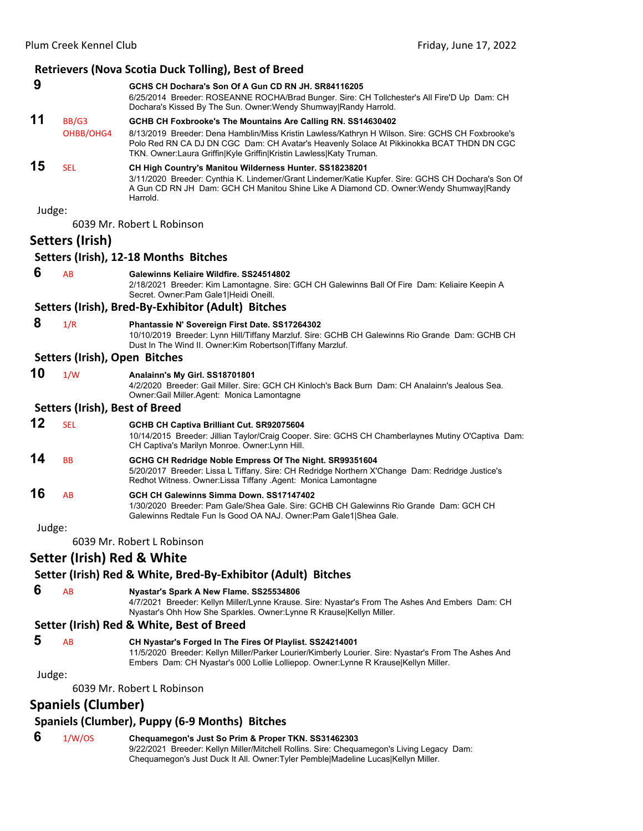|                                                               |                                       | <b>Retrievers (Nova Scotia Duck Tolling), Best of Breed</b>                                                                                                                                                                                                         |  |  |
|---------------------------------------------------------------|---------------------------------------|---------------------------------------------------------------------------------------------------------------------------------------------------------------------------------------------------------------------------------------------------------------------|--|--|
| 9                                                             |                                       | GCHS CH Dochara's Son Of A Gun CD RN JH, SR84116205<br>6/25/2014 Breeder: ROSEANNE ROCHA/Brad Bunger. Sire: CH Tollchester's All Fire'D Up Dam: CH<br>Dochara's Kissed By The Sun. Owner: Wendy Shumway Randy Harrold.                                              |  |  |
| 11                                                            | BB/G3                                 | GCHB CH Foxbrooke's The Mountains Are Calling RN. SS14630402                                                                                                                                                                                                        |  |  |
|                                                               | OHBB/OHG4                             | 8/13/2019 Breeder: Dena Hamblin/Miss Kristin Lawless/Kathryn H Wilson. Sire: GCHS CH Foxbrooke's<br>Polo Red RN CA DJ DN CGC Dam: CH Avatar's Heavenly Solace At Pikkinokka BCAT THDN DN CGC<br>TKN. Owner: Laura Griffin Kyle Griffin Kristin Lawless Katy Truman. |  |  |
| 15                                                            | <b>SEL</b>                            | CH High Country's Manitou Wilderness Hunter. SS18238201<br>3/11/2020 Breeder: Cynthia K. Lindemer/Grant Lindemer/Katie Kupfer. Sire: GCHS CH Dochara's Son Of<br>A Gun CD RN JH Dam: GCH CH Manitou Shine Like A Diamond CD. Owner: Wendy Shumway Randy<br>Harrold. |  |  |
| Judge:                                                        |                                       |                                                                                                                                                                                                                                                                     |  |  |
|                                                               |                                       | 6039 Mr. Robert L Robinson                                                                                                                                                                                                                                          |  |  |
|                                                               | Setters (Irish)                       |                                                                                                                                                                                                                                                                     |  |  |
|                                                               |                                       | Setters (Irish), 12-18 Months Bitches                                                                                                                                                                                                                               |  |  |
| 6                                                             | AB                                    | Galewinns Keliaire Wildfire. SS24514802<br>2/18/2021 Breeder: Kim Lamontagne. Sire: GCH CH Galewinns Ball Of Fire Dam: Keliaire Keepin A<br>Secret. Owner: Pam Gale1 Heidi Oneill.                                                                                  |  |  |
|                                                               |                                       | Setters (Irish), Bred-By-Exhibitor (Adult) Bitches                                                                                                                                                                                                                  |  |  |
| 8                                                             | 1/R                                   | Phantassie N' Sovereign First Date. SS17264302<br>10/10/2019 Breeder: Lynn Hill/Tiffany Marzluf. Sire: GCHB CH Galewinns Rio Grande Dam: GCHB CH<br>Dust In The Wind II. Owner: Kim Robertson Tiffany Marzluf.                                                      |  |  |
|                                                               | Setters (Irish), Open Bitches         |                                                                                                                                                                                                                                                                     |  |  |
| 10                                                            | 1/W                                   | Analainn's My Girl. SS18701801<br>4/2/2020 Breeder: Gail Miller. Sire: GCH CH Kinloch's Back Burn Dam: CH Analainn's Jealous Sea.<br>Owner: Gail Miller. Agent: Monica Lamontagne                                                                                   |  |  |
|                                                               | <b>Setters (Irish), Best of Breed</b> |                                                                                                                                                                                                                                                                     |  |  |
| 12                                                            | <b>SEL</b>                            | GCHB CH Captiva Brilliant Cut. SR92075604<br>10/14/2015 Breeder: Jillian Taylor/Craig Cooper. Sire: GCHS CH Chamberlaynes Mutiny O'Captiva Dam:<br>CH Captiva's Marilyn Monroe. Owner: Lynn Hill.                                                                   |  |  |
| 14                                                            | BB                                    | GCHG CH Redridge Noble Empress Of The Night. SR99351604<br>5/20/2017 Breeder: Lissa L Tiffany. Sire: CH Redridge Northern X'Change Dam: Redridge Justice's<br>Redhot Witness, Owner:Lissa Tiffany, Agent: Monica Lamontagne                                         |  |  |
| 16                                                            | AB                                    | GCH CH Galewinns Simma Down, SS17147402<br>1/30/2020 Breeder: Pam Gale/Shea Gale. Sire: GCHB CH Galewinns Rio Grande Dam: GCH CH<br>Galewinns Redtale Fun Is Good OA NAJ. Owner: Pam Gale1 Shea Gale.                                                               |  |  |
| Judge:                                                        |                                       |                                                                                                                                                                                                                                                                     |  |  |
|                                                               |                                       | 6039 Mr. Robert L Robinson                                                                                                                                                                                                                                          |  |  |
|                                                               | Setter (Irish) Red & White            |                                                                                                                                                                                                                                                                     |  |  |
| Setter (Irish) Red & White, Bred-By-Exhibitor (Adult) Bitches |                                       |                                                                                                                                                                                                                                                                     |  |  |
| 6                                                             | AB                                    | Nyastar's Spark A New Flame. SS25534806<br>4/7/2021 Breeder: Kellyn Miller/Lynne Krause. Sire: Nyastar's From The Ashes And Embers Dam: CH<br>Nyastar's Ohh How She Sparkles. Owner:Lynne R Krause Kellyn Miller.                                                   |  |  |
|                                                               |                                       | Setter (Irish) Red & White, Best of Breed                                                                                                                                                                                                                           |  |  |
| 5                                                             | AB                                    | CH Nyastar's Forged In The Fires Of Playlist. SS24214001<br>11/5/2020  Breeder: Kellyn Miller/Parker Lourier/Kimberly Lourier. Sire: Nyastar's From The Ashes And<br>Embers Dam: CH Nyastar's 000 Lollie Lolliepop. Owner: Lynne R Krause Kellyn Miller.            |  |  |
| Judge:                                                        |                                       |                                                                                                                                                                                                                                                                     |  |  |
|                                                               |                                       | 6039 Mr. Robert L Robinson                                                                                                                                                                                                                                          |  |  |

# **Spaniels (Clumber)**

# **Spaniels (Clumber), Puppy (6‐9 Months) Bitches**

 **6** 1/W/OS **Chequamegon's Just So Prim & Proper TKN. SS31462303** 9/22/2021 Breeder: Kellyn Miller/Mitchell Rollins. Sire: Chequamegon's Living Legacy Dam: Chequamegon's Just Duck It All. Owner:Tyler Pemble|Madeline Lucas|Kellyn Miller.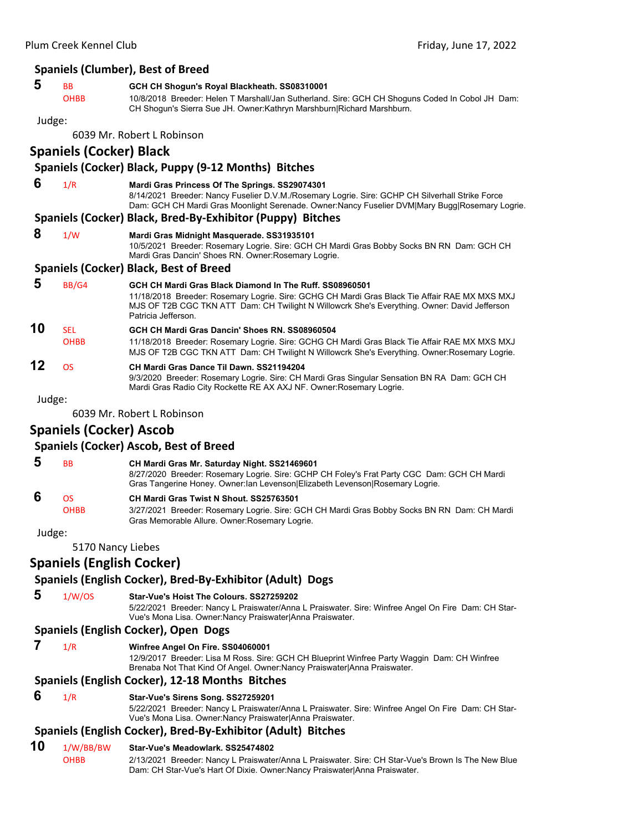# **Spaniels (Clumber), Best of Breed**

| I<br>e e<br>I<br>×<br>۰.<br>۰. |
|--------------------------------|
|--------------------------------|

# **5** BB **GCH CH Shogun's Royal Blackheath. SS08310001**

OHBB 10/8/2018 Breeder: Helen T Marshall/Jan Sutherland. Sire: GCH CH Shoguns Coded In Cobol JH Dam: CH Shogun's Sierra Sue JH. Owner:Kathryn Marshburn|Richard Marshburn.

#### Judge:

6039 Mr. Robert L Robinson

# **Spaniels (Cocker) Black**

# **Spaniels (Cocker) Black, Puppy (9‐12 Months) Bitches**

- **6** 1/R **Mardi Gras Princess Of The Springs. SS29074301**
	- 8/14/2021 Breeder: Nancy Fuselier D.V.M./Rosemary Logrie. Sire: GCHP CH Silverhall Strike Force Dam: GCH CH Mardi Gras Moonlight Serenade. Owner:Nancy Fuselier DVM|Mary Bugg|Rosemary Logrie.

#### **Spaniels (Cocker) Black, Bred‐By‐Exhibitor (Puppy) Bitches**

 **8** 1/W **Mardi Gras Midnight Masquerade. SS31935101**

10/5/2021 Breeder: Rosemary Logrie. Sire: GCH CH Mardi Gras Bobby Socks BN RN Dam: GCH CH Mardi Gras Dancin' Shoes RN. Owner:Rosemary Logrie.

#### **Spaniels (Cocker) Black, Best of Breed**

 **5** BB/G4 **GCH CH Mardi Gras Black Diamond In The Ruff. SS08960501** 11/18/2018 Breeder: Rosemary Logrie. Sire: GCHG CH Mardi Gras Black Tie Affair RAE MX MXS MXJ MJS OF T2B CGC TKN ATT Dam: CH Twilight N Willowcrk She's Everything. Owner: David Jefferson Patricia Jefferson. **10** SEL **GCH CH Mardi Gras Dancin' Shoes RN. SS08960504** OHBB 11/18/2018 Breeder: Rosemary Logrie. Sire: GCHG CH Mardi Gras Black Tie Affair RAE MX MXS MXJ MJS OF T2B CGC TKN ATT Dam: CH Twilight N Willowcrk She's Everything. Owner:Rosemary Logrie.

# **12** OS **CH Mardi Gras Dance Til Dawn. SS21194204**

9/3/2020 Breeder: Rosemary Logrie. Sire: CH Mardi Gras Singular Sensation BN RA Dam: GCH CH Mardi Gras Radio City Rockette RE AX AXJ NF. Owner:Rosemary Logrie.

#### Judge:

6039 Mr. Robert L Robinson

# **Spaniels (Cocker) Ascob**

**Spaniels (Cocker) Ascob, Best of Breed** 

 **5** BB **CH Mardi Gras Mr. Saturday Night. SS21469601** 8/27/2020 Breeder: Rosemary Logrie. Sire: GCHP CH Foley's Frat Party CGC Dam: GCH CH Mardi Gras Tangerine Honey. Owner:Ian Levenson|Elizabeth Levenson|Rosemary Logrie.  **6** OS **CH Mardi Gras Twist N Shout. SS25763501** OHBB 3/27/2021 Breeder: Rosemary Logrie. Sire: GCH CH Mardi Gras Bobby Socks BN RN Dam: CH Mardi Gras Memorable Allure. Owner:Rosemary Logrie.

Judge:

5170 Nancy Liebes

# **Spaniels (English Cocker)**

# **Spaniels (English Cocker), Bred‐By‐Exhibitor (Adult) Dogs**

#### **5** 1/W/OS **Star-Vue's Hoist The Colours. SS27259202**

5/22/2021 Breeder: Nancy L Praiswater/Anna L Praiswater. Sire: Winfree Angel On Fire Dam: CH Star-Vue's Mona Lisa. Owner:Nancy Praiswater|Anna Praiswater.

# **Spaniels (English Cocker), Open Dogs**

 **7** 1/R **Winfree Angel On Fire. SS04060001**

12/9/2017 Breeder: Lisa M Ross. Sire: GCH CH Blueprint Winfree Party Waggin Dam: CH Winfree Brenaba Not That Kind Of Angel. Owner:Nancy Praiswater|Anna Praiswater.

# **Spaniels (English Cocker), 12‐18 Months Bitches**

 **6** 1/R **Star-Vue's Sirens Song. SS27259201**

5/22/2021 Breeder: Nancy L Praiswater/Anna L Praiswater. Sire: Winfree Angel On Fire Dam: CH Star-Vue's Mona Lisa. Owner:Nancy Praiswater|Anna Praiswater.

# **Spaniels (English Cocker), Bred‐By‐Exhibitor (Adult) Bitches**

#### **10** 1/W/BB/BW **Star-Vue's Meadowlark. SS25474802**

OHBB 2/13/2021 Breeder: Nancy L Praiswater/Anna L Praiswater. Sire: CH Star-Vue's Brown Is The New Blue Dam: CH Star-Vue's Hart Of Dixie. Owner:Nancy Praiswater|Anna Praiswater.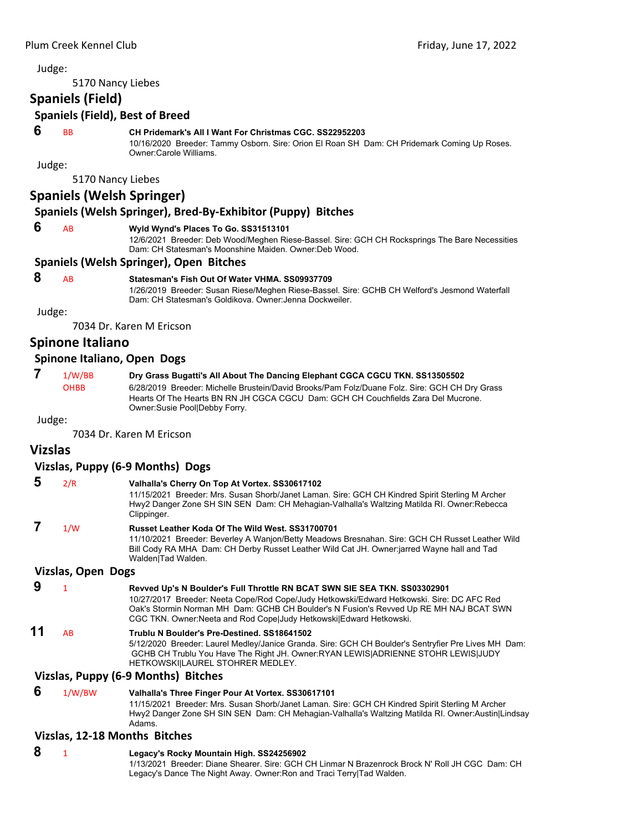5170 Nancy Liebes

# **Spaniels (Field)**

#### **Spaniels (Field), Best of Breed**

#### **6** BB **CH Pridemark's All I Want For Christmas CGC. SS22952203**

10/16/2020 Breeder: Tammy Osborn. Sire: Orion El Roan SH Dam: CH Pridemark Coming Up Roses. Owner:Carole Williams.

Judge:

5170 Nancy Liebes

# **Spaniels (Welsh Springer)**

# **Spaniels (Welsh Springer), Bred‐By‐Exhibitor (Puppy) Bitches**

#### **6** AB **Wyld Wynd's Places To Go. SS31513101**

12/6/2021 Breeder: Deb Wood/Meghen Riese-Bassel. Sire: GCH CH Rocksprings The Bare Necessities Dam: CH Statesman's Moonshine Maiden. Owner:Deb Wood.

#### **Spaniels (Welsh Springer), Open Bitches**

#### **8** AB **Statesman's Fish Out Of Water VHMA. SS09937709**

1/26/2019 Breeder: Susan Riese/Meghen Riese-Bassel. Sire: GCHB CH Welford's Jesmond Waterfall Dam: CH Statesman's Goldikova. Owner:Jenna Dockweiler.

Judge:

7034 Dr. Karen M Ericson

# **Spinone Italiano**

#### **Spinone Italiano, Open Dogs**

 **7** 1/W/BB **Dry Grass Bugatti's All About The Dancing Elephant CGCA CGCU TKN. SS13505502** OHBB 6/28/2019 Breeder: Michelle Brustein/David Brooks/Pam Folz/Duane Folz. Sire: GCH CH Dry Grass Hearts Of The Hearts BN RN JH CGCA CGCU Dam: GCH CH Couchfields Zara Del Mucrone. Owner:Susie Pool|Debby Forry.

Judge:

7034 Dr. Karen M Ericson

# **Vizslas**

#### **Vizslas, Puppy (6‐9 Months) Dogs**

 **5** 2/R **Valhalla's Cherry On Top At Vortex. SS30617102** 11/15/2021 Breeder: Mrs. Susan Shorb/Janet Laman. Sire: GCH CH Kindred Spirit Sterling M Archer Hwy2 Danger Zone SH SIN SEN Dam: CH Mehagian-Valhalla's Waltzing Matilda RI. Owner:Rebecca Clippinger.  **7** 1/W **Russet Leather Koda Of The Wild West. SS31700701** 11/10/2021 Breeder: Beverley A Wanjon/Betty Meadows Bresnahan. Sire: GCH CH Russet Leather Wild Bill Cody RA MHA Dam: CH Derby Russet Leather Wild Cat JH. Owner:jarred Wayne hall and Tad Walden|Tad Walden.

### **Vizslas, Open Dogs**

- **9** <sup>1</sup> **Revved Up's N Boulder's Full Throttle RN BCAT SWN SIE SEA TKN. SS03302901** 10/27/2017 Breeder: Neeta Cope/Rod Cope/Judy Hetkowski/Edward Hetkowski. Sire: DC AFC Red Oak's Stormin Norman MH Dam: GCHB CH Boulder's N Fusion's Revved Up RE MH NAJ BCAT SWN CGC TKN. Owner:Neeta and Rod Cope|Judy Hetkowski|Edward Hetkowski. **11** AB **Trublu N Boulder's Pre-Destined. SS18641502**
	- 5/12/2020 Breeder: Laurel Medley/Janice Granda. Sire: GCH CH Boulder's Sentryfier Pre Lives MH Dam: GCHB CH Trublu You Have The Right JH. Owner:RYAN LEWIS|ADRIENNE STOHR LEWIS|JUDY HETKOWSKI|LAUREL STOHRER MEDLEY.

#### **Vizslas, Puppy (6‐9 Months) Bitches**

 **6** 1/W/BW **Valhalla's Three Finger Pour At Vortex. SS30617101** 11/15/2021 Breeder: Mrs. Susan Shorb/Janet Laman. Sire: GCH CH Kindred Spirit Sterling M Archer Hwy2 Danger Zone SH SIN SEN Dam: CH Mehagian-Valhalla's Waltzing Matilda RI. Owner:Austin|Lindsay Adams.

#### **Vizslas, 12‐18 Months Bitches**

 **8** <sup>1</sup> **Legacy's Rocky Mountain High. SS24256902** 1/13/2021 Breeder: Diane Shearer. Sire: GCH CH Linmar N Brazenrock Brock N' Roll JH CGC Dam: CH Legacy's Dance The Night Away. Owner:Ron and Traci Terry|Tad Walden.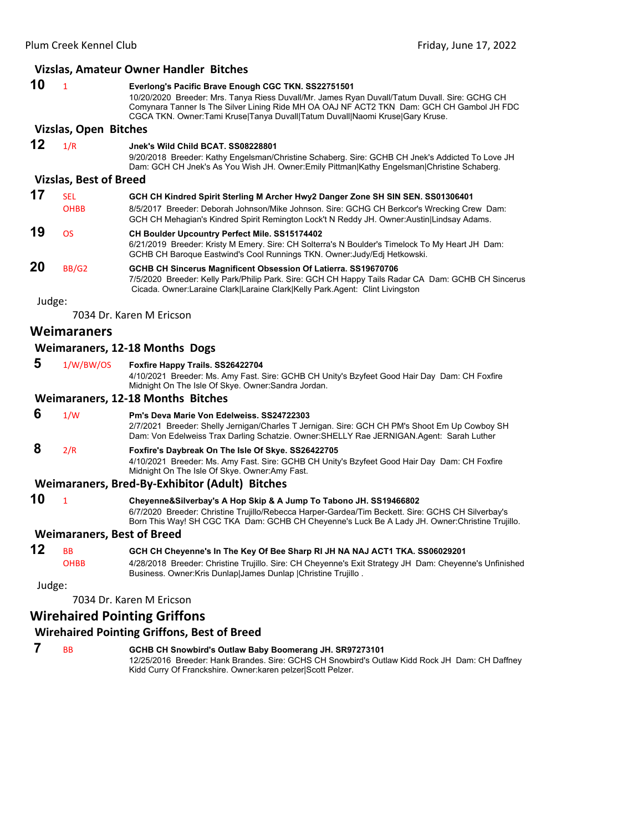|        |                                   | Vizslas, Amateur Owner Handler Bitches                                                                                                                                                                                                                                                                                            |
|--------|-----------------------------------|-----------------------------------------------------------------------------------------------------------------------------------------------------------------------------------------------------------------------------------------------------------------------------------------------------------------------------------|
| 10     | $\overline{1}$                    | Everlong's Pacific Brave Enough CGC TKN. SS22751501<br>10/20/2020 Breeder: Mrs. Tanya Riess Duvall/Mr. James Ryan Duvall/Tatum Duvall. Sire: GCHG CH<br>Comynara Tanner Is The Silver Lining Ride MH OA OAJ NF ACT2 TKN Dam: GCH CH Gambol JH FDC<br>CGCA TKN. Owner:Tami Kruse Tanya Duvall Tatum Duvall Naomi Kruse Gary Kruse. |
|        | <b>Vizslas, Open Bitches</b>      |                                                                                                                                                                                                                                                                                                                                   |
| 12     | 1/R                               | Jnek's Wild Child BCAT. SS08228801<br>9/20/2018 Breeder: Kathy Engelsman/Christine Schaberg. Sire: GCHB CH Jnek's Addicted To Love JH<br>Dam: GCH CH Jnek's As You Wish JH. Owner: Emily Pittman Kathy Engelsman Christine Schaberg.                                                                                              |
|        | <b>Vizslas, Best of Breed</b>     |                                                                                                                                                                                                                                                                                                                                   |
| 17     | <b>SEL</b><br><b>OHBB</b>         | GCH CH Kindred Spirit Sterling M Archer Hwy2 Danger Zone SH SIN SEN. SS01306401<br>8/5/2017 Breeder: Deborah Johnson/Mike Johnson. Sire: GCHG CH Berkcor's Wrecking Crew Dam:<br>GCH CH Mehagian's Kindred Spirit Remington Lock't N Reddy JH. Owner:Austin Lindsay Adams.                                                        |
| 19     | <b>OS</b>                         | <b>CH Boulder Upcountry Perfect Mile. SS15174402</b><br>6/21/2019 Breeder: Kristy M Emery. Sire: CH Solterra's N Boulder's Timelock To My Heart JH Dam:<br>GCHB CH Baroque Eastwind's Cool Runnings TKN. Owner: Judy/Edj Hetkowski.                                                                                               |
| 20     | BB/G2                             | GCHB CH Sincerus Magnificent Obsession Of Latierra. SS19670706<br>7/5/2020 Breeder: Kelly Park/Philip Park. Sire: GCH CH Happy Tails Radar CA Dam: GCHB CH Sincerus<br>Cicada. Owner:Laraine Clark Laraine Clark Kelly Park.Agent: Clint Livingston                                                                               |
| Judge: |                                   |                                                                                                                                                                                                                                                                                                                                   |
|        |                                   | 7034 Dr. Karen M Ericson                                                                                                                                                                                                                                                                                                          |
|        | <b>Weimaraners</b>                |                                                                                                                                                                                                                                                                                                                                   |
|        |                                   | <b>Weimaraners, 12-18 Months Dogs</b>                                                                                                                                                                                                                                                                                             |
| 5      | 1/W/BW/OS                         | Foxfire Happy Trails. SS26422704<br>4/10/2021 Breeder: Ms. Amy Fast. Sire: GCHB CH Unity's Bzyfeet Good Hair Day Dam: CH Foxfire<br>Midnight On The Isle Of Skye. Owner: Sandra Jordan.                                                                                                                                           |
|        |                                   | <b>Weimaraners, 12-18 Months Bitches</b>                                                                                                                                                                                                                                                                                          |
| 6      | 1/W                               | Pm's Deva Marie Von Edelweiss. SS24722303<br>2/7/2021 Breeder: Shelly Jernigan/Charles T Jernigan. Sire: GCH CH PM's Shoot Em Up Cowboy SH<br>Dam: Von Edelweiss Trax Darling Schatzie. Owner: SHELLY Rae JERNIGAN Agent: Sarah Luther                                                                                            |
| 8      | 2/R                               | Foxfire's Daybreak On The Isle Of Skye. SS26422705<br>4/10/2021 Breeder: Ms. Amy Fast. Sire: GCHB CH Unity's Bzyfeet Good Hair Day Dam: CH Foxfire<br>Midnight On The Isle Of Skye. Owner: Amy Fast.                                                                                                                              |
|        |                                   | Weimaraners, Bred-By-Exhibitor (Adult) Bitches                                                                                                                                                                                                                                                                                    |
| 10     | 1                                 | Cheyenne&Silverbay's A Hop Skip & A Jump To Tabono JH. SS19466802<br>6/7/2020 Breeder: Christine Trujillo/Rebecca Harper-Gardea/Tim Beckett. Sire: GCHS CH Silverbay's<br>Born This Way! SH CGC TKA Dam: GCHB CH Cheyenne's Luck Be A Lady JH. Owner:Christine Trujillo.                                                          |
|        | <b>Weimaraners, Best of Breed</b> |                                                                                                                                                                                                                                                                                                                                   |
| 12     | <b>BB</b><br><b>OHBB</b>          | GCH CH Cheyenne's In The Key Of Bee Sharp RI JH NA NAJ ACT1 TKA. SS06029201<br>4/28/2018 Breeder: Christine Trujillo. Sire: CH Cheyenne's Exit Strategy JH Dam: Cheyenne's Unfinished<br>Business. Owner: Kris Dunlap James Dunlap   Christine Trujillo.                                                                          |

7034 Dr. Karen M Ericson

# **Wirehaired Pointing Griffons**

# **Wirehaired Pointing Griffons, Best of Breed**

 **7** BB **GCHB CH Snowbird's Outlaw Baby Boomerang JH. SR97273101** 12/25/2016 Breeder: Hank Brandes. Sire: GCHS CH Snowbird's Outlaw Kidd Rock JH Dam: CH Daffney Kidd Curry Of Franckshire. Owner:karen pelzer|Scott Pelzer.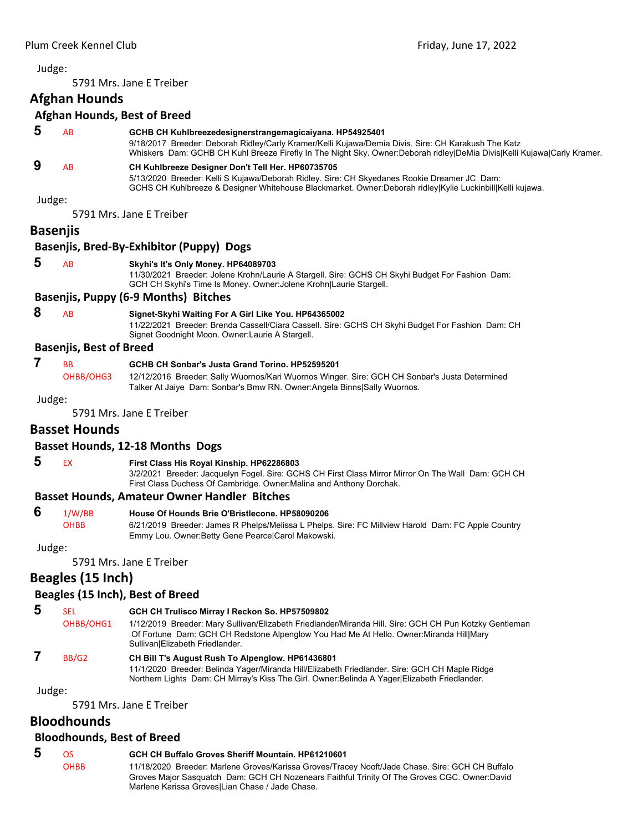<span id="page-10-0"></span>5791 Mrs. Jane E Treiber

### **Afghan Hounds**

#### **Afghan Hounds, Best of Breed**

| 5 | <b>AB</b> | GCHB CH Kuhlbreezedesignerstrangemagicaiyana. HP54925401<br>9/18/2017 Breeder: Deborah Ridley/Carly Kramer/Kelli Kujawa/Demia Divis. Sire: CH Karakush The Katz<br>Whiskers Dam: GCHB CH Kuhl Breeze Firefly In The Night Sky. Owner:Deborah ridley DeMia Divis Kelli Kujawa Carly Kramer. |
|---|-----------|--------------------------------------------------------------------------------------------------------------------------------------------------------------------------------------------------------------------------------------------------------------------------------------------|
| 9 | AR        | CH Kuhlbreeze Designer Don't Tell Her. HP60735705                                                                                                                                                                                                                                          |

5/13/2020 Breeder: Kelli S Kujawa/Deborah Ridley. Sire: CH Skyedanes Rookie Dreamer JC Dam: GCHS CH Kuhlbreeze & Designer Whitehouse Blackmarket. Owner:Deborah ridley|Kylie Luckinbill|Kelli kujawa.

Judge:

5791 Mrs. Jane E Treiber

# **Basenjis**

# **Basenjis, Bred‐By‐Exhibitor (Puppy) Dogs**

#### **5** AB **Skyhi's It's Only Money. HP64089703**

11/30/2021 Breeder: Jolene Krohn/Laurie A Stargell. Sire: GCHS CH Skyhi Budget For Fashion Dam: GCH CH Skyhi's Time Is Money. Owner:Jolene Krohn|Laurie Stargell.

#### **Basenjis, Puppy (6‐9 Months) Bitches**

#### **8** AB **Signet-Skyhi Waiting For A Girl Like You. HP64365002**

11/22/2021 Breeder: Brenda Cassell/Ciara Cassell. Sire: GCHS CH Skyhi Budget For Fashion Dam: CH Signet Goodnight Moon. Owner:Laurie A Stargell.

#### **Basenjis, Best of Breed**

OHBB/OHG3 12/12/2016 Breeder: Sally Wuornos/Kari Wuornos Winger. Sire: GCH CH Sonbar's Justa Determined Talker At Jaiye Dam: Sonbar's Bmw RN. Owner:Angela Binns|Sally Wuornos.

Judge:

5791 Mrs. Jane E Treiber

# **Basset Hounds**

#### **Basset Hounds, 12‐18 Months Dogs**

# **5** EX **First Class His Royal Kinship. HP62286803**

3/2/2021 Breeder: Jacquelyn Fogel. Sire: GCHS CH First Class Mirror Mirror On The Wall Dam: GCH CH First Class Duchess Of Cambridge. Owner:Malina and Anthony Dorchak.

#### **Basset Hounds, Amateur Owner Handler Bitches**

 **6** 1/W/BB **House Of Hounds Brie O'Bristlecone. HP58090206**

OHBB 6/21/2019 Breeder: James R Phelps/Melissa L Phelps. Sire: FC Millview Harold Dam: FC Apple Country Emmy Lou. Owner:Betty Gene Pearce|Carol Makowski.

#### Judge:

5791 Mrs. Jane E Treiber

# **Beagles (15 Inch)**

# **Beagles (15 Inch), Best of Breed**

 **5** SEL **GCH CH Trulisco Mirray I Reckon So. HP57509802** OHBB/OHG1 1/12/2019 Breeder: Mary Sullivan/Elizabeth Friedlander/Miranda Hill. Sire: GCH CH Pun Kotzky Gentleman Of Fortune Dam: GCH CH Redstone Alpenglow You Had Me At Hello. Owner:Miranda Hill|Mary Sullivan|Elizabeth Friedlander.

#### **7** BB/G2 **CH Bill T's August Rush To Alpenglow. HP61436801**

11/1/2020 Breeder: Belinda Yager/Miranda Hill/Elizabeth Friedlander. Sire: GCH CH Maple Ridge Northern Lights Dam: CH Mirray's Kiss The Girl. Owner:Belinda A Yager|Elizabeth Friedlander.

Judge:

5791 Mrs. Jane E Treiber

# **Bloodhounds**

# **Bloodhounds, Best of Breed**

 **5** OS **GCH CH Buffalo Groves Sheriff Mountain. HP61210601** OHBB 11/18/2020 Breeder: Marlene Groves/Karissa Groves/Tracey Nooft/Jade Chase. Sire: GCH CH Buffalo Groves Major Sasquatch Dam: GCH CH Nozenears Faithful Trinity Of The Groves CGC. Owner:David Marlene Karissa Groves|Lian Chase / Jade Chase.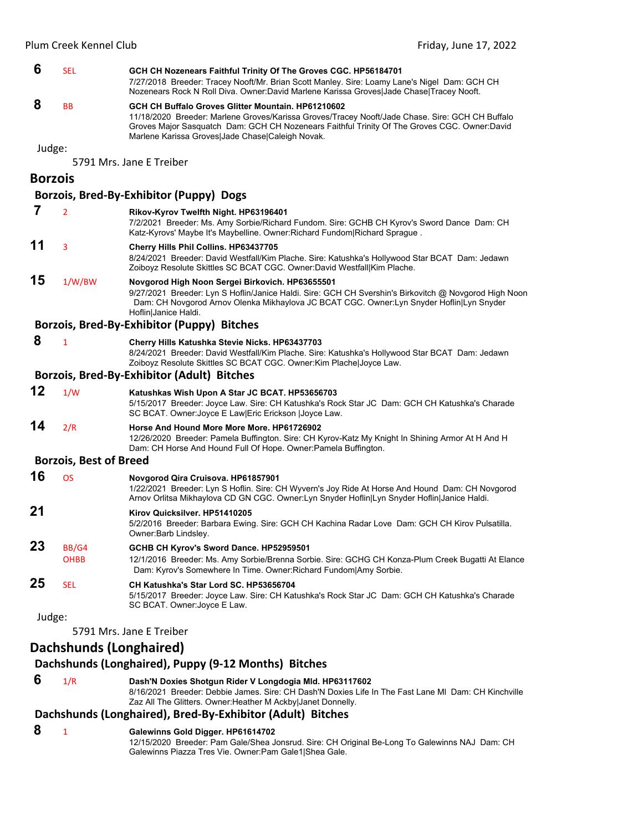#### **6** SEL **GCH CH Nozenears Faithful Trinity Of The Groves CGC. HP56184701** 7/27/2018 Breeder: Tracey Nooft/Mr. Brian Scott Manley. Sire: Loamy Lane's Nigel Dam: GCH CH Nozenears Rock N Roll Diva. Owner:David Marlene Karissa Groves|Jade Chase|Tracey Nooft.  **8** BB **GCH CH Buffalo Groves Glitter Mountain. HP61210602** 11/18/2020 Breeder: Marlene Groves/Karissa Groves/Tracey Nooft/Jade Chase. Sire: GCH CH Buffalo Groves Major Sasquatch Dam: GCH CH Nozenears Faithful Trinity Of The Groves CGC. Owner:David Marlene Karissa Groves|Jade Chase|Caleigh Novak. Judge: 5791 Mrs. Jane E Treiber **Borzois Borzois, Bred‐By‐Exhibitor (Puppy) Dogs 7** <sup>2</sup> **Rikov-Kyrov Twelfth Night. HP63196401** 7/2/2021 Breeder: Ms. Amy Sorbie/Richard Fundom. Sire: GCHB CH Kyrov's Sword Dance Dam: CH Katz-Kyrovs' Maybe It's Maybelline. Owner:Richard Fundom|Richard Sprague . **11** <sup>3</sup> **Cherry Hills Phil Collins. HP63437705** 8/24/2021 Breeder: David Westfall/Kim Plache. Sire: Katushka's Hollywood Star BCAT Dam: Jedawn Zoiboyz Resolute Skittles SC BCAT CGC. Owner:David Westfall|Kim Plache. **15** 1/W/BW **Novgorod High Noon Sergei Birkovich. HP63655501** 9/27/2021 Breeder: Lyn S Hoflin/Janice Haldi. Sire: GCH CH Svershin's Birkovitch @ Novgorod High Noon Dam: CH Novgorod Arnov Olenka Mikhaylova JC BCAT CGC. Owner:Lyn Snyder Hoflin|Lyn Snyder Hoflin|Janice Haldi. **Borzois, Bred‐By‐Exhibitor (Puppy) Bitches 8** <sup>1</sup> **Cherry Hills Katushka Stevie Nicks. HP63437703** 8/24/2021 Breeder: David Westfall/Kim Plache. Sire: Katushka's Hollywood Star BCAT Dam: Jedawn Zoiboyz Resolute Skittles SC BCAT CGC. Owner:Kim Plache|Joyce Law. **Borzois, Bred‐By‐Exhibitor (Adult) Bitches 12** 1/W **Katushkas Wish Upon A Star JC BCAT. HP53656703** 5/15/2017 Breeder: Joyce Law. Sire: CH Katushka's Rock Star JC Dam: GCH CH Katushka's Charade SC BCAT. Owner:Joyce E Law|Eric Erickson |Joyce Law. **14** 2/R **Horse And Hound More More More. HP61726902** 12/26/2020 Breeder: Pamela Buffington. Sire: CH Kyrov-Katz My Knight In Shining Armor At H And H Dam: CH Horse And Hound Full Of Hope. Owner:Pamela Buffington. **Borzois, Best of Breed 16** OS **Novgorod Qira Cruisova. HP61857901** 1/22/2021 Breeder: Lyn S Hoflin. Sire: CH Wyvern's Joy Ride At Horse And Hound Dam: CH Novgorod Arnov Orlitsa Mikhaylova CD GN CGC. Owner:Lyn Snyder Hoflin|Lyn Snyder Hoflin|Janice Haldi. **21 Kirov Quicksilver. HP51410205** 5/2/2016 Breeder: Barbara Ewing. Sire: GCH CH Kachina Radar Love Dam: GCH CH Kirov Pulsatilla. Owner:Barb Lindsley. **23** BB/G4 **GCHB CH Kyrov's Sword Dance. HP52959501** OHBB 12/1/2016 Breeder: Ms. Amy Sorbie/Brenna Sorbie. Sire: GCHG CH Konza-Plum Creek Bugatti At Elance Dam: Kyrov's Somewhere In Time. Owner:Richard Fundom|Amy Sorbie. **25** SEL **CH Katushka's Star Lord SC. HP53656704** 5/15/2017 Breeder: Joyce Law. Sire: CH Katushka's Rock Star JC Dam: GCH CH Katushka's Charade SC BCAT. Owner:Joyce E Law. Judge: 5791 Mrs. Jane E Treiber

# **Dachshunds (Longhaired)**

# **Dachshunds (Longhaired), Puppy (9‐12 Months) Bitches**

 **6** 1/R **Dash'N Doxies Shotgun Rider V Longdogia Mld. HP63117602** 8/16/2021 Breeder: Debbie James. Sire: CH Dash'N Doxies Life In The Fast Lane Ml Dam: CH Kinchville Zaz All The Glitters. Owner:Heather M Ackby|Janet Donnelly.

# **Dachshunds (Longhaired), Bred‐By‐Exhibitor (Adult) Bitches**

#### **8** <sup>1</sup> **Galewinns Gold Digger. HP61614702**

12/15/2020 Breeder: Pam Gale/Shea Jonsrud. Sire: CH Original Be-Long To Galewinns NAJ Dam: CH Galewinns Piazza Tres Vie. Owner:Pam Gale1|Shea Gale.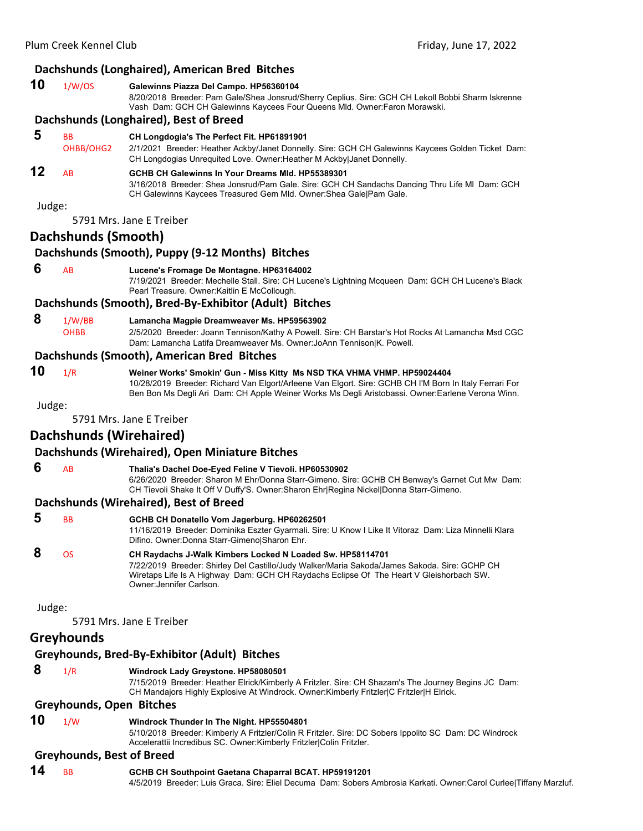# **Dachshunds (Longhaired), American Bred Bitches**

| 10 | 1/W/OS | Galewinns Piazza Del Campo. HP56360104                                                                                                                                          |
|----|--------|---------------------------------------------------------------------------------------------------------------------------------------------------------------------------------|
|    |        | 8/20/2018 Breeder: Pam Gale/Shea Jonsrud/Sherry Ceplius. Sire: GCH CH Lekoll Bobbi Sharm Iskrenne<br>Vash Dam: GCH CH Galewinns Kaycees Four Queens MId. Owner: Faron Morawski. |
|    |        |                                                                                                                                                                                 |

#### **Dachshunds (Longhaired), Best of Breed**

#### **5** BB **CH Longdogia's The Perfect Fit. HP61891901**

OHBB/OHG2 2/1/2021 Breeder: Heather Ackby/Janet Donnelly. Sire: GCH CH Galewinns Kaycees Golden Ticket Dam: CH Longdogias Unrequited Love. Owner:Heather M Ackby|Janet Donnelly.

# **12** AB **GCHB CH Galewinns In Your Dreams Mld. HP55389301**

3/16/2018 Breeder: Shea Jonsrud/Pam Gale. Sire: GCH CH Sandachs Dancing Thru Life Ml Dam: GCH CH Galewinns Kaycees Treasured Gem Mld. Owner:Shea Gale|Pam Gale.

Judge:

5791 Mrs. Jane E Treiber

# **Dachshunds (Smooth)**

#### **Dachshunds (Smooth), Puppy (9‐12 Months) Bitches**

 **6** AB **Lucene's Fromage De Montagne. HP63164002**

7/19/2021 Breeder: Mechelle Stall. Sire: CH Lucene's Lightning Mcqueen Dam: GCH CH Lucene's Black Pearl Treasure. Owner:Kaitlin E McCollough.

#### **Dachshunds (Smooth), Bred‐By‐Exhibitor (Adult) Bitches**

#### **8** 1/W/BB **Lamancha Magpie Dreamweaver Ms. HP59563902**

OHBB 2/5/2020 Breeder: Joann Tennison/Kathy A Powell. Sire: CH Barstar's Hot Rocks At Lamancha Msd CGC Dam: Lamancha Latifa Dreamweaver Ms. Owner:JoAnn Tennison|K. Powell.

#### **Dachshunds (Smooth), American Bred Bitches**

**10** 1/R **Weiner Works' Smokin' Gun - Miss Kitty Ms NSD TKA VHMA VHMP. HP59024404** 10/28/2019 Breeder: Richard Van Elgort/Arleene Van Elgort. Sire: GCHB CH I'M Born In Italy Ferrari For Ben Bon Ms Degli Ari Dam: CH Apple Weiner Works Ms Degli Aristobassi. Owner:Earlene Verona Winn.

Judge:

5791 Mrs. Jane E Treiber

# **Dachshunds (Wirehaired)**

### **Dachshunds (Wirehaired), Open Miniature Bitches**

 **6** AB **Thalia's Dachel Doe-Eyed Feline V Tievoli. HP60530902**

6/26/2020 Breeder: Sharon M Ehr/Donna Starr-Gimeno. Sire: GCHB CH Benway's Garnet Cut Mw Dam: CH Tievoli Shake It Off V Duffy'S. Owner:Sharon Ehr|Regina Nickel|Donna Starr-Gimeno.

#### **Dachshunds (Wirehaired), Best of Breed**

| 5 | <b>BB</b> | GCHB CH Donatello Vom Jagerburg. HP60262501<br>11/16/2019 Breeder: Dominika Eszter Gyarmali. Sire: U Know I Like It Vitoraz Dam: Liza Minnelli Klara<br>Difino. Owner: Donna Starr-Gimeno Sharon Ehr.                                                                            |
|---|-----------|----------------------------------------------------------------------------------------------------------------------------------------------------------------------------------------------------------------------------------------------------------------------------------|
| 8 | OS.       | CH Raydachs J-Walk Kimbers Locked N Loaded Sw. HP58114701<br>7/22/2019 Breeder: Shirley Del Castillo/Judy Walker/Maria Sakoda/James Sakoda. Sire: GCHP CH<br>Wiretaps Life Is A Highway Dam: GCH CH Raydachs Eclipse Of The Heart V Gleishorbach SW.<br>Owner: Jennifer Carlson. |

Judge:

5791 Mrs. Jane E Treiber

#### **Greyhounds**

# **Greyhounds, Bred‐By‐Exhibitor (Adult) Bitches**

#### **8** 1/R **Windrock Lady Greystone. HP58080501**

7/15/2019 Breeder: Heather Elrick/Kimberly A Fritzler. Sire: CH Shazam's The Journey Begins JC Dam: CH Mandajors Highly Explosive At Windrock. Owner:Kimberly Fritzler|C Fritzler|H Elrick.

#### **Greyhounds, Open Bitches**

**10** 1/W **Windrock Thunder In The Night. HP55504801**

5/10/2018 Breeder: Kimberly A Fritzler/Colin R Fritzler. Sire: DC Sobers Ippolito SC Dam: DC Windrock Accelerattii Incredibus SC. Owner:Kimberly Fritzler|Colin Fritzler.

#### **Greyhounds, Best of Breed**

**14** BB **GCHB CH Southpoint Gaetana Chaparral BCAT. HP59191201** 4/5/2019 Breeder: Luis Graca. Sire: Eliel Decuma Dam: Sobers Ambrosia Karkati. Owner:Carol Curlee|Tiffany Marzluf.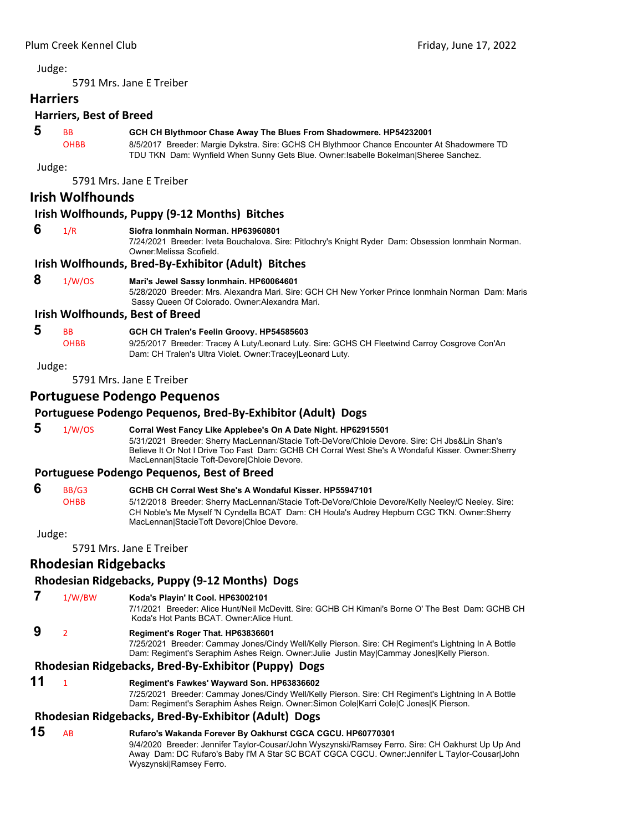5791 Mrs. Jane E Treiber

# **Harriers**

# **Harriers, Best of Breed**

# **5** BB **GCH CH Blythmoor Chase Away The Blues From Shadowmere. HP54232001**

OHBB 8/5/2017 Breeder: Margie Dykstra. Sire: GCHS CH Blythmoor Chance Encounter At Shadowmere TD TDU TKN Dam: Wynfield When Sunny Gets Blue. Owner:Isabelle Bokelman|Sheree Sanchez.

#### Judge:

5791 Mrs. Jane E Treiber

# **Irish Wolfhounds**

#### **Irish Wolfhounds, Puppy (9‐12 Months) Bitches**

#### **6** 1/R **Siofra Ionmhain Norman. HP63960801**

7/24/2021 Breeder: Iveta Bouchalova. Sire: Pitlochry's Knight Ryder Dam: Obsession Ionmhain Norman. Owner:Melissa Scofield.

#### **Irish Wolfhounds, Bred‐By‐Exhibitor (Adult) Bitches**

# **8** 1/W/OS **Mari's Jewel Sassy Ionmhain. HP60064601**

5/28/2020 Breeder: Mrs. Alexandra Mari. Sire: GCH CH New Yorker Prince Ionmhain Norman Dam: Maris Sassy Queen Of Colorado. Owner:Alexandra Mari.

#### **Irish Wolfhounds, Best of Breed**

#### **5** BB **GCH CH Tralen's Feelin Groovy. HP54585603**

OHBB 9/25/2017 Breeder: Tracey A Luty/Leonard Luty. Sire: GCHS CH Fleetwind Carroy Cosgrove Con'An Dam: CH Tralen's Ultra Violet. Owner:Tracey|Leonard Luty.

#### Judge:

5791 Mrs. Jane E Treiber

#### **Portuguese Podengo Pequenos**

#### **Portuguese Podengo Pequenos, Bred‐By‐Exhibitor (Adult) Dogs**

 **5** 1/W/OS **Corral West Fancy Like Applebee's On A Date Night. HP62915501** 5/31/2021 Breeder: Sherry MacLennan/Stacie Toft-DeVore/Chloie Devore. Sire: CH Jbs&Lin Shan's Believe It Or Not I Drive Too Fast Dam: GCHB CH Corral West She's A Wondaful Kisser. Owner:Sherry MacLennan|Stacie Toft-Devore|Chloie Devore.

#### **Portuguese Podengo Pequenos, Best of Breed**

#### **6** BB/G3 **GCHB CH Corral West She's A Wondaful Kisser. HP55947101** OHBB 5/12/2018 Breeder: Sherry MacLennan/Stacie Toft-DeVore/Chloie Devore/Kelly Neeley/C Neeley. Sire: CH Noble's Me Myself 'N Cyndella BCAT Dam: CH Houla's Audrey Hepburn CGC TKN. Owner:Sherry MacLennan|StacieToft Devore|Chloe Devore.

#### Judge:

5791 Mrs. Jane E Treiber

# **Rhodesian Ridgebacks**

#### **Rhodesian Ridgebacks, Puppy (9‐12 Months) Dogs**

### **7** 1/W/BW **Koda's Playin' It Cool. HP63002101**

7/1/2021 Breeder: Alice Hunt/Neil McDevitt. Sire: GCHB CH Kimani's Borne O' The Best Dam: GCHB CH Koda's Hot Pants BCAT. Owner:Alice Hunt.

# **9** <sup>2</sup> **Regiment's Roger That. HP63836601**

7/25/2021 Breeder: Cammay Jones/Cindy Well/Kelly Pierson. Sire: CH Regiment's Lightning In A Bottle Dam: Regiment's Seraphim Ashes Reign. Owner:Julie Justin May|Cammay Jones|Kelly Pierson.

# **Rhodesian Ridgebacks, Bred‐By‐Exhibitor (Puppy) Dogs**

#### **11** <sup>1</sup> **Regiment's Fawkes' Wayward Son. HP63836602**

7/25/2021 Breeder: Cammay Jones/Cindy Well/Kelly Pierson. Sire: CH Regiment's Lightning In A Bottle Dam: Regiment's Seraphim Ashes Reign. Owner:Simon Cole|Karri Cole|C Jones|K Pierson.

#### **Rhodesian Ridgebacks, Bred‐By‐Exhibitor (Adult) Dogs**

#### **15** AB **Rufaro's Wakanda Forever By Oakhurst CGCA CGCU. HP60770301** 9/4/2020 Breeder: Jennifer Taylor-Cousar/John Wyszynski/Ramsey Ferro. Sire: CH Oakhurst Up Up And

Away Dam: DC Rufaro's Baby I'M A Star SC BCAT CGCA CGCU. Owner:Jennifer L Taylor-Cousar|John Wyszynski|Ramsey Ferro.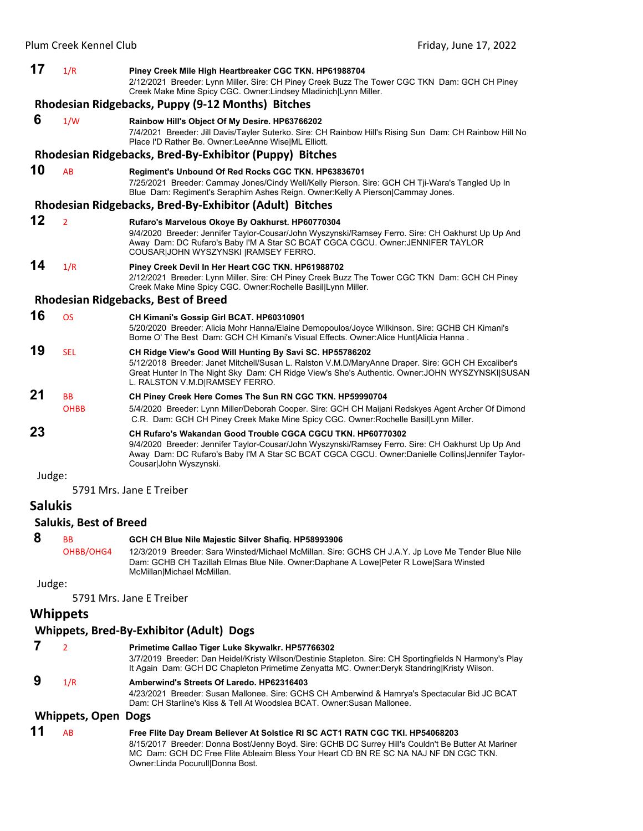| 17     | 1/R                      | Piney Creek Mile High Heartbreaker CGC TKN. HP61988704<br>2/12/2021 Breeder: Lynn Miller. Sire: CH Piney Creek Buzz The Tower CGC TKN Dam: GCH CH Piney<br>Creek Make Mine Spicy CGC. Owner: Lindsey Mladinich Lynn Miller.                                                                        |
|--------|--------------------------|----------------------------------------------------------------------------------------------------------------------------------------------------------------------------------------------------------------------------------------------------------------------------------------------------|
|        |                          | Rhodesian Ridgebacks, Puppy (9-12 Months) Bitches                                                                                                                                                                                                                                                  |
| 6      | 1/W                      | Rainbow Hill's Object Of My Desire. HP63766202<br>7/4/2021 Breeder: Jill Davis/Tayler Suterko. Sire: CH Rainbow Hill's Rising Sun Dam: CH Rainbow Hill No<br>Place I'D Rather Be. Owner:LeeAnne Wise ML Elliott.                                                                                   |
|        |                          | Rhodesian Ridgebacks, Bred-By-Exhibitor (Puppy) Bitches                                                                                                                                                                                                                                            |
| 10     | AB                       | Regiment's Unbound Of Red Rocks CGC TKN. HP63836701<br>7/25/2021 Breeder: Cammay Jones/Cindy Well/Kelly Pierson. Sire: GCH CH Tji-Wara's Tangled Up In<br>Blue Dam: Regiment's Seraphim Ashes Reign. Owner: Kelly A Pierson Cammay Jones.                                                          |
|        |                          | Rhodesian Ridgebacks, Bred-By-Exhibitor (Adult) Bitches                                                                                                                                                                                                                                            |
| 12     | $\overline{2}$           | Rufaro's Marvelous Okoye By Oakhurst. HP60770304<br>9/4/2020 Breeder: Jennifer Taylor-Cousar/John Wyszynski/Ramsey Ferro. Sire: CH Oakhurst Up Up And<br>Away Dam: DC Rufaro's Baby I'M A Star SC BCAT CGCA CGCU. Owner: JENNIFER TAYLOR<br>COUSAR JOHN WYSZYNSKI  RAMSEY FERRO.                   |
| 14     | 1/R                      | Piney Creek Devil In Her Heart CGC TKN. HP61988702<br>2/12/2021 Breeder: Lynn Miller. Sire: CH Piney Creek Buzz The Tower CGC TKN Dam: GCH CH Piney<br>Creek Make Mine Spicy CGC. Owner: Rochelle Basil Lynn Miller.                                                                               |
|        |                          | <b>Rhodesian Ridgebacks, Best of Breed</b>                                                                                                                                                                                                                                                         |
| 16     | <b>OS</b>                | CH Kimani's Gossip Girl BCAT. HP60310901<br>5/20/2020 Breeder: Alicia Mohr Hanna/Elaine Demopoulos/Joyce Wilkinson. Sire: GCHB CH Kimani's<br>Borne O' The Best Dam: GCH CH Kimani's Visual Effects. Owner: Alice Hunt Alicia Hanna.                                                               |
| 19     | <b>SEL</b>               | CH Ridge View's Good Will Hunting By Savi SC. HP55786202<br>5/12/2018 Breeder: Janet Mitchell/Susan L. Ralston V.M.D/MaryAnne Draper. Sire: GCH CH Excaliber's<br>Great Hunter In The Night Sky Dam: CH Ridge View's She's Authentic. Owner:JOHN WYSZYNSKI SUSAN<br>L. RALSTON V.M.D RAMSEY FERRO. |
| 21     | <b>BB</b><br><b>OHBB</b> | CH Piney Creek Here Comes The Sun RN CGC TKN. HP59990704<br>5/4/2020 Breeder: Lynn Miller/Deborah Cooper. Sire: GCH CH Maijani Redskyes Agent Archer Of Dimond<br>C.R. Dam: GCH CH Piney Creek Make Mine Spicy CGC. Owner: Rochelle Basil Lynn Miller.                                             |
| 23     |                          | CH Rufaro's Wakandan Good Trouble CGCA CGCU TKN, HP60770302<br>9/4/2020 Breeder: Jennifer Taylor-Cousar/John Wyszynski/Ramsey Ferro. Sire: CH Oakhurst Up Up And<br>Away Dam: DC Rufaro's Baby I'M A Star SC BCAT CGCA CGCU. Owner:Danielle Collins Jennifer Taylor-<br>Cousar John Wyszynski.     |
| Judge: |                          |                                                                                                                                                                                                                                                                                                    |

5791 Mrs. Jane E Treiber

# **Salukis**

#### **Salukis, Best of Breed**

| 8      | <b>BB</b> | GCH CH Blue Nile Majestic Silver Shafig. HP58993906                                                |
|--------|-----------|----------------------------------------------------------------------------------------------------|
|        | OHBB/OHG4 | 12/3/2019 Breeder: Sara Winsted/Michael McMillan. Sire: GCHS CH J.A.Y. Jp Love Me Tender Blue Nile |
|        |           | Dam: GCHB CH Tazillah Elmas Blue Nile. Owner:Daphane A Lowe Peter R Lowe Sara Winsted              |
|        |           | McMillanIMichael McMillan.                                                                         |
| Judge: |           |                                                                                                    |

Judge:

5791 Mrs. Jane E Treiber

#### **Whippets**

# **Whippets, Bred‐By‐Exhibitor (Adult) Dogs**

 **7** <sup>2</sup> **Primetime Callao Tiger Luke Skywalkr. HP57766302** 3/7/2019 Breeder: Dan Heidel/Kristy Wilson/Destinie Stapleton. Sire: CH Sportingfields N Harmony's Play It Again Dam: GCH DC Chapleton Primetime Zenyatta MC. Owner:Deryk Standring|Kristy Wilson.

# **9** 1/R **Amberwind's Streets Of Laredo. HP62316403**

4/23/2021 Breeder: Susan Mallonee. Sire: GCHS CH Amberwind & Hamrya's Spectacular Bid JC BCAT Dam: CH Starline's Kiss & Tell At Woodslea BCAT. Owner:Susan Mallonee.

# **Whippets, Open Dogs**

#### **11** AB **Free Flite Day Dream Believer At Solstice RI SC ACT1 RATN CGC TKI. HP54068203** 8/15/2017 Breeder: Donna Bost/Jenny Boyd. Sire: GCHB DC Surrey Hill's Couldn't Be Butter At Mariner MC Dam: GCH DC Free Flite Ableaim Bless Your Heart CD BN RE SC NA NAJ NF DN CGC TKN. Owner:Linda Pocurull|Donna Bost.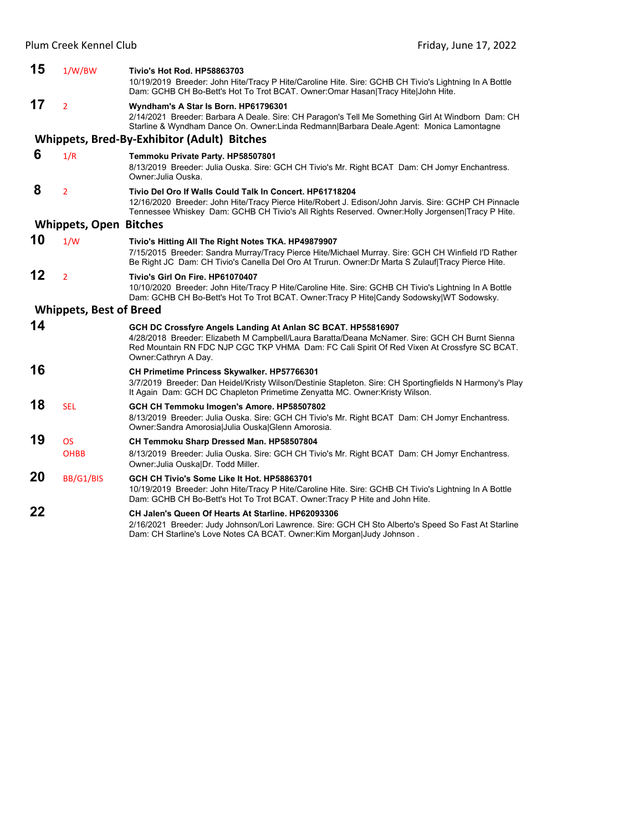| 15 | 1/W/BW                         | Tivio's Hot Rod. HP58863703                                                                                                                                                                                                                                                           |
|----|--------------------------------|---------------------------------------------------------------------------------------------------------------------------------------------------------------------------------------------------------------------------------------------------------------------------------------|
|    |                                | 10/19/2019 Breeder: John Hite/Tracy P Hite/Caroline Hite. Sire: GCHB CH Tivio's Lightning In A Bottle<br>Dam: GCHB CH Bo-Bett's Hot To Trot BCAT. Owner:Omar Hasan Tracy Hite John Hite.                                                                                              |
| 17 | $\overline{2}$                 | Wyndham's A Star Is Born. HP61796301<br>2/14/2021 Breeder: Barbara A Deale. Sire: CH Paragon's Tell Me Something Girl At Windborn Dam: CH<br>Starline & Wyndham Dance On. Owner:Linda Redmann Barbara Deale.Agent: Monica Lamontagne                                                  |
|    |                                | <b>Whippets, Bred-By-Exhibitor (Adult) Bitches</b>                                                                                                                                                                                                                                    |
| 6  | 1/R                            | Temmoku Private Party. HP58507801<br>8/13/2019 Breeder: Julia Ouska. Sire: GCH CH Tivio's Mr. Right BCAT Dam: CH Jomyr Enchantress.<br>Owner: Julia Ouska.                                                                                                                            |
| 8  | $\overline{2}$                 | Tivio Del Oro If Walls Could Talk In Concert, HP61718204<br>12/16/2020 Breeder: John Hite/Tracy Pierce Hite/Robert J. Edison/John Jarvis. Sire: GCHP CH Pinnacle<br>Tennessee Whiskey Dam: GCHB CH Tivio's All Rights Reserved. Owner: Holly Jorgensen Tracy P Hite.                  |
|    | <b>Whippets, Open</b>          | <b>Bitches</b>                                                                                                                                                                                                                                                                        |
| 10 | 1/W                            | Tivio's Hitting All The Right Notes TKA. HP49879907<br>7/15/2015 Breeder: Sandra Murray/Tracy Pierce Hite/Michael Murray, Sire: GCH CH Winfield I'D Rather<br>Be Right JC Dam: CH Tivio's Canella Del Oro At Trurun. Owner: Dr Marta S Zulauf Tracy Pierce Hite.                      |
| 12 | $\overline{2}$                 | Tivio's Girl On Fire, HP61070407<br>10/10/2020 Breeder: John Hite/Tracy P Hite/Caroline Hite. Sire: GCHB CH Tivio's Lightning In A Bottle<br>Dam: GCHB CH Bo-Bett's Hot To Trot BCAT. Owner: Tracy P Hite Candy Sodowsky WT Sodowsky.                                                 |
|    | <b>Whippets, Best of Breed</b> |                                                                                                                                                                                                                                                                                       |
| 14 |                                | GCH DC Crossfyre Angels Landing At Anlan SC BCAT. HP55816907<br>4/28/2018 Breeder: Elizabeth M Campbell/Laura Baratta/Deana McNamer. Sire: GCH CH Burnt Sienna<br>Red Mountain RN FDC NJP CGC TKP VHMA Dam: FC Cali Spirit Of Red Vixen At Crossfyre SC BCAT.<br>Owner:Cathryn A Day. |
| 16 |                                | CH Primetime Princess Skywalker. HP57766301<br>3/7/2019 Breeder: Dan Heidel/Kristy Wilson/Destinie Stapleton. Sire: CH Sportingfields N Harmony's Play<br>It Again Dam: GCH DC Chapleton Primetime Zenyatta MC. Owner: Kristy Wilson.                                                 |
| 18 | <b>SEL</b>                     | GCH CH Temmoku Imogen's Amore. HP58507802<br>8/13/2019 Breeder: Julia Ouska. Sire: GCH CH Tivio's Mr. Right BCAT Dam: CH Jomyr Enchantress.<br>Owner: Sandra Amorosia Julia Ouska Glenn Amorosia.                                                                                     |
| 19 | <b>OS</b><br><b>OHBB</b>       | CH Temmoku Sharp Dressed Man. HP58507804<br>8/13/2019 Breeder: Julia Ouska. Sire: GCH CH Tivio's Mr. Right BCAT Dam: CH Jomyr Enchantress.<br>Owner: Julia Ouska Dr. Todd Miller.                                                                                                     |
| 20 | BB/G1/BIS                      | GCH CH Tivio's Some Like It Hot, HP58863701<br>10/19/2019 Breeder: John Hite/Tracy P Hite/Caroline Hite. Sire: GCHB CH Tivio's Lightning In A Bottle<br>Dam: GCHB CH Bo-Bett's Hot To Trot BCAT. Owner: Tracy P Hite and John Hite.                                                   |
| 22 |                                | CH Jalen's Queen Of Hearts At Starline. HP62093306<br>2/16/2021 Breeder: Judy Johnson/Lori Lawrence. Sire: GCH CH Sto Alberto's Speed So Fast At Starline<br>Dam: CH Starline's Love Notes CA BCAT. Owner: Kim Morgan Judy Johnson.                                                   |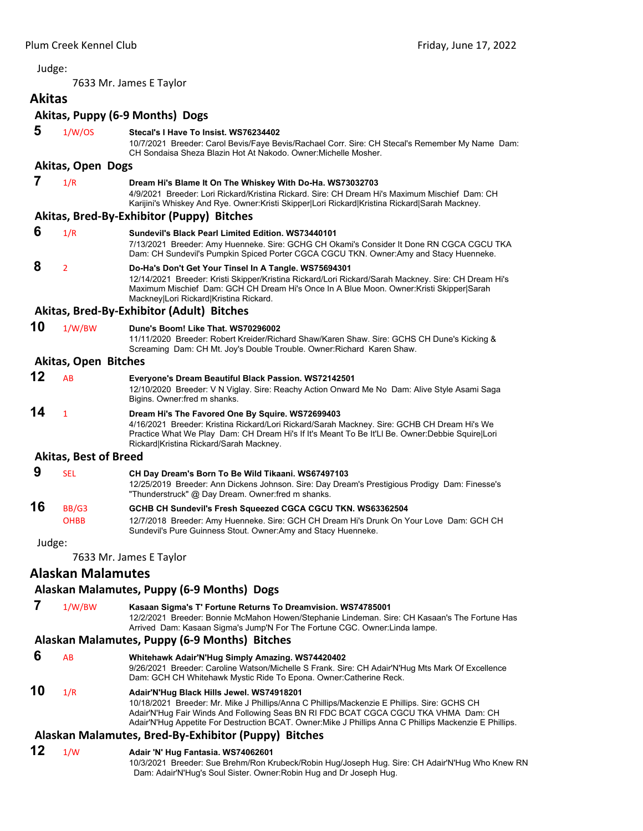7633 Mr. James E Taylor

#### <span id="page-16-0"></span>**Akitas Akitas, Puppy (6‐9 Months) Dogs 5** 1/W/OS **Stecal's I Have To Insist. WS76234402** 10/7/2021 Breeder: Carol Bevis/Faye Bevis/Rachael Corr. Sire: CH Stecal's Remember My Name Dam: CH Sondaisa Sheza Blazin Hot At Nakodo. Owner:Michelle Mosher. **Akitas, Open Dogs 7** 1/R **Dream Hi's Blame It On The Whiskey With Do-Ha. WS73032703** 4/9/2021 Breeder: Lori Rickard/Kristina Rickard. Sire: CH Dream Hi's Maximum Mischief Dam: CH Karijini's Whiskey And Rye. Owner:Kristi Skipper|Lori Rickard|Kristina Rickard|Sarah Mackney. **Akitas, Bred‐By‐Exhibitor (Puppy) Bitches 6** 1/R **Sundevil's Black Pearl Limited Edition. WS73440101** 7/13/2021 Breeder: Amy Huenneke. Sire: GCHG CH Okami's Consider It Done RN CGCA CGCU TKA Dam: CH Sundevil's Pumpkin Spiced Porter CGCA CGCU TKN. Owner:Amy and Stacy Huenneke.  **8** <sup>2</sup> **Do-Ha's Don't Get Your Tinsel In A Tangle. WS75694301** 12/14/2021 Breeder: Kristi Skipper/Kristina Rickard/Lori Rickard/Sarah Mackney. Sire: CH Dream Hi's Maximum Mischief Dam: GCH CH Dream Hi's Once In A Blue Moon. Owner:Kristi Skipper|Sarah Mackney|Lori Rickard|Kristina Rickard. **Akitas, Bred‐By‐Exhibitor (Adult) Bitches 10** 1/W/BW **Dune's Boom! Like That. WS70296002** 11/11/2020 Breeder: Robert Kreider/Richard Shaw/Karen Shaw. Sire: GCHS CH Dune's Kicking & Screaming Dam: CH Mt. Joy's Double Trouble. Owner:Richard Karen Shaw. **Akitas, Open Bitches 12** AB **Everyone's Dream Beautiful Black Passion. WS72142501** 12/10/2020 Breeder: V N Viglay. Sire: Reachy Action Onward Me No Dam: Alive Style Asami Saga Bigins. Owner:fred m shanks. **14** <sup>1</sup> **Dream Hi's The Favored One By Squire. WS72699403** 4/16/2021 Breeder: Kristina Rickard/Lori Rickard/Sarah Mackney. Sire: GCHB CH Dream Hi's We Practice What We Play Dam: CH Dream Hi's If It's Meant To Be It'Ll Be. Owner:Debbie Squire|Lori Rickard|Kristina Rickard/Sarah Mackney. **Akitas, Best of Breed 9** SEL **CH Day Dream's Born To Be Wild Tikaani. WS67497103** 12/25/2019 Breeder: Ann Dickens Johnson. Sire: Day Dream's Prestigious Prodigy Dam: Finesse's "Thunderstruck" @ Day Dream. Owner:fred m shanks. **16** BB/G3 **GCHB CH Sundevil's Fresh Squeezed CGCA CGCU TKN. WS63362504** OHBB 12/7/2018 Breeder: Amy Huenneke. Sire: GCH CH Dream Hi's Drunk On Your Love Dam: GCH CH Sundevil's Pure Guinness Stout. Owner:Amy and Stacy Huenneke. Judge: 7633 Mr. James E Taylor **Alaskan Malamutes Alaskan Malamutes, Puppy (6‐9 Months) Dogs 7** 1/W/BW **Kasaan Sigma's T' Fortune Returns To Dreamvision. WS74785001** 12/2/2021 Breeder: Bonnie McMahon Howen/Stephanie Lindeman. Sire: CH Kasaan's The Fortune Has Arrived Dam: Kasaan Sigma's Jump'N For The Fortune CGC. Owner:Linda lampe. **Alaskan Malamutes, Puppy (6‐9 Months) Bitches 6** AB **Whitehawk Adair'N'Hug Simply Amazing. WS74420402** 9/26/2021 Breeder: Caroline Watson/Michelle S Frank. Sire: CH Adair'N'Hug Mts Mark Of Excellence Dam: GCH CH Whitehawk Mystic Ride To Epona. Owner:Catherine Reck.

# **10** 1/R **Adair'N'Hug Black Hills Jewel. WS74918201**

10/18/2021 Breeder: Mr. Mike J Phillips/Anna C Phillips/Mackenzie E Phillips. Sire: GCHS CH Adair'N'Hug Fair Winds And Following Seas BN RI FDC BCAT CGCA CGCU TKA VHMA Dam: CH Adair'N'Hug Appetite For Destruction BCAT. Owner:Mike J Phillips Anna C Phillips Mackenzie E Phillips.

# **Alaskan Malamutes, Bred‐By‐Exhibitor (Puppy) Bitches**

### **12** 1/W **Adair 'N' Hug Fantasia. WS74062601**

10/3/2021 Breeder: Sue Brehm/Ron Krubeck/Robin Hug/Joseph Hug. Sire: CH Adair'N'Hug Who Knew RN Dam: Adair'N'Hug's Soul Sister. Owner:Robin Hug and Dr Joseph Hug.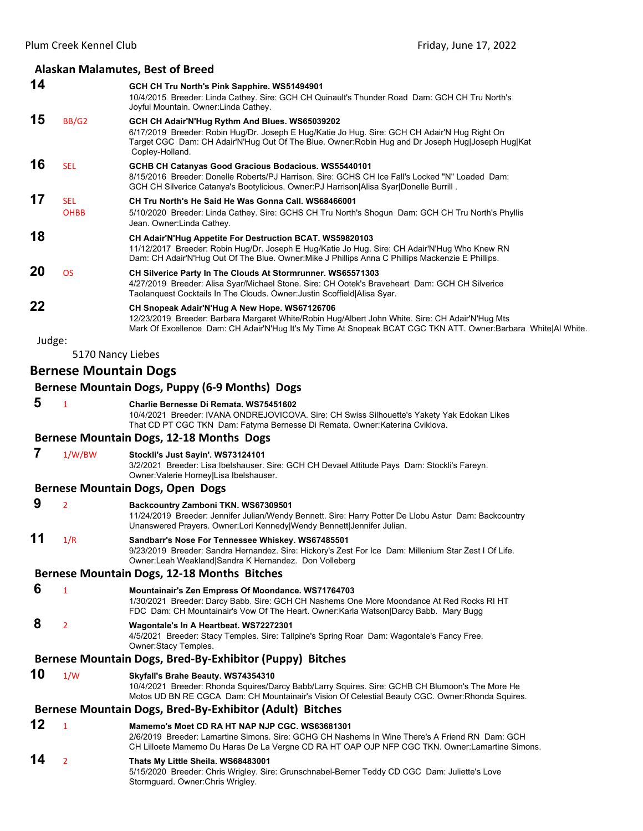# **Alaskan Malamutes, Best of Breed**

|        |                              | Alaskan Malamutes, Best of Breed                                                                                                                                                                                                                                       |
|--------|------------------------------|------------------------------------------------------------------------------------------------------------------------------------------------------------------------------------------------------------------------------------------------------------------------|
| 14     |                              | GCH CH Tru North's Pink Sapphire. WS51494901<br>10/4/2015 Breeder: Linda Cathey. Sire: GCH CH Quinault's Thunder Road Dam: GCH CH Tru North's<br>Joyful Mountain. Owner: Linda Cathey.                                                                                 |
| 15     | BB/G2                        | GCH CH Adair'N'Hug Rythm And Blues. WS65039202<br>6/17/2019 Breeder: Robin Hug/Dr. Joseph E Hug/Katie Jo Hug. Sire: GCH CH Adair'N Hug Right On<br>Target CGC Dam: CH Adair'N'Hug Out Of The Blue. Owner:Robin Hug and Dr Joseph Hug Joseph Hug Kat<br>Copley-Holland. |
| 16     | <b>SEL</b>                   | GCHB CH Catanyas Good Gracious Bodacious. WS55440101<br>8/15/2016 Breeder: Donelle Roberts/PJ Harrison. Sire: GCHS CH Ice Fall's Locked "N" Loaded Dam:<br>GCH CH Silverice Catanya's Bootylicious. Owner: PJ Harrison Alisa Syar Donelle Burrill.                     |
| 17     | <b>SEL</b><br><b>OHBB</b>    | CH Tru North's He Said He Was Gonna Call. WS68466001<br>5/10/2020 Breeder: Linda Cathey. Sire: GCHS CH Tru North's Shogun Dam: GCH CH Tru North's Phyllis<br>Jean. Owner: Linda Cathey.                                                                                |
| 18     |                              | CH Adair'N'Hug Appetite For Destruction BCAT. WS59820103<br>11/12/2017 Breeder: Robin Hug/Dr. Joseph E Hug/Katie Jo Hug. Sire: CH Adair'N'Hug Who Knew RN<br>Dam: CH Adair'N'Hug Out Of The Blue. Owner:Mike J Phillips Anna C Phillips Mackenzie E Phillips.          |
| 20     | <b>OS</b>                    | CH Silverice Party In The Clouds At Stormrunner. WS65571303<br>4/27/2019 Breeder: Alisa Syar/Michael Stone. Sire: CH Ootek's Braveheart Dam: GCH CH Silverice<br>Taolanquest Cocktails In The Clouds. Owner: Justin Scoffield Alisa Syar.                              |
| 22     |                              | CH Snopeak Adair'N'Hug A New Hope. WS67126706<br>12/23/2019 Breeder: Barbara Margaret White/Robin Hug/Albert John White. Sire: CH Adair'N'Hug Mts<br>Mark Of Excellence Dam: CH Adair'N'Hug It's My Time At Snopeak BCAT CGC TKN ATT. Owner:Barbara White Al White.    |
| Judge: |                              |                                                                                                                                                                                                                                                                        |
|        | 5170 Nancy Liebes            |                                                                                                                                                                                                                                                                        |
|        | <b>Bernese Mountain Dogs</b> |                                                                                                                                                                                                                                                                        |
|        |                              | <b>Bernese Mountain Dogs, Puppy (6-9 Months) Dogs</b>                                                                                                                                                                                                                  |
| 5      | 1                            | Charlie Bernesse Di Remata. WS75451602<br>10/4/2021 Breeder: IVANA ONDREJOVICOVA. Sire: CH Swiss Silhouette's Yakety Yak Edokan Likes<br>That CD PT CGC TKN Dam: Fatyma Bernesse Di Remata. Owner: Katerina Cviklova.                                                  |
|        |                              | Bernese Mountain Dogs, 12-18 Months Dogs                                                                                                                                                                                                                               |
| 7      | 1/W/BW                       | Stockli's Just Sayin'. WS73124101<br>3/2/2021 Breeder: Lisa Ibelshauser. Sire: GCH CH Devael Attitude Pays Dam: Stockli's Fareyn.<br>Owner: Valerie Horney Lisa Ibelshauser.                                                                                           |
|        |                              | <b>Bernese Mountain Dogs, Open Dogs</b>                                                                                                                                                                                                                                |
| 9      | 2                            | Backcountry Zamboni TKN. WS67309501<br>11/24/2019 Breeder: Jennifer Julian/Wendy Bennett. Sire: Harry Potter De Llobu Astur Dam: Backcountry<br>Unanswered Prayers. Owner:Lori Kennedy Wendy Bennett Jennifer Julian.                                                  |
| 11     | 1/R                          | Sandbarr's Nose For Tennessee Whiskey. WS67485501<br>9/23/2019 Breeder: Sandra Hernandez. Sire: Hickory's Zest For Ice Dam: Millenium Star Zest I Of Life.<br>Owner:Leah Weakland Sandra K Hernandez. Don Volleberg                                                    |
|        |                              | <b>Bernese Mountain Dogs, 12-18 Months Bitches</b>                                                                                                                                                                                                                     |
| 6      | $\mathbf{1}$                 | Mountainair's Zen Empress Of Moondance. WS71764703<br>1/30/2021 Breeder: Darcy Babb. Sire: GCH CH Nashems One More Moondance At Red Rocks RI HT<br>FDC Dam: CH Mountainair's Vow Of The Heart. Owner: Karla Watson Darcy Babb. Mary Bugg                               |
| 8      | 2                            | Wagontale's In A Heartbeat. WS72272301<br>4/5/2021 Breeder: Stacy Temples. Sire: Tallpine's Spring Roar Dam: Wagontale's Fancy Free.<br>Owner:Stacy Temples.                                                                                                           |
|        |                              | Bernese Mountain Dogs, Bred-By-Exhibitor (Puppy) Bitches                                                                                                                                                                                                               |
| 10     | 1/W                          | Skyfall's Brahe Beauty. WS74354310<br>10/4/2021 Breeder: Rhonda Squires/Darcy Babb/Larry Squires. Sire: GCHB CH Blumoon's The More He<br>Motos UD BN RE CGCA Dam: CH Mountainair's Vision Of Celestial Beauty CGC. Owner:Rhonda Squires.                               |
|        |                              | Bernese Mountain Dogs, Bred-By-Exhibitor (Adult) Bitches                                                                                                                                                                                                               |
| 12     | $\mathbf{1}$                 | Mamemo's Moet CD RA HT NAP NJP CGC, WS63681301<br>2/6/2019 Breeder: Lamartine Simons. Sire: GCHG CH Nashems In Wine There's A Friend RN Dam: GCH<br>CH Lilloete Mamemo Du Haras De La Vergne CD RA HT OAP OJP NFP CGC TKN. Owner: Lamartine Simons.                    |
| 14     | 2                            | Thats My Little Sheila. WS68483001                                                                                                                                                                                                                                     |

5/15/2020 Breeder: Chris Wrigley. Sire: Grunschnabel-Berner Teddy CD CGC Dam: Juliette's Love Stormguard. Owner:Chris Wrigley.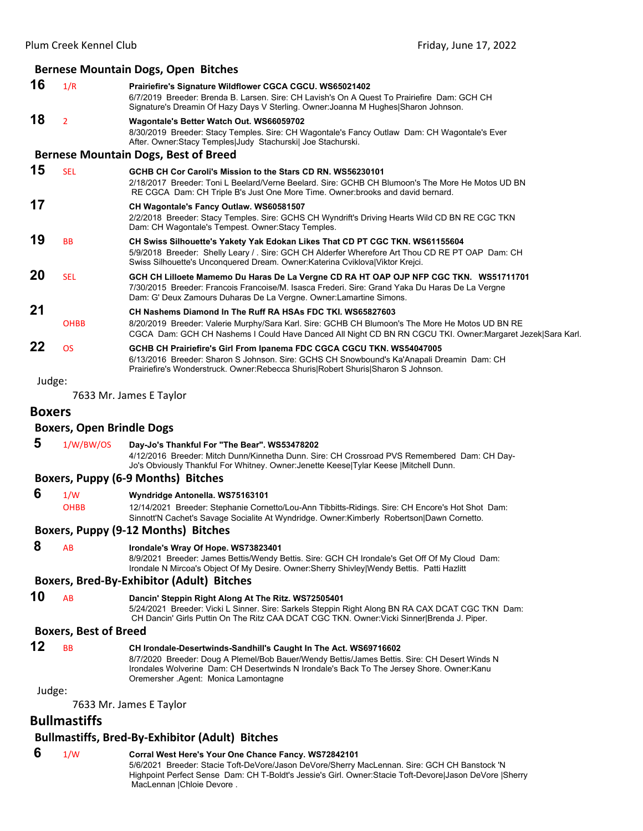#### **Bernese Mountain Dogs, Open Bitches 16** 1/R **Prairiefire's Signature Wildflower CGCA CGCU. WS65021402** 6/7/2019 Breeder: Brenda B. Larsen. Sire: CH Lavish's On A Quest To Prairiefire Dam: GCH CH

Signature's Dreamin Of Hazy Days V Sterling. Owner:Joanna M Hughes|Sharon Johnson. **18** <sup>2</sup> **Wagontale's Better Watch Out. WS66059702** 8/30/2019 Breeder: Stacy Temples. Sire: CH Wagontale's Fancy Outlaw Dam: CH Wagontale's Ever After. Owner: Stacy Temples|Judy Stachurski| Joe Stachurski.

#### **Bernese Mountain Dogs, Best of Breed**

**15** SEL **GCHB CH Cor Caroli's Mission to the Stars CD RN. WS56230101** 2/18/2017 Breeder: Toni L Beelard/Verne Beelard. Sire: GCHB CH Blumoon's The More He Motos UD BN RE CGCA Dam: CH Triple B's Just One More Time. Owner:brooks and david bernard. **17 CH Wagontale's Fancy Outlaw. WS60581507** 2/2/2018 Breeder: Stacy Temples. Sire: GCHS CH Wyndrift's Driving Hearts Wild CD BN RE CGC TKN Dam: CH Wagontale's Tempest. Owner:Stacy Temples. **19** BB **CH Swiss Silhouette's Yakety Yak Edokan Likes That CD PT CGC TKN. WS61155604** 5/9/2018 Breeder: Shelly Leary / . Sire: GCH CH Alderfer Wherefore Art Thou CD RE PT OAP Dam: CH Swiss Silhouette's Unconquered Dream. Owner:Katerina Cviklova|Viktor Krejci. **20** SEL **GCH CH Lilloete Mamemo Du Haras De La Vergne CD RA HT OAP OJP NFP CGC TKN. WS51711701** 7/30/2015 Breeder: Francois Francoise/M. Isasca Frederi. Sire: Grand Yaka Du Haras De La Vergne Dam: G' Deux Zamours Duharas De La Vergne. Owner:Lamartine Simons. **21 CH Nashems Diamond In The Ruff RA HSAs FDC TKI. WS65827603** OHBB 8/20/2019 Breeder: Valerie Murphy/Sara Karl. Sire: GCHB CH Blumoon's The More He Motos UD BN RE CGCA Dam: GCH CH Nashems I Could Have Danced All Night CD BN RN CGCU TKI. Owner:Margaret Jezek|Sara Karl. **22** OS **GCHB CH Prairiefire's Girl From Ipanema FDC CGCA CGCU TKN. WS54047005** 6/13/2016 Breeder: Sharon S Johnson. Sire: GCHS CH Snowbound's Ka'Anapali Dreamin Dam: CH Prairiefire's Wonderstruck. Owner:Rebecca Shuris|Robert Shuris|Sharon S Johnson.

# Judge: 7633 Mr. James E Taylor

# **Boxers**

#### **Boxers, Open Brindle Dogs**

 **5** 1/W/BW/OS **Day-Jo's Thankful For "The Bear". WS53478202** 4/12/2016 Breeder: Mitch Dunn/Kinnetha Dunn. Sire: CH Crossroad PVS Remembered Dam: CH Day-Jo's Obviously Thankful For Whitney. Owner:Jenette Keese|Tylar Keese |Mitchell Dunn.

#### **Boxers, Puppy (6‐9 Months) Bitches**

 **6** 1/W **Wyndridge Antonella. WS75163101** OHBB 12/14/2021 Breeder: Stephanie Cornetto/Lou-Ann Tibbitts-Ridings. Sire: CH Encore's Hot Shot Dam: Sinnott'N Cachet's Savage Socialite At Wyndridge. Owner:Kimberly Robertson|Dawn Cornetto.

#### **Boxers, Puppy (9‐12 Months) Bitches**

# **8** AB **Irondale's Wray Of Hope. WS73823401**

8/9/2021 Breeder: James Bettis/Wendy Bettis. Sire: GCH CH Irondale's Get Off Of My Cloud Dam: Irondale N Mircoa's Object Of My Desire. Owner:Sherry Shivley|Wendy Bettis. Patti Hazlitt

#### **Boxers, Bred‐By‐Exhibitor (Adult) Bitches**

**10** AB **Dancin' Steppin Right Along At The Ritz. WS72505401** 5/24/2021 Breeder: Vicki L Sinner. Sire: Sarkels Steppin Right Along BN RA CAX DCAT CGC TKN Dam: CH Dancin' Girls Puttin On The Ritz CAA DCAT CGC TKN. Owner:Vicki Sinner|Brenda J. Piper.

#### **Boxers, Best of Breed**

| 12 | <b>BB</b> | CH Irondale-Desertwinds-Sandhill's Caught In The Act. WS69716602                             |
|----|-----------|----------------------------------------------------------------------------------------------|
|    |           | 8/7/2020 Breeder: Doug A Plemel/Bob Bauer/Wendy Bettis/James Bettis. Sire: CH Desert Winds N |
|    |           | Irondales Wolverine Dam: CH Desertwinds N Irondale's Back To The Jersey Shore. Owner:Kanu    |
|    |           | Oremersher Agent: Monica Lamontagne                                                          |

#### Judge:

7633 Mr. James E Taylor

# **Bullmastiffs**

#### **Bullmastiffs, Bred‐By‐Exhibitor (Adult) Bitches**

 **6** 1/W **Corral West Here's Your One Chance Fancy. WS72842101** 5/6/2021 Breeder: Stacie Toft-DeVore/Jason DeVore/Sherry MacLennan. Sire: GCH CH Banstock 'N Highpoint Perfect Sense Dam: CH T-Boldt's Jessie's Girl. Owner:Stacie Toft-Devore|Jason DeVore |Sherry MacLennan |Chloie Devore .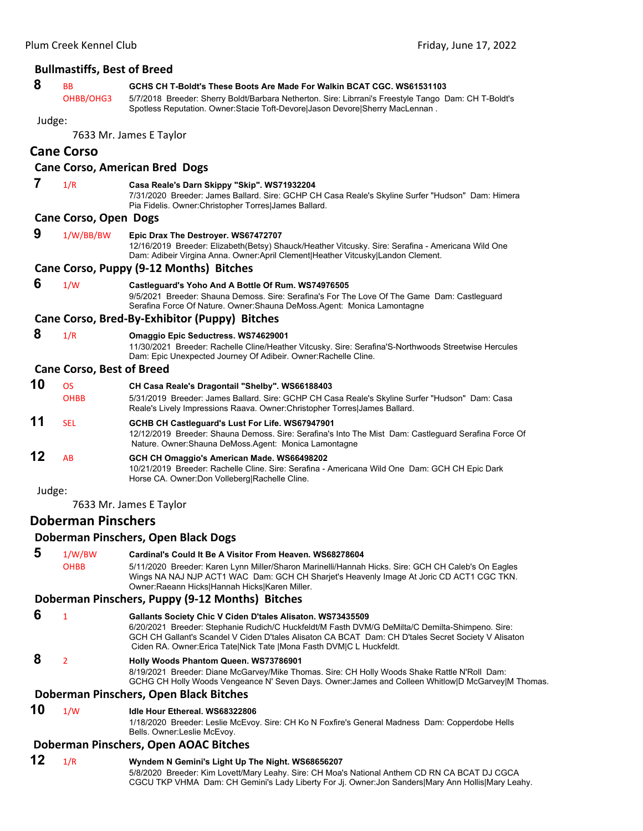|        | <b>Bullmastiffs, Best of Breed</b> |                                                                                                                                                                                                                                                                                                                                               |
|--------|------------------------------------|-----------------------------------------------------------------------------------------------------------------------------------------------------------------------------------------------------------------------------------------------------------------------------------------------------------------------------------------------|
| 8      | <b>BB</b><br>OHBB/OHG3             | GCHS CH T-Boldt's These Boots Are Made For Walkin BCAT CGC, WS61531103<br>5/7/2018 Breeder: Sherry Boldt/Barbara Netherton. Sire: Librrani's Freestyle Tango Dam: CH T-Boldt's                                                                                                                                                                |
|        |                                    | Spotless Reputation. Owner: Stacie Toft-Devore Jason Devore Sherry MacLennan.                                                                                                                                                                                                                                                                 |
| Judge: |                                    | 7633 Mr. James E Taylor                                                                                                                                                                                                                                                                                                                       |
|        | <b>Cane Corso</b>                  |                                                                                                                                                                                                                                                                                                                                               |
|        |                                    | <b>Cane Corso, American Bred Dogs</b>                                                                                                                                                                                                                                                                                                         |
| 7      | 1/R                                | Casa Reale's Darn Skippy "Skip". WS71932204                                                                                                                                                                                                                                                                                                   |
|        |                                    | 7/31/2020 Breeder: James Ballard. Sire: GCHP CH Casa Reale's Skyline Surfer "Hudson" Dam: Himera<br>Pia Fidelis. Owner: Christopher Torres James Ballard.                                                                                                                                                                                     |
|        | <b>Cane Corso, Open Dogs</b>       |                                                                                                                                                                                                                                                                                                                                               |
| 9      | 1/W/BB/BW                          | Epic Drax The Destroyer. WS67472707<br>12/16/2019 Breeder: Elizabeth(Betsy) Shauck/Heather Vitcusky. Sire: Serafina - Americana Wild One<br>Dam: Adibeir Virgina Anna. Owner: April Clement Heather Vitcusky Landon Clement.                                                                                                                  |
|        |                                    | Cane Corso, Puppy (9-12 Months) Bitches                                                                                                                                                                                                                                                                                                       |
| 6      | 1/W                                | Castleguard's Yoho And A Bottle Of Rum. WS74976505<br>9/5/2021 Breeder: Shauna Demoss. Sire: Serafina's For The Love Of The Game Dam: Castleguard<br>Serafina Force Of Nature. Owner: Shauna DeMoss. Agent: Monica Lamontagne                                                                                                                 |
|        |                                    | Cane Corso, Bred-By-Exhibitor (Puppy) Bitches                                                                                                                                                                                                                                                                                                 |
| 8      | 1/R                                | <b>Omaggio Epic Seductress. WS74629001</b><br>11/30/2021 Breeder: Rachelle Cline/Heather Vitcusky. Sire: Serafina'S-Northwoods Streetwise Hercules<br>Dam: Epic Unexpected Journey Of Adibeir. Owner: Rachelle Cline.                                                                                                                         |
|        | <b>Cane Corso, Best of Breed</b>   |                                                                                                                                                                                                                                                                                                                                               |
| 10     | <b>OS</b>                          | CH Casa Reale's Dragontail "Shelby". WS66188403                                                                                                                                                                                                                                                                                               |
|        | <b>OHBB</b>                        | 5/31/2019 Breeder: James Ballard. Sire: GCHP CH Casa Reale's Skyline Surfer "Hudson" Dam: Casa<br>Reale's Lively Impressions Raava. Owner: Christopher Torres James Ballard.                                                                                                                                                                  |
| 11     | <b>SEL</b>                         | GCHB CH Castleguard's Lust For Life. WS67947901<br>12/12/2019 Breeder: Shauna Demoss. Sire: Serafina's Into The Mist Dam: Castleguard Serafina Force Of<br>Nature. Owner: Shauna DeMoss. Agent: Monica Lamontagne                                                                                                                             |
| 12     | AB                                 | GCH CH Omaggio's American Made. WS66498202<br>10/21/2019 Breeder: Rachelle Cline. Sire: Serafina - Americana Wild One Dam: GCH CH Epic Dark<br>Horse CA. Owner: Don Volleberg Rachelle Cline.                                                                                                                                                 |
| Judge: |                                    |                                                                                                                                                                                                                                                                                                                                               |
|        |                                    | 7633 Mr. James E Taylor                                                                                                                                                                                                                                                                                                                       |
|        | <b>Doberman Pinschers</b>          |                                                                                                                                                                                                                                                                                                                                               |
|        |                                    | Doberman Pinschers, Open Black Dogs                                                                                                                                                                                                                                                                                                           |
| 5      | 1/W/BW                             | Cardinal's Could It Be A Visitor From Heaven, WS68278604                                                                                                                                                                                                                                                                                      |
|        | <b>OHBB</b>                        | 5/11/2020 Breeder: Karen Lynn Miller/Sharon Marinelli/Hannah Hicks. Sire: GCH CH Caleb's On Eagles<br>Wings NA NAJ NJP ACT1 WAC Dam: GCH CH Sharjet's Heavenly Image At Joric CD ACT1 CGC TKN.<br>Owner: Raeann Hicks   Hannah Hicks   Karen Miller.                                                                                          |
|        |                                    | Doberman Pinschers, Puppy (9-12 Months) Bitches                                                                                                                                                                                                                                                                                               |
| 6      | $\mathbf{1}$                       | Gallants Society Chic V Ciden D'tales Alisaton. WS73435509<br>6/20/2021 Breeder: Stephanie Rudich/C Huckfeldt/M Fasth DVM/G DeMilta/C Demilta-Shimpeno. Sire:<br>GCH CH Gallant's Scandel V Ciden D'tales Alisaton CA BCAT Dam: CH D'tales Secret Society V Alisaton<br>Ciden RA. Owner: Erica Tate Nick Tate   Mona Fasth DVM C L Huckfeldt. |
| 8      | $\overline{2}$                     | <b>Holly Woods Phantom Queen. WS73786901</b><br>8/19/2021 Breeder: Diane McGarvey/Mike Thomas. Sire: CH Holly Woods Shake Rattle N'Roll Dam:<br>GCHG CH Holly Woods Vengeance N' Seven Days. Owner: James and Colleen Whitlow D McGarvey M Thomas.                                                                                            |
|        |                                    | Doberman Pinschers, Open Black Bitches                                                                                                                                                                                                                                                                                                        |
| 10     | 1/W                                | Idle Hour Ethereal. WS68322806                                                                                                                                                                                                                                                                                                                |

#### Bells. Owner:Leslie McEvoy.

# **Doberman Pinschers, Open AOAC Bitches**

# **12** 1/R **Wyndem N Gemini's Light Up The Night. WS68656207**

5/8/2020 Breeder: Kim Lovett/Mary Leahy. Sire: CH Moa's National Anthem CD RN CA BCAT DJ CGCA CGCU TKP VHMA Dam: CH Gemini's Lady Liberty For Jj. Owner:Jon Sanders|Mary Ann Hollis|Mary Leahy.

1/18/2020 Breeder: Leslie McEvoy. Sire: CH Ko N Foxfire's General Madness Dam: Copperdobe Hells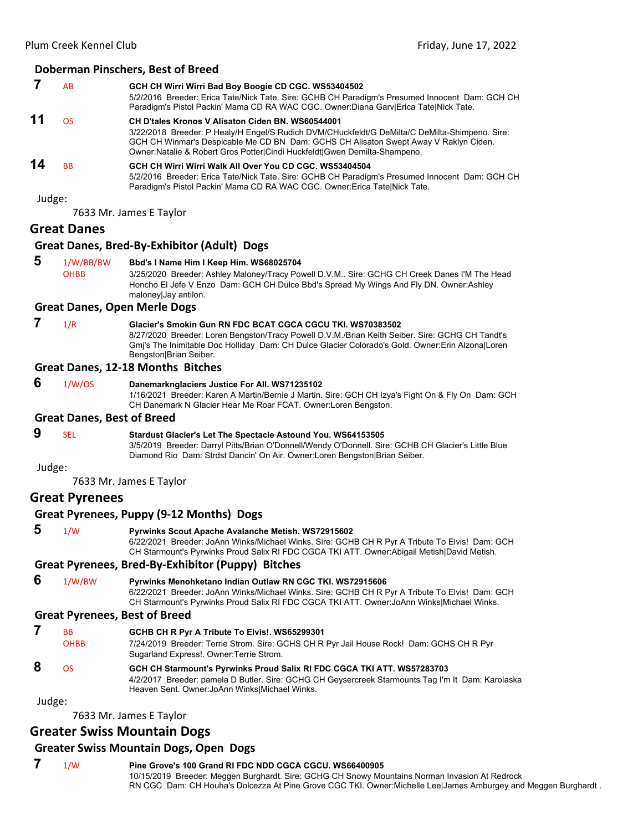#### **Doberman Pinschers, Best of Breed**

|    | AB        | GCH CH Wirri Wirri Bad Boy Boogie CD CGC. WS53404502<br>5/2/2016 Breeder: Erica Tate/Nick Tate. Sire: GCHB CH Paradigm's Presumed Innocent Dam: GCH CH<br>Paradigm's Pistol Packin' Mama CD RA WAC CGC. Owner:Diana Gary Erica Tate Nick Tate.                                                                                   |
|----|-----------|----------------------------------------------------------------------------------------------------------------------------------------------------------------------------------------------------------------------------------------------------------------------------------------------------------------------------------|
| 11 | OS        | <b>CH D'tales Kronos V Alisaton Ciden BN, WS60544001</b><br>3/22/2018 Breeder: P Healy/H Engel/S Rudich DVM/CHuckfeldt/G DeMilta/C DeMilta-Shimpeno. Sire:<br>GCH CH Winmar's Despicable Me CD BN Dam: GCHS CH Alisaton Swept Away V Raklyn Ciden.<br>Owner: Natalie & Robert Gros Potter Cindi Huckfeldt Gwen Demilta-Shampeno. |
| 14 | <b>BB</b> | GCH CH Wirri Wirri Walk All Over You CD CGC, WS53404504<br>5/2/2016 Breeder: Erica Tate/Nick Tate. Sire: GCHB CH Paradigm's Presumed Innocent Dam: GCH CH<br>Paradigm's Pistol Packin' Mama CD RA WAC CGC. Owner: Erica TatelNick Tate.                                                                                          |

Judge:

7633 Mr. James E Taylor

#### **Great Danes**

#### **Great Danes, Bred‐By‐Exhibitor (Adult) Dogs**

 **5** 1/W/BB/BW **Bbd's I Name Him I Keep Him. WS68025704** OHBB 3/25/2020 Breeder: Ashley Maloney/Tracy Powell D.V.M.. Sire: GCHG CH Creek Danes I'M The Head Honcho El Jefe V Enzo Dam: GCH CH Dulce Bbd's Spread My Wings And Fly DN. Owner:Ashley maloney|Jay antilon.

#### **Great Danes, Open Merle Dogs**

# **7** 1/R **Glacier's Smokin Gun RN FDC BCAT CGCA CGCU TKI. WS70383502**

8/27/2020 Breeder: Loren Bengston/Tracy Powell D.V.M./Brian Keith Seiber. Sire: GCHG CH Tandt's Gmj's The Inimitable Doc Holliday Dam: CH Dulce Glacier Colorado's Gold. Owner:Erin Alzona|Loren Bengston|Brian Seiber.

#### **Great Danes, 12‐18 Months Bitches**

 **6** 1/W/OS **Danemarknglaciers Justice For All. WS71235102** 1/16/2021 Breeder: Karen A Martin/Bernie J Martin. Sire: GCH CH Izya's Fight On & Fly On Dam: GCH CH Danemark N Glacier Hear Me Roar FCAT. Owner:Loren Bengston. **Great Danes, Best of Breed** 

# **9** SEL **Stardust Glacier's Let The Spectacle Astound You. WS64153505**

3/5/2019 Breeder: Darryl Pitts/Brian O'Donnell/Wendy O'Donnell. Sire: GCHB CH Glacier's Little Blue Diamond Rio Dam: Strdst Dancin' On Air. Owner:Loren Bengston|Brian Seiber.

#### Judge:

7633 Mr. James E Taylor

#### **Great Pyrenees**

#### **Great Pyrenees, Puppy (9‐12 Months) Dogs**

 **5** 1/W **Pyrwinks Scout Apache Avalanche Metish. WS72915602** 6/22/2021 Breeder: JoAnn Winks/Michael Winks. Sire: GCHB CH R Pyr A Tribute To Elvis! Dam: GCH CH Starmount's Pyrwinks Proud Salix RI FDC CGCA TKI ATT. Owner:Abigail Metish|David Metish.

#### **Great Pyrenees, Bred‐By‐Exhibitor (Puppy) Bitches**

 **6** 1/W/BW **Pyrwinks Menohketano Indian Outlaw RN CGC TKI. WS72915606** 6/22/2021 Breeder: JoAnn Winks/Michael Winks. Sire: GCHB CH R Pyr A Tribute To Elvis! Dam: GCH CH Starmount's Pyrwinks Proud Salix RI FDC CGCA TKI ATT. Owner:JoAnn Winks|Michael Winks.

#### **Great Pyrenees, Best of Breed**

| <b>BB</b> | GCHB CH R Pyr A Tribute To Elvis!. WS65299301                                            |
|-----------|------------------------------------------------------------------------------------------|
| ОНВВ      | 7/24/2019 Breeder: Terrie Strom. Sire: GCHS CH R Pyr Jail House Rock! Dam: GCHS CH R Pyr |
|           | Sugarland Express!. Owner: Terrie Strom.                                                 |

#### **8** OS **GCH CH Starmount's Pyrwinks Proud Salix RI FDC CGCA TKI ATT. WS57283703** 4/2/2017 Breeder: pamela D Butler. Sire: GCHG CH Geysercreek Starmounts Tag I'm It Dam: Karolaska Heaven Sent. Owner:JoAnn Winks|Michael Winks.

Judge:

7633 Mr. James E Taylor

# **Greater Swiss Mountain Dogs**

#### **Greater Swiss Mountain Dogs, Open Dogs**

 **7** 1/W **Pine Grove's 100 Grand RI FDC NDD CGCA CGCU. WS66400905** 10/15/2019 Breeder: Meggen Burghardt. Sire: GCHG CH Snowy Mountains Norman Invasion At Redrock

RN CGC Dam: CH Houha's Dolcezza At Pine Grove CGC TKI. Owner:Michelle Lee|James Amburgey and Meggen Burghardt .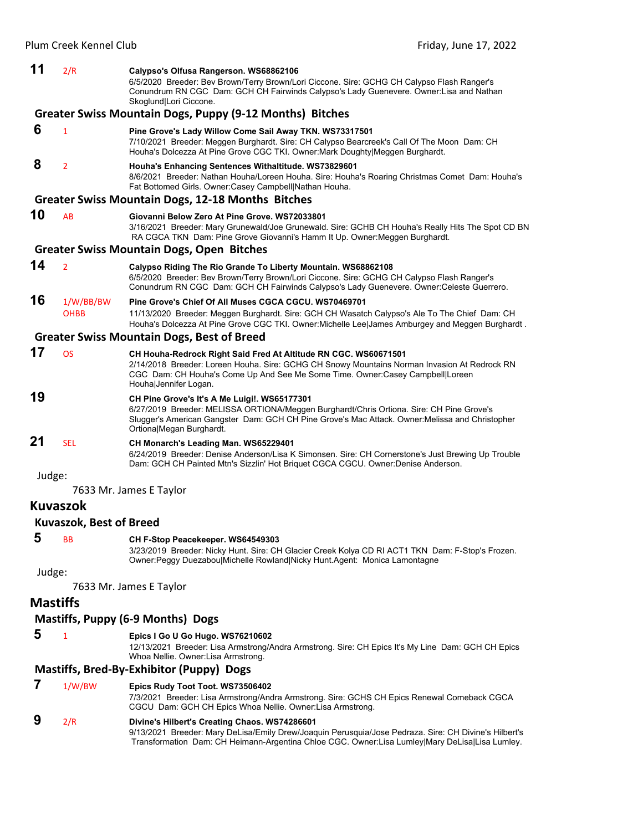| 11     | 2/R                      | Calypso's Olfusa Rangerson. WS68862106<br>6/5/2020 Breeder: Bev Brown/Terry Brown/Lori Ciccone. Sire: GCHG CH Calypso Flash Ranger's<br>Conundrum RN CGC Dam: GCH CH Fairwinds Calypso's Lady Guenevere. Owner: Lisa and Nathan<br>Skoglund Lori Ciccone.                 |
|--------|--------------------------|---------------------------------------------------------------------------------------------------------------------------------------------------------------------------------------------------------------------------------------------------------------------------|
|        |                          | Greater Swiss Mountain Dogs, Puppy (9-12 Months) Bitches                                                                                                                                                                                                                  |
| 6      | $\mathbf{1}$             | Pine Grove's Lady Willow Come Sail Away TKN. WS73317501<br>7/10/2021 Breeder: Meggen Burghardt. Sire: CH Calypso Bearcreek's Call Of The Moon Dam: CH<br>Houha's Dolcezza At Pine Grove CGC TKI. Owner: Mark Doughty Meggen Burghardt.                                    |
| 8      | $\overline{2}$           | Houha's Enhancing Sentences Withaltitude. WS73829601<br>8/6/2021 Breeder: Nathan Houha/Loreen Houha. Sire: Houha's Roaring Christmas Comet Dam: Houha's<br>Fat Bottomed Girls. Owner: Casey Campbell Nathan Houha.                                                        |
|        |                          | <b>Greater Swiss Mountain Dogs, 12-18 Months Bitches</b>                                                                                                                                                                                                                  |
| 10     | AB                       | Giovanni Below Zero At Pine Grove, WS72033801<br>3/16/2021 Breeder: Mary Grunewald/Joe Grunewald. Sire: GCHB CH Houha's Really Hits The Spot CD BN<br>RA CGCA TKN Dam: Pine Grove Giovanni's Hamm It Up. Owner: Meggen Burghardt.                                         |
|        |                          | <b>Greater Swiss Mountain Dogs, Open Bitches</b>                                                                                                                                                                                                                          |
| 14     | $\overline{2}$           | Calypso Riding The Rio Grande To Liberty Mountain. WS68862108<br>6/5/2020 Breeder: Bev Brown/Terry Brown/Lori Ciccone. Sire: GCHG CH Calypso Flash Ranger's<br>Conundrum RN CGC Dam: GCH CH Fairwinds Calypso's Lady Guenevere. Owner:Celeste Guerrero.                   |
| 16     | 1/W/BB/BW<br><b>OHBB</b> | Pine Grove's Chief Of All Muses CGCA CGCU, WS70469701<br>11/13/2020 Breeder: Meggen Burghardt. Sire: GCH CH Wasatch Calypso's Ale To The Chief Dam: CH<br>Houha's Dolcezza At Pine Grove CGC TKI. Owner:Michelle Lee James Amburgey and Meggen Burghardt.                 |
|        |                          | <b>Greater Swiss Mountain Dogs, Best of Breed</b>                                                                                                                                                                                                                         |
| 17     | <b>OS</b>                | CH Houha-Redrock Right Said Fred At Altitude RN CGC. WS60671501<br>2/14/2018 Breeder: Loreen Houha. Sire: GCHG CH Snowy Mountains Norman Invasion At Redrock RN<br>CGC Dam: CH Houha's Come Up And See Me Some Time. Owner:Casey Campbell Loreen<br>Houha Jennifer Logan. |
| 19     |                          | CH Pine Grove's It's A Me Luigi!. WS65177301<br>6/27/2019 Breeder: MELISSA ORTIONA/Meggen Burghardt/Chris Ortiona. Sire: CH Pine Grove's<br>Slugger's American Gangster Dam: GCH CH Pine Grove's Mac Attack. Owner: Melissa and Christopher<br>Ortiona Megan Burghardt.   |
| 21     | <b>SEL</b>               | CH Monarch's Leading Man. WS65229401<br>6/24/2019 Breeder: Denise Anderson/Lisa K Simonsen. Sire: CH Cornerstone's Just Brewing Up Trouble<br>Dam: GCH CH Painted Mtn's Sizzlin' Hot Briquet CGCA CGCU. Owner: Denise Anderson.                                           |
| Judge: |                          | 7633 Mr. James E Taylor                                                                                                                                                                                                                                                   |
|        | <b>Kuvaszok</b>          |                                                                                                                                                                                                                                                                           |
|        | Kuvaszok, Best of Breed  |                                                                                                                                                                                                                                                                           |
| 5      | ВB                       | CH F-Stop Peacekeeper. WS64549303<br>3/23/2019 Breeder: Nicky Hunt. Sire: CH Glacier Creek Kolya CD RI ACT1 TKN Dam: F-Stop's Frozen.<br>Owner:Peggy Duezabou Michelle Rowland Nicky Hunt.Agent: Monica Lamontagne                                                        |
| Judge: |                          |                                                                                                                                                                                                                                                                           |
|        |                          | 7633 Mr. James E Taylor                                                                                                                                                                                                                                                   |
|        | <b>Mastiffs</b>          |                                                                                                                                                                                                                                                                           |
|        |                          | Mastiffs, Puppy (6-9 Months) Dogs                                                                                                                                                                                                                                         |
| 5      | 1                        | Epics I Go U Go Hugo. WS76210602<br>12/13/2021 Breeder: Lisa Armstrong/Andra Armstrong. Sire: CH Epics It's My Line Dam: GCH CH Epics                                                                                                                                     |
|        |                          | Whoa Nellie. Owner: Lisa Armstrong.                                                                                                                                                                                                                                       |
|        |                          | <b>Mastiffs, Bred-By-Exhibitor (Puppy) Dogs</b>                                                                                                                                                                                                                           |
| 7      | 1/W/BW                   | Epics Rudy Toot Toot. WS73506402<br>7/3/2021 Breeder: Lisa Armstrong/Andra Armstrong. Sire: GCHS CH Epics Renewal Comeback CGCA<br>CGCU Dam: GCH CH Epics Whoa Nellie. Owner: Lisa Armstrong.                                                                             |
| 9      | 2/R                      | Divine's Hilbert's Creating Chaos. WS74286601<br>9/13/2021 Breeder: Mary DeLisa/Emily Drew/Joaquin Perusquia/Jose Pedraza. Sire: CH Divine's Hilbert's<br>Transformation Dam: CH Heimann-Argentina Chloe CGC. Owner:Lisa Lumley Mary DeLisa Lisa Lumley.                  |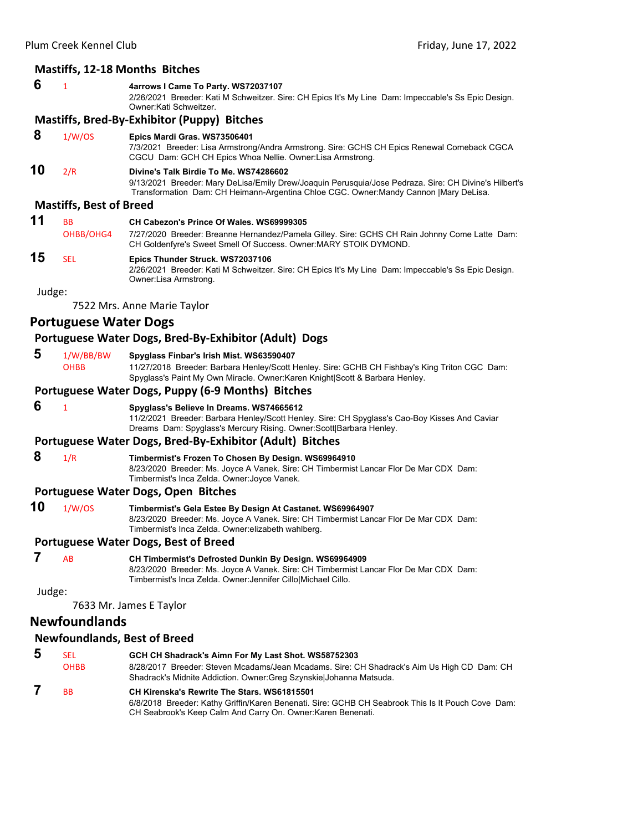# **Mastiffs, 12‐18 Months Bitches**

#### **6** <sup>1</sup> **4arrows I Came To Party. WS72037107**

2/26/2021 Breeder: Kati M Schweitzer. Sire: CH Epics It's My Line Dam: Impeccable's Ss Epic Design. Owner:Kati Schweitzer.

#### **Mastiffs, Bred‐By‐Exhibitor (Puppy) Bitches**

#### **8** 1/W/OS **Epics Mardi Gras. WS73506401**

7/3/2021 Breeder: Lisa Armstrong/Andra Armstrong. Sire: GCHS CH Epics Renewal Comeback CGCA CGCU Dam: GCH CH Epics Whoa Nellie. Owner:Lisa Armstrong.

# **10** 2/R **Divine's Talk Birdie To Me. WS74286602**

9/13/2021 Breeder: Mary DeLisa/Emily Drew/Joaquin Perusquia/Jose Pedraza. Sire: CH Divine's Hilbert's Transformation Dam: CH Heimann-Argentina Chloe CGC. Owner:Mandy Cannon |Mary DeLisa.

#### **Mastiffs, Best of Breed**

#### **11** BB **CH Cabezon's Prince Of Wales. WS69999305** OHBB/OHG4 7/27/2020 Breeder: Breanne Hernandez/Pamela Gilley. Sire: GCHS CH Rain Johnny Come Latte Dam: CH Goldenfyre's Sweet Smell Of Success. Owner:MARY STOIK DYMOND. **15** SEL **Epics Thunder Struck. WS72037106** 2/26/2021 Breeder: Kati M Schweitzer. Sire: CH Epics It's My Line Dam: Impeccable's Ss Epic Design. Owner:Lisa Armstrong.

Judge:

7522 Mrs. Anne Marie Taylor

# **Portuguese Water Dogs**

#### **Portuguese Water Dogs, Bred‐By‐Exhibitor (Adult) Dogs**

#### **5** 1/W/BB/BW **Spyglass Finbar's Irish Mist. WS63590407**

OHBB 11/27/2018 Breeder: Barbara Henley/Scott Henley. Sire: GCHB CH Fishbay's King Triton CGC Dam: Spyglass's Paint My Own Miracle. Owner:Karen Knight|Scott & Barbara Henley.

#### **Portuguese Water Dogs, Puppy (6‐9 Months) Bitches**

#### **6** <sup>1</sup> **Spyglass's Believe In Dreams. WS74665612**

11/2/2021 Breeder: Barbara Henley/Scott Henley. Sire: CH Spyglass's Cao-Boy Kisses And Caviar Dreams Dam: Spyglass's Mercury Rising. Owner:Scott|Barbara Henley.

#### **Portuguese Water Dogs, Bred‐By‐Exhibitor (Adult) Bitches**

 **8** 1/R **Timbermist's Frozen To Chosen By Design. WS69964910** 8/23/2020 Breeder: Ms. Joyce A Vanek. Sire: CH Timbermist Lancar Flor De Mar CDX Dam: Timbermist's Inca Zelda. Owner:Joyce Vanek.

#### **Portuguese Water Dogs, Open Bitches**

**10** 1/W/OS **Timbermist's Gela Estee By Design At Castanet. WS69964907** 8/23/2020 Breeder: Ms. Joyce A Vanek. Sire: CH Timbermist Lancar Flor De Mar CDX Dam: Timbermist's Inca Zelda. Owner:elizabeth wahlberg.

#### **Portuguese Water Dogs, Best of Breed**

 **7** AB **CH Timbermist's Defrosted Dunkin By Design. WS69964909**

8/23/2020 Breeder: Ms. Joyce A Vanek. Sire: CH Timbermist Lancar Flor De Mar CDX Dam: Timbermist's Inca Zelda. Owner:Jennifer Cillo|Michael Cillo.

Judge:

7633 Mr. James E Taylor

# **Newfoundlands**

#### **Newfoundlands, Best of Breed**

- **5** SEL **GCH CH Shadrack's Aimn For My Last Shot. WS58752303** OHBB 8/28/2017 Breeder: Steven Mcadams/Jean Mcadams. Sire: CH Shadrack's Aim Us High CD Dam: CH Shadrack's Midnite Addiction. Owner:Greg Szynskie|Johanna Matsuda.  **7** BB **CH Kirenska's Rewrite The Stars. WS61815501**
	- 6/8/2018 Breeder: Kathy Griffin/Karen Benenati. Sire: GCHB CH Seabrook This Is It Pouch Cove Dam: CH Seabrook's Keep Calm And Carry On. Owner:Karen Benenati.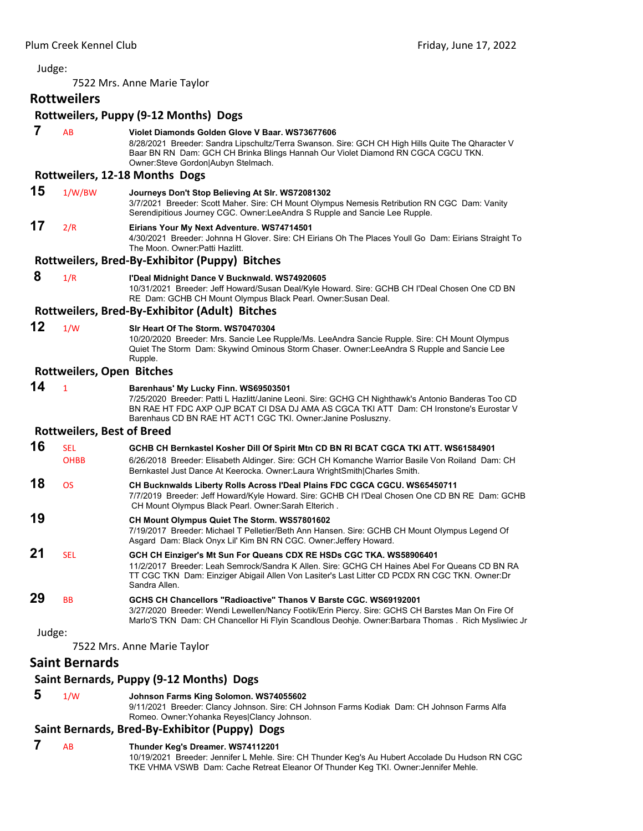7522 Mrs. Anne Marie Taylor

# **Rottweilers**

## **Rottweilers, Puppy (9‐12 Months) Dogs**

 **7** AB **Violet Diamonds Golden Glove V Baar. WS73677606** 8/28/2021 Breeder: Sandra Lipschultz/Terra Swanson. Sire: GCH CH High Hills Quite The Qharacter V Baar BN RN Dam: GCH CH Brinka Blings Hannah Our Violet Diamond RN CGCA CGCU TKN. Owner:Steve Gordon|Aubyn Stelmach. **Rottweilers, 12‐18 Months Dogs 15** 1/W/BW **Journeys Don't Stop Believing At Slr. WS72081302** 3/7/2021 Breeder: Scott Maher. Sire: CH Mount Olympus Nemesis Retribution RN CGC Dam: Vanity Serendipitious Journey CGC. Owner:LeeAndra S Rupple and Sancie Lee Rupple. **17** 2/R **Eirians Your My Next Adventure. WS74714501** 4/30/2021 Breeder: Johnna H Glover. Sire: CH Eirians Oh The Places Youll Go Dam: Eirians Straight To The Moon. Owner:Patti Hazlitt. **Rottweilers, Bred‐By‐Exhibitor (Puppy) Bitches 8** 1/R **I'Deal Midnight Dance V Bucknwald. WS74920605** 10/31/2021 Breeder: Jeff Howard/Susan Deal/Kyle Howard. Sire: GCHB CH I'Deal Chosen One CD BN RE Dam: GCHB CH Mount Olympus Black Pearl. Owner:Susan Deal. **Rottweilers, Bred‐By‐Exhibitor (Adult) Bitches 12** 1/W **Slr Heart Of The Storm. WS70470304** 10/20/2020 Breeder: Mrs. Sancie Lee Rupple/Ms. LeeAndra Sancie Rupple. Sire: CH Mount Olympus Quiet The Storm Dam: Skywind Ominous Storm Chaser. Owner:LeeAndra S Rupple and Sancie Lee Rupple. **Rottweilers, Open Bitches 14** <sup>1</sup> **Barenhaus' My Lucky Finn. WS69503501** 7/25/2020 Breeder: Patti L Hazlitt/Janine Leoni. Sire: GCHG CH Nighthawk's Antonio Banderas Too CD BN RAE HT FDC AXP OJP BCAT CI DSA DJ AMA AS CGCA TKI ATT Dam: CH Ironstone's Eurostar V Barenhaus CD BN RAE HT ACT1 CGC TKI. Owner:Janine Posluszny. **Rottweilers, Best of Breed 16** SEL **GCHB CH Bernkastel Kosher Dill Of Spirit Mtn CD BN RI BCAT CGCA TKI ATT. WS61584901** OHBB 6/26/2018 Breeder: Elisabeth Aldinger. Sire: GCH CH Komanche Warrior Basile Von Roiland Dam: CH Bernkastel Just Dance At Keerocka. Owner:Laura WrightSmith|Charles Smith. **18** OS **CH Bucknwalds Liberty Rolls Across I'Deal Plains FDC CGCA CGCU. WS65450711** 7/7/2019 Breeder: Jeff Howard/Kyle Howard. Sire: GCHB CH I'Deal Chosen One CD BN RE Dam: GCHB CH Mount Olympus Black Pearl. Owner:Sarah Elterich . **19 CH Mount Olympus Quiet The Storm. WS57801602** 7/19/2017 Breeder: Michael T Pelletier/Beth Ann Hansen. Sire: GCHB CH Mount Olympus Legend Of Asgard Dam: Black Onyx Lil' Kim BN RN CGC. Owner:Jeffery Howard. **21** SEL **GCH CH Einziger's Mt Sun For Queans CDX RE HSDs CGC TKA. WS58906401** 11/2/2017 Breeder: Leah Semrock/Sandra K Allen. Sire: GCHG CH Haines Abel For Queans CD BN RA TT CGC TKN Dam: Einziger Abigail Allen Von Lasiter's Last Litter CD PCDX RN CGC TKN. Owner:Dr Sandra Allen. **29** BB **GCHS CH Chancellors "Radioactive" Thanos V Barste CGC. WS69192001** 3/27/2020 Breeder: Wendi Lewellen/Nancy Footik/Erin Piercy. Sire: GCHS CH Barstes Man On Fire Of Marlo'S TKN Dam: CH Chancellor Hi Flyin Scandlous Deohje. Owner:Barbara Thomas . Rich Mysliwiec Jr Judge:

7522 Mrs. Anne Marie Taylor

# **Saint Bernards**

# **Saint Bernards, Puppy (9‐12 Months) Dogs**

 **5** 1/W **Johnson Farms King Solomon. WS74055602**

9/11/2021 Breeder: Clancy Johnson. Sire: CH Johnson Farms Kodiak Dam: CH Johnson Farms Alfa Romeo. Owner:Yohanka Reyes|Clancy Johnson.

# **Saint Bernards, Bred‐By‐Exhibitor (Puppy) Dogs**

 **7** AB **Thunder Keg's Dreamer. WS74112201** 10/19/2021 Breeder: Jennifer L Mehle. Sire: CH Thunder Keg's Au Hubert Accolade Du Hudson RN CGC TKE VHMA VSWB Dam: Cache Retreat Eleanor Of Thunder Keg TKI. Owner:Jennifer Mehle.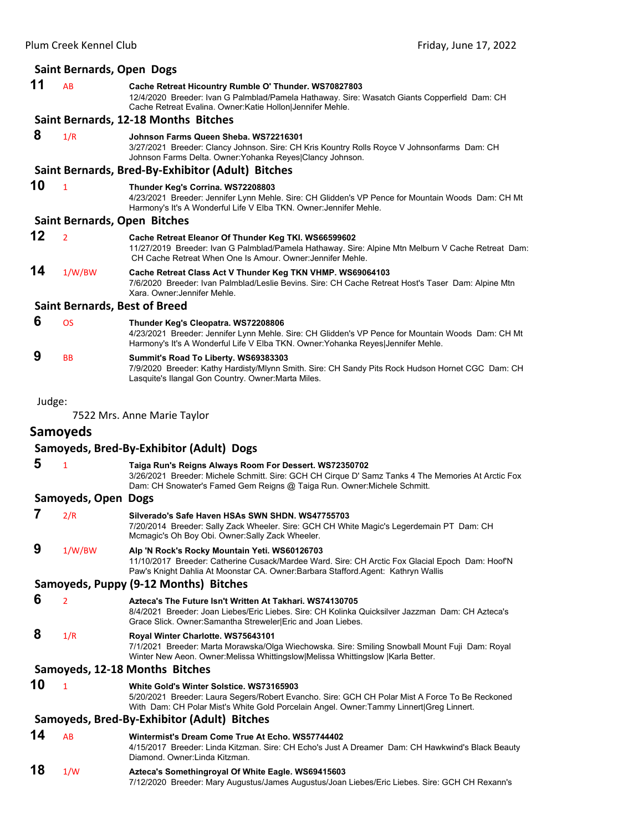|        | <b>Saint Bernards, Open Dogs</b>     |                                                                                                                                                                                                                                          |
|--------|--------------------------------------|------------------------------------------------------------------------------------------------------------------------------------------------------------------------------------------------------------------------------------------|
| 11     | AB                                   | Cache Retreat Hicountry Rumble O' Thunder. WS70827803<br>12/4/2020 Breeder: Ivan G Palmblad/Pamela Hathaway. Sire: Wasatch Giants Copperfield Dam: CH<br>Cache Retreat Evalina. Owner: Katie Hollon Jennifer Mehle.                      |
|        |                                      | Saint Bernards, 12-18 Months Bitches                                                                                                                                                                                                     |
| 8      | 1/R                                  | Johnson Farms Queen Sheba. WS72216301<br>3/27/2021 Breeder: Clancy Johnson. Sire: CH Kris Kountry Rolls Royce V Johnsonfarms Dam: CH<br>Johnson Farms Delta. Owner: Yohanka Reyes Clancy Johnson.                                        |
|        |                                      | Saint Bernards, Bred-By-Exhibitor (Adult) Bitches                                                                                                                                                                                        |
| 10     | $\mathbf{1}$                         | Thunder Keg's Corrina. WS72208803<br>4/23/2021 Breeder: Jennifer Lynn Mehle. Sire: CH Glidden's VP Pence for Mountain Woods Dam: CH Mt<br>Harmony's It's A Wonderful Life V Elba TKN. Owner: Jennifer Mehle.                             |
|        |                                      | <b>Saint Bernards, Open Bitches</b>                                                                                                                                                                                                      |
| 12     | $\overline{2}$                       | Cache Retreat Eleanor Of Thunder Keg TKI. WS66599602<br>11/27/2019 Breeder: Ivan G Palmblad/Pamela Hathaway. Sire: Alpine Mtn Melburn V Cache Retreat Dam:<br>CH Cache Retreat When One Is Amour. Owner: Jennifer Mehle.                 |
| 14     | 1/W/BW                               | Cache Retreat Class Act V Thunder Keg TKN VHMP. WS69064103<br>7/6/2020 Breeder: Ivan Palmblad/Leslie Bevins. Sire: CH Cache Retreat Host's Taser Dam: Alpine Mtn<br>Xara, Owner: Jennifer Mehle.                                         |
|        | <b>Saint Bernards, Best of Breed</b> |                                                                                                                                                                                                                                          |
| 6      | <b>OS</b>                            | Thunder Keg's Cleopatra. WS72208806<br>4/23/2021 Breeder: Jennifer Lynn Mehle. Sire: CH Glidden's VP Pence for Mountain Woods Dam: CH Mt<br>Harmony's It's A Wonderful Life V Elba TKN. Owner: Yohanka Reyes Jennifer Mehle.             |
| 9      | <b>BB</b>                            | Summit's Road To Liberty. WS69383303<br>7/9/2020 Breeder: Kathy Hardisty/Mlynn Smith. Sire: CH Sandy Pits Rock Hudson Hornet CGC Dam: CH<br>Lasquite's Ilangal Gon Country. Owner: Marta Miles.                                          |
| Judge: |                                      |                                                                                                                                                                                                                                          |
|        |                                      | 7522 Mrs. Anne Marie Taylor                                                                                                                                                                                                              |
|        | <b>Samoyeds</b>                      |                                                                                                                                                                                                                                          |
|        |                                      | Samoyeds, Bred-By-Exhibitor (Adult) Dogs                                                                                                                                                                                                 |
| 5      |                                      |                                                                                                                                                                                                                                          |
|        | $\mathbf{1}$                         | Taiga Run's Reigns Always Room For Dessert. WS72350702<br>3/26/2021 Breeder: Michele Schmitt. Sire: GCH CH Cirque D' Samz Tanks 4 The Memories At Arctic Fox<br>Dam: CH Snowater's Famed Gem Reigns @ Taiga Run. Owner: Michele Schmitt. |
|        | Samoyeds, Open Dogs                  |                                                                                                                                                                                                                                          |
| 7      | 2/R                                  | Silverado's Safe Haven HSAs SWN SHDN. WS47755703<br>7/20/2014 Breeder: Sally Zack Wheeler. Sire: GCH CH White Magic's Legerdemain PT Dam: CH<br>Mcmagic's Oh Boy Obi. Owner: Sally Zack Wheeler.                                         |
| 9      | 1/W/BW                               | Alp 'N Rock's Rocky Mountain Yeti. WS60126703<br>11/10/2017 Breeder: Catherine Cusack/Mardee Ward. Sire: CH Arctic Fox Glacial Epoch Dam: Hoof'N<br>Paw's Knight Dahlia At Moonstar CA. Owner: Barbara Stafford. Agent: Kathryn Wallis   |
|        |                                      | Samoyeds, Puppy (9-12 Months) Bitches                                                                                                                                                                                                    |
| 6      | $\overline{2}$                       | Azteca's The Future Isn't Written At Takhari. WS74130705<br>8/4/2021 Breeder: Joan Liebes/Eric Liebes. Sire: CH Kolinka Quicksilver Jazzman Dam: CH Azteca's<br>Grace Slick. Owner: Samantha Streweler Eric and Joan Liebes.             |
| 8      | 1/R                                  | Royal Winter Charlotte. WS75643101<br>7/1/2021 Breeder: Marta Morawska/Olga Wiechowska. Sire: Smiling Snowball Mount Fuji Dam: Royal<br>Winter New Aeon. Owner: Melissa Whittingslow Melissa Whittingslow  Karla Better.                 |
|        |                                      | Samoyeds, 12-18 Months Bitches                                                                                                                                                                                                           |
| 10     | $\mathbf{1}$                         | White Gold's Winter Solstice. WS73165903<br>5/20/2021 Breeder: Laura Segers/Robert Evancho. Sire: GCH CH Polar Mist A Force To Be Reckoned<br>With Dam: CH Polar Mist's White Gold Porcelain Angel. Owner:Tammy Linnert Greg Linnert.    |
|        |                                      | Samoyeds, Bred-By-Exhibitor (Adult) Bitches                                                                                                                                                                                              |
| 14     | AB                                   | Wintermist's Dream Come True At Echo. WS57744402<br>4/15/2017 Breeder: Linda Kitzman. Sire: CH Echo's Just A Dreamer Dam: CH Hawkwind's Black Beauty<br>Diamond. Owner: Linda Kitzman.                                                   |
| 18     | 1/W                                  | Azteca's Somethingroyal Of White Eagle. WS69415603<br>7/12/2020 Breeder: Mary Augustus/James Augustus/Joan Liebes/Eric Liebes. Sire: GCH CH Rexann's                                                                                     |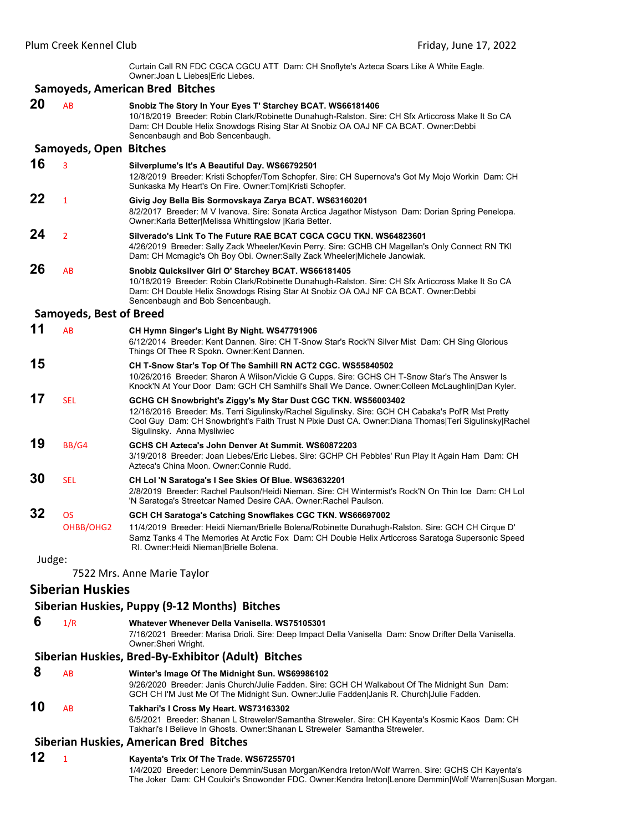Curtain Call RN FDC CGCA CGCU ATT Dam: CH Snoflyte's Azteca Soars Like A White Eagle. Owner:Joan L Liebes|Eric Liebes.

#### **Samoyeds, American Bred Bitches**

**20** AB **Snobiz The Story In Your Eyes T' Starchey BCAT. WS66181406** 10/18/2019 Breeder: Robin Clark/Robinette Dunahugh-Ralston. Sire: CH Sfx Articcross Make It So CA Dam: CH Double Helix Snowdogs Rising Star At Snobiz OA OAJ NF CA BCAT. Owner:Debbi Sencenbaugh and Bob Sencenbaugh. **Samoyeds, Open Bitches 16** <sup>3</sup> **Silverplume's It's A Beautiful Day. WS66792501** 12/8/2019 Breeder: Kristi Schopfer/Tom Schopfer. Sire: CH Supernova's Got My Mojo Workin Dam: CH Sunkaska My Heart's On Fire. Owner:Tom|Kristi Schopfer. **22** <sup>1</sup> **Givig Joy Bella Bis Sormovskaya Zarya BCAT. WS63160201** 8/2/2017 Breeder: M V Ivanova. Sire: Sonata Arctica Jagathor Mistyson Dam: Dorian Spring Penelopa. Owner:Karla Better|Melissa Whittingslow |Karla Better. **24** <sup>2</sup> **Silverado's Link To The Future RAE BCAT CGCA CGCU TKN. WS64823601** 4/26/2019 Breeder: Sally Zack Wheeler/Kevin Perry. Sire: GCHB CH Magellan's Only Connect RN TKI Dam: CH Mcmagic's Oh Boy Obi. Owner:Sally Zack Wheeler|Michele Janowiak. **26** AB **Snobiz Quicksilver Girl O' Starchey BCAT. WS66181405** 10/18/2019 Breeder: Robin Clark/Robinette Dunahugh-Ralston. Sire: CH Sfx Articcross Make It So CA Dam: CH Double Helix Snowdogs Rising Star At Snobiz OA OAJ NF CA BCAT. Owner:Debbi Sencenbaugh and Bob Sencenbaugh. **Samoyeds, Best of Breed 11** AB **CH Hymn Singer's Light By Night. WS47791906** 6/12/2014 Breeder: Kent Dannen. Sire: CH T-Snow Star's Rock'N Silver Mist Dam: CH Sing Glorious Things Of Thee R Spokn. Owner:Kent Dannen. **15 CH T-Snow Star's Top Of The Samhill RN ACT2 CGC. WS55840502** 10/26/2016 Breeder: Sharon A Wilson/Vickie G Cupps. Sire: GCHS CH T-Snow Star's The Answer Is Knock'N At Your Door Dam: GCH CH Samhill's Shall We Dance. Owner:Colleen McLaughlin|Dan Kyler. **17** SEL **GCHG CH Snowbright's Ziggy's My Star Dust CGC TKN. WS56003402** 12/16/2016 Breeder: Ms. Terri Sigulinsky/Rachel Sigulinsky. Sire: GCH CH Cabaka's Pol'R Mst Pretty Cool Guy Dam: CH Snowbright's Faith Trust N Pixie Dust CA. Owner:Diana Thomas|Teri Sigulinsky|Rachel Sigulinsky. Anna Mysliwiec **19** BB/G4 **GCHS CH Azteca's John Denver At Summit. WS60872203** 3/19/2018 Breeder: Joan Liebes/Eric Liebes. Sire: GCHP CH Pebbles' Run Play It Again Ham Dam: CH Azteca's China Moon. Owner:Connie Rudd. **30** SEL **CH Lol 'N Saratoga's I See Skies Of Blue. WS63632201** 2/8/2019 Breeder: Rachel Paulson/Heidi Nieman. Sire: CH Wintermist's Rock'N On Thin Ice Dam: CH Lol 'N Saratoga's Streetcar Named Desire CAA. Owner:Rachel Paulson. **32** OS **GCH CH Saratoga's Catching Snowflakes CGC TKN. WS66697002** OHBB/OHG2 11/4/2019 Breeder: Heidi Nieman/Brielle Bolena/Robinette Dunahugh-Ralston. Sire: GCH CH Cirque D' Samz Tanks 4 The Memories At Arctic Fox Dam: CH Double Helix Articcross Saratoga Supersonic Speed RI. Owner:Heidi Nieman|Brielle Bolena. Judge: 7522 Mrs. Anne Marie Taylor **Siberian Huskies Siberian Huskies, Puppy (9‐12 Months) Bitches 6** 1/R **Whatever Whenever Della Vanisella. WS75105301** 7/16/2021 Breeder: Marisa Drioli. Sire: Deep Impact Della Vanisella Dam: Snow Drifter Della Vanisella. Owner:Sheri Wright. **Siberian Huskies, Bred‐By‐Exhibitor (Adult) Bitches 8** AB **Winter's Image Of The Midnight Sun. WS69986102** 9/26/2020 Breeder: Janis Church/Julie Fadden. Sire: GCH CH Walkabout Of The Midnight Sun Dam: GCH CH I'M Just Me Of The Midnight Sun. Owner:Julie Fadden|Janis R. Church|Julie Fadden. **10** AB **Takhari's I Cross My Heart. WS73163302** 6/5/2021 Breeder: Shanan L Streweler/Samantha Streweler. Sire: CH Kayenta's Kosmic Kaos Dam: CH Takhari's I Believe In Ghosts. Owner:Shanan L Streweler Samantha Streweler.

#### **Siberian Huskies, American Bred Bitches**

#### **12** <sup>1</sup> **Kayenta's Trix Of The Trade. WS67255701** 1/4/2020 Breeder: Lenore Demmin/Susan Morgan/Kendra Ireton/Wolf Warren. Sire: GCHS CH Kayenta's The Joker Dam: CH Couloir's Snowonder FDC. Owner:Kendra Ireton|Lenore Demmin|Wolf Warren|Susan Morgan.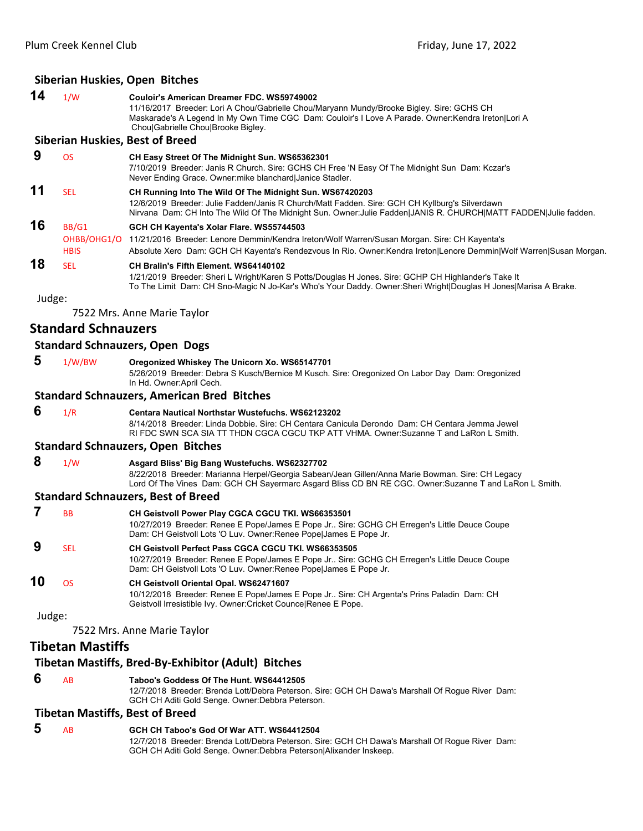#### **Siberian Huskies, Open Bitches**

| 14     | 1/W                        | Couloir's American Dreamer FDC. WS59749002<br>11/16/2017 Breeder: Lori A Chou/Gabrielle Chou/Maryann Mundy/Brooke Bigley. Sire: GCHS CH                                                                                                                                        |
|--------|----------------------------|--------------------------------------------------------------------------------------------------------------------------------------------------------------------------------------------------------------------------------------------------------------------------------|
|        |                            | Maskarade's A Legend In My Own Time CGC Dam: Couloir's I Love A Parade. Owner: Kendra Ireton Lori A<br>Chou Gabrielle Chou Brooke Bigley.                                                                                                                                      |
|        |                            | <b>Siberian Huskies, Best of Breed</b>                                                                                                                                                                                                                                         |
| 9      | <b>OS</b>                  | CH Easy Street Of The Midnight Sun. WS65362301<br>7/10/2019 Breeder: Janis R Church. Sire: GCHS CH Free 'N Easy Of The Midnight Sun Dam: Kczar's<br>Never Ending Grace. Owner: mike blanchard Janice Stadler.                                                                  |
| 11     | <b>SEL</b>                 | CH Running Into The Wild Of The Midnight Sun. WS67420203<br>12/6/2019 Breeder: Julie Fadden/Janis R Church/Matt Fadden. Sire: GCH CH Kyllburg's Silverdawn<br>Nirvana Dam: CH Into The Wild Of The Midnight Sun. Owner: Julie Fadden JANIS R. CHURCH MATT FADDEN Julie fadden. |
| 16     | BB/G1                      | GCH CH Kayenta's Xolar Flare. WS55744503                                                                                                                                                                                                                                       |
|        | OHBB/OHG1/O<br><b>HBIS</b> | 11/21/2016 Breeder: Lenore Demmin/Kendra Ireton/Wolf Warren/Susan Morgan. Sire: CH Kayenta's<br>Absolute Xero Dam: GCH CH Kayenta's Rendezvous In Rio. Owner:Kendra Ireton Lenore Demmin Wolf Warren Susan Morgan.                                                             |
| 18     | <b>SEL</b>                 | CH Bralin's Fifth Element. WS64140102<br>1/21/2019 Breeder: Sheri L Wright/Karen S Potts/Douglas H Jones. Sire: GCHP CH Highlander's Take It<br>To The Limit Dam: CH Sno-Magic N Jo-Kar's Who's Your Daddy. Owner: Sheri Wright Douglas H Jones Marisa A Brake.                |
| Judge: |                            |                                                                                                                                                                                                                                                                                |
|        |                            | 7522 Mrs. Anne Marie Taylor                                                                                                                                                                                                                                                    |
|        | <b>Standard Schnauzers</b> |                                                                                                                                                                                                                                                                                |
|        |                            | <b>Standard Schnauzers, Open Dogs</b>                                                                                                                                                                                                                                          |
| 5      | 1/W/BW                     | Oregonized Whiskey The Unicorn Xo. WS65147701<br>5/26/2019 Breeder: Debra S Kusch/Bernice M Kusch. Sire: Oregonized On Labor Day Dam: Oregonized<br>In Hd. Owner: April Cech.                                                                                                  |
|        |                            | <b>Standard Schnauzers, American Bred Bitches</b>                                                                                                                                                                                                                              |
| 6      | 1/R                        | <b>Centara Nautical Northstar Wustefuchs, WS62123202</b><br>8/14/2018 Breeder: Linda Dobbie. Sire: CH Centara Canicula Derondo Dam: CH Centara Jemma Jewel<br>RI FDC SWN SCA SIA TT THDN CGCA CGCU TKP ATT VHMA. Owner:Suzanne T and LaRon L Smith.                            |
|        |                            | <b>Standard Schnauzers, Open Bitches</b>                                                                                                                                                                                                                                       |
| 8      | 1/W                        | Asgard Bliss' Big Bang Wustefuchs. WS62327702<br>8/22/2018 Breeder: Marianna Herpel/Georgia Sabean/Jean Gillen/Anna Marie Bowman. Sire: CH Legacy<br>Lord Of The Vines Dam: GCH CH Sayermarc Asgard Bliss CD BN RE CGC. Owner:Suzanne T and LaRon L Smith.                     |
|        |                            | <b>Standard Schnauzers, Best of Breed</b>                                                                                                                                                                                                                                      |
| 7      | <b>BB</b>                  | CH Geistvoll Power Play CGCA CGCU TKI. WS66353501                                                                                                                                                                                                                              |
|        |                            | 10/27/2019 Breeder: Renee E Pope/James E Pope Jr Sire: GCHG CH Erregen's Little Deuce Coupe<br>Dam: CH Geistvoll Lots 'O Luv. Owner: Renee Pope James E Pope Jr.                                                                                                               |
| 9      | <b>SEL</b>                 | <b>CH Geistvoll Perfect Pass CGCA CGCU TKI. WS66353505</b><br>10/27/2019 Breeder: Renee E Pope/James E Pope Jr Sire: GCHG CH Erregen's Little Deuce Coupe<br>Dam: CH Geistvoll Lots 'O Luv. Owner: Renee Pope James E Pope Jr.                                                 |
| 10     | <b>OS</b>                  | CH Geistvoll Oriental Opal. WS62471607<br>10/12/2018 Breeder: Renee E Pope/James E Pope Jr Sire: CH Argenta's Prins Paladin Dam: CH<br>Geistvoll Irresistible Ivy. Owner: Cricket Counce Renee E Pope.                                                                         |
| Judge: |                            |                                                                                                                                                                                                                                                                                |
|        |                            | 7522 Mrs. Anne Marie Taylor                                                                                                                                                                                                                                                    |
|        | <b>Tibetan Mastiffs</b>    |                                                                                                                                                                                                                                                                                |
|        |                            | Tibetan Mastiffs, Bred-By-Exhibitor (Adult) Bitches                                                                                                                                                                                                                            |
| 6      | <b>AB</b>                  | Taboo's Goddess Of The Hunt. WS64412505                                                                                                                                                                                                                                        |

12/7/2018 Breeder: Brenda Lott/Debra Peterson. Sire: GCH CH Dawa's Marshall Of Rogue River Dam: GCH CH Aditi Gold Senge. Owner:Debbra Peterson.

# **Tibetan Mastiffs, Best of Breed**

# **5** AB **GCH CH Taboo's God Of War ATT. WS64412504**

12/7/2018 Breeder: Brenda Lott/Debra Peterson. Sire: GCH CH Dawa's Marshall Of Rogue River Dam: GCH CH Aditi Gold Senge. Owner:Debbra Peterson|Alixander Inskeep.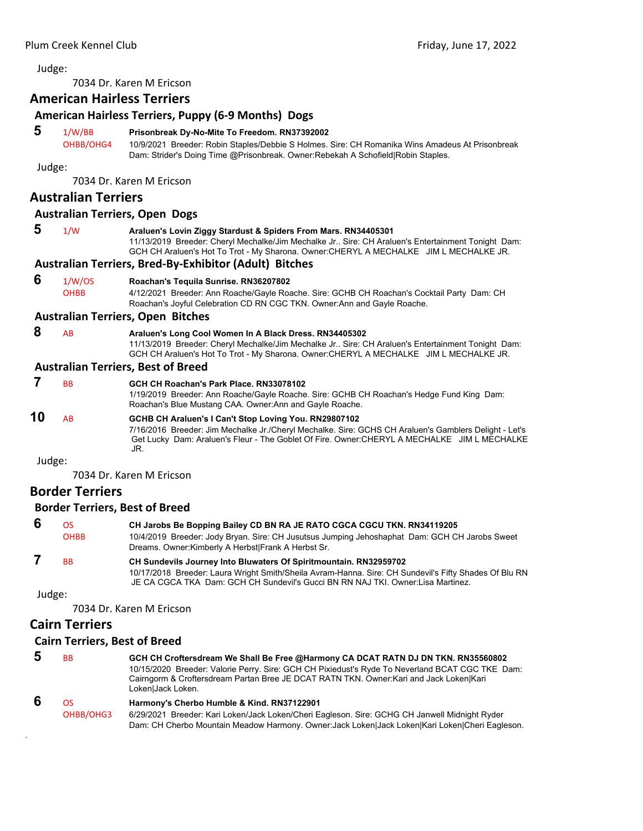<span id="page-27-0"></span>7034 Dr. Karen M Ericson

# **American Hairless Terriers**

## **American Hairless Terriers, Puppy (6‐9 Months) Dogs**

#### **5** 1/W/BB **Prisonbreak Dy-No-Mite To Freedom. RN37392002**

OHBB/OHG4 10/9/2021 Breeder: Robin Staples/Debbie S Holmes. Sire: CH Romanika Wins Amadeus At Prisonbreak Dam: Strider's Doing Time @Prisonbreak. Owner:Rebekah A Schofield|Robin Staples.

Judge:

7034 Dr. Karen M Ericson

### **Australian Terriers**

### **Australian Terriers, Open Dogs**

 **5** 1/W **Araluen's Lovin Ziggy Stardust & Spiders From Mars. RN34405301** 11/13/2019 Breeder: Cheryl Mechalke/Jim Mechalke Jr.. Sire: CH Araluen's Entertainment Tonight Dam: GCH CH Araluen's Hot To Trot - My Sharona. Owner:CHERYL A MECHALKE JIM L MECHALKE JR.

#### **Australian Terriers, Bred‐By‐Exhibitor (Adult) Bitches**

#### **6** 1/W/OS **Roachan's Tequila Sunrise. RN36207802**

OHBB 4/12/2021 Breeder: Ann Roache/Gayle Roache. Sire: GCHB CH Roachan's Cocktail Party Dam: CH Roachan's Joyful Celebration CD RN CGC TKN. Owner:Ann and Gayle Roache.

#### **Australian Terriers, Open Bitches**

 **8** AB **Araluen's Long Cool Women In A Black Dress. RN34405302** 11/13/2019 Breeder: Cheryl Mechalke/Jim Mechalke Jr.. Sire: CH Araluen's Entertainment Tonight Dam: GCH CH Araluen's Hot To Trot - My Sharona. Owner:CHERYL A MECHALKE JIM L MECHALKE JR.

#### **Australian Terriers, Best of Breed**

 **7** BB **GCH CH Roachan's Park Place. RN33078102** 1/19/2019 Breeder: Ann Roache/Gayle Roache. Sire: GCHB CH Roachan's Hedge Fund King Dam: Roachan's Blue Mustang CAA. Owner:Ann and Gayle Roache. **10** AB **GCHB CH Araluen's I Can't Stop Loving You. RN29807102** 7/16/2016 Breeder: Jim Mechalke Jr./Cheryl Mechalke. Sire: GCHS CH Araluen's Gamblers Delight - Let's Get Lucky Dam: Araluen's Fleur - The Goblet Of Fire. Owner:CHERYL A MECHALKE JIM L MECHALKE JR.

Judge:

7034 Dr. Karen M Ericson

# **Border Terriers**

#### **Border Terriers, Best of Breed**

| -6 | OS.         | CH Jarobs Be Bopping Bailey CD BN RA JE RATO CGCA CGCU TKN. RN34119205                                                                               |
|----|-------------|------------------------------------------------------------------------------------------------------------------------------------------------------|
|    | <b>OHBB</b> | 10/4/2019 Breeder: Jody Bryan. Sire: CH Jusutsus Jumping Jehoshaphat Dam: GCH CH Jarobs Sweet<br>Dreams. Owner: Kimberly A Herbst Frank A Herbst Sr. |
|    |             |                                                                                                                                                      |
|    | <b>BB</b>   | <b>CH Sundevils Journey Into Bluwaters Of Spiritmountain. RN32959702</b>                                                                             |
|    |             | 10/17/2018 Breeder: Laura Wright Smith/Sheila Avram-Hanna. Sire: CH Sundevil's Fifty Shades Of Blu RN                                                |
|    |             | JE CA CGCA TKA Dam: GCH CH Sundevil's Gucci BN RN NAJ TKI. Owner: Lisa Martinez.                                                                     |

Judge:

.

7034 Dr. Karen M Ericson

# **Cairn Terriers**

#### **Cairn Terriers, Best of Breed**

| 5 | <b>B<sub>B</sub></b> | GCH CH Croftersdream We Shall Be Free @Harmony CA DCAT RATN DJ DN TKN. RN35560802<br>10/15/2020 Breeder: Valorie Perry. Sire: GCH CH Pixiedust's Ryde To Neverland BCAT CGC TKE Dam:<br>Cairngorm & Croftersdream Partan Bree JE DCAT RATN TKN. Owner: Kari and Jack Loken Kari<br>LokenIJack Loken. |
|---|----------------------|------------------------------------------------------------------------------------------------------------------------------------------------------------------------------------------------------------------------------------------------------------------------------------------------------|
| 6 | OS.                  | Harmony's Cherbo Humble & Kind. RN37122901                                                                                                                                                                                                                                                           |

OHBB/OHG3 6/29/2021 Breeder: Kari Loken/Jack Loken/Cheri Eagleson. Sire: GCHG CH Janwell Midnight Ryder Dam: CH Cherbo Mountain Meadow Harmony. Owner:Jack Loken|Jack Loken|Kari Loken|Cheri Eagleson.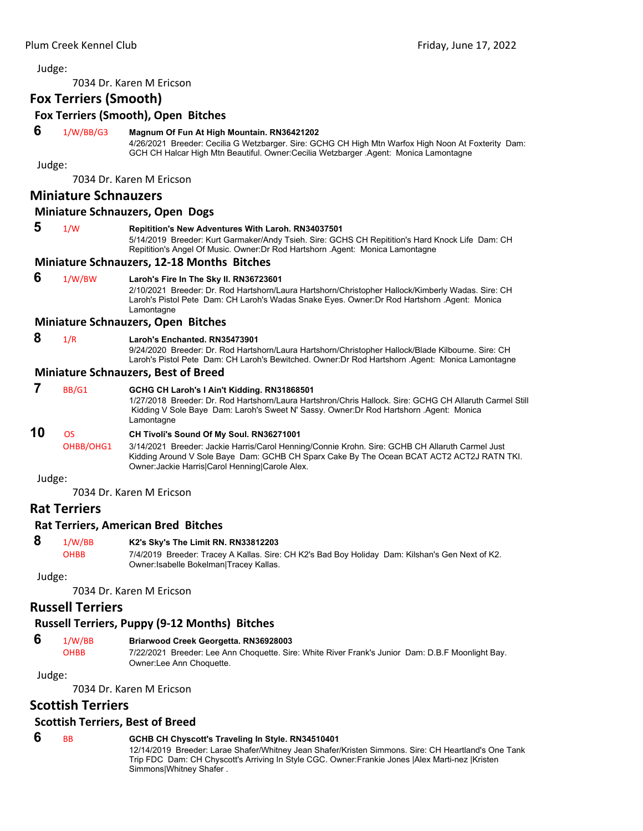7034 Dr. Karen M Ericson

# **Fox Terriers (Smooth)**

**Fox Terriers (Smooth), Open Bitches**

#### **6** 1/W/BB/G3 **Magnum Of Fun At High Mountain. RN36421202**

4/26/2021 Breeder: Cecilia G Wetzbarger. Sire: GCHG CH High Mtn Warfox High Noon At Foxterity Dam: GCH CH Halcar High Mtn Beautiful. Owner:Cecilia Wetzbarger .Agent: Monica Lamontagne

Judge:

7034 Dr. Karen M Ericson

# **Miniature Schnauzers**

#### **Miniature Schnauzers, Open Dogs**

#### **5** 1/W **Repitition's New Adventures With Laroh. RN34037501**

5/14/2019 Breeder: Kurt Garmaker/Andy Tsieh. Sire: GCHS CH Repitition's Hard Knock Life Dam: CH Repitition's Angel Of Music. Owner:Dr Rod Hartshorn .Agent: Monica Lamontagne

#### **Miniature Schnauzers, 12‐18 Months Bitches**

#### **6** 1/W/BW **Laroh's Fire In The Sky II. RN36723601**

2/10/2021 Breeder: Dr. Rod Hartshorn/Laura Hartshorn/Christopher Hallock/Kimberly Wadas. Sire: CH Laroh's Pistol Pete Dam: CH Laroh's Wadas Snake Eyes. Owner:Dr Rod Hartshorn .Agent: Monica Lamontagne

#### **Miniature Schnauzers, Open Bitches**

#### **8** 1/R **Laroh's Enchanted. RN35473901**

9/24/2020 Breeder: Dr. Rod Hartshorn/Laura Hartshorn/Christopher Hallock/Blade Kilbourne. Sire: CH Laroh's Pistol Pete Dam: CH Laroh's Bewitched. Owner:Dr Rod Hartshorn .Agent: Monica Lamontagne

#### **Miniature Schnauzers, Best of Breed**

#### **7** BB/G1 **GCHG CH Laroh's I Ain't Kidding. RN31868501**

1/27/2018 Breeder: Dr. Rod Hartshorn/Laura Hartshron/Chris Hallock. Sire: GCHG CH Allaruth Carmel Still Kidding V Sole Baye Dam: Laroh's Sweet N' Sassy. Owner:Dr Rod Hartshorn .Agent: Monica Lamontagne

# **10** OS **CH Tivoli's Sound Of My Soul. RN36271001**

OHBB/OHG1 3/14/2021 Breeder: Jackie Harris/Carol Henning/Connie Krohn. Sire: GCHB CH Allaruth Carmel Just Kidding Around V Sole Baye Dam: GCHB CH Sparx Cake By The Ocean BCAT ACT2 ACT2J RATN TKI. Owner:Jackie Harris|Carol Henning|Carole Alex.

#### Judge:

7034 Dr. Karen M Ericson

# **Rat Terriers**

#### **Rat Terriers, American Bred Bitches**

#### **8** 1/W/BB **K2's Sky's The Limit RN. RN33812203**

OHBB 7/4/2019 Breeder: Tracey A Kallas. Sire: CH K2's Bad Boy Holiday Dam: Kilshan's Gen Next of K2. Owner:Isabelle Bokelman|Tracey Kallas.

Judge:

7034 Dr. Karen M Ericson

# **Russell Terriers**

### **Russell Terriers, Puppy (9‐12 Months) Bitches**

#### **6** 1/W/BB **Briarwood Creek Georgetta. RN36928003**

OHBB 7/22/2021 Breeder: Lee Ann Choquette. Sire: White River Frank's Junior Dam: D.B.F Moonlight Bay. Owner:Lee Ann Choquette.

#### Judge:

7034 Dr. Karen M Ericson

# **Scottish Terriers**

#### **Scottish Terriers, Best of Breed**

#### **6** BB **GCHB CH Chyscott's Traveling In Style. RN34510401**

12/14/2019 Breeder: Larae Shafer/Whitney Jean Shafer/Kristen Simmons. Sire: CH Heartland's One Tank Trip FDC Dam: CH Chyscott's Arriving In Style CGC. Owner:Frankie Jones |Alex Marti-nez |Kristen Simmons|Whitney Shafer .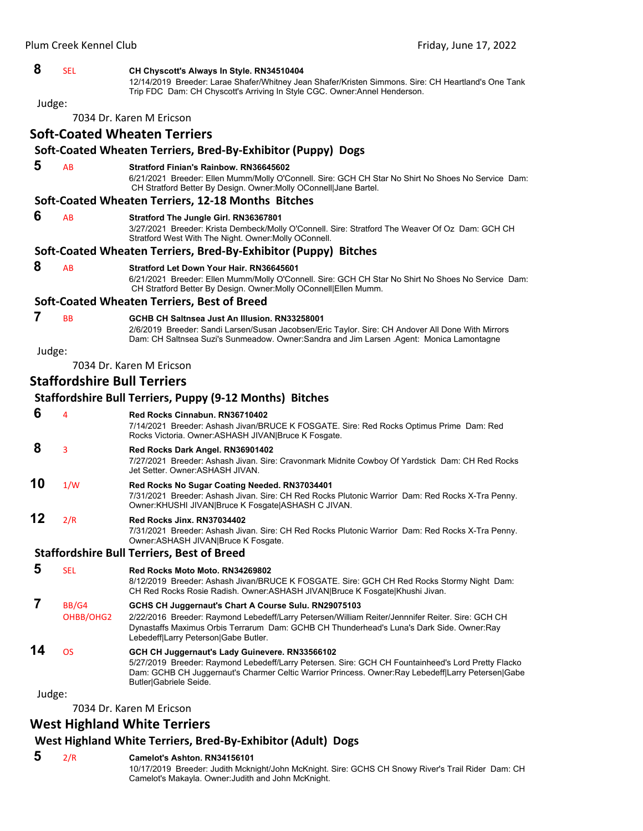#### **8** SEL **CH Chyscott's Always In Style. RN34510404**

12/14/2019 Breeder: Larae Shafer/Whitney Jean Shafer/Kristen Simmons. Sire: CH Heartland's One Tank Trip FDC Dam: CH Chyscott's Arriving In Style CGC. Owner:Annel Henderson.

Judge:

7034 Dr. Karen M Ericson

#### **Soft‐Coated Wheaten Terriers**

## **Soft‐Coated Wheaten Terriers, Bred‐By‐Exhibitor (Puppy) Dogs**

 **5** AB **Stratford Finian's Rainbow. RN36645602**

6/21/2021 Breeder: Ellen Mumm/Molly O'Connell. Sire: GCH CH Star No Shirt No Shoes No Service Dam: CH Stratford Better By Design. Owner:Molly OConnell|Jane Bartel.

#### **Soft‐Coated Wheaten Terriers, 12‐18 Months Bitches**

 **6** AB **Stratford The Jungle Girl. RN36367801**

3/27/2021 Breeder: Krista Dembeck/Molly O'Connell. Sire: Stratford The Weaver Of Oz Dam: GCH CH Stratford West With The Night. Owner:Molly OConnell.

#### **Soft‐Coated Wheaten Terriers, Bred‐By‐Exhibitor (Puppy) Bitches**

 **8** AB **Stratford Let Down Your Hair. RN36645601**

6/21/2021 Breeder: Ellen Mumm/Molly O'Connell. Sire: GCH CH Star No Shirt No Shoes No Service Dam: CH Stratford Better By Design. Owner:Molly OConnell|Ellen Mumm.

#### **Soft‐Coated Wheaten Terriers, Best of Breed**

- **7** BB **GCHB CH Saltnsea Just An Illusion. RN33258001**
	- 2/6/2019 Breeder: Sandi Larsen/Susan Jacobsen/Eric Taylor. Sire: CH Andover All Done With Mirrors Dam: CH Saltnsea Suzi's Sunmeadow. Owner:Sandra and Jim Larsen .Agent: Monica Lamontagne

Judge:

7034 Dr. Karen M Ericson

# **Staffordshire Bull Terriers**

#### **Staffordshire Bull Terriers, Puppy (9‐12 Months) Bitches 6** <sup>4</sup> **Red Rocks Cinnabun. RN36710402** 7/14/2021 Breeder: Ashash Jivan/BRUCE K FOSGATE. Sire: Red Rocks Optimus Prime Dam: Red Rocks Victoria. Owner:ASHASH JIVAN|Bruce K Fosgate.  **8** <sup>3</sup> **Red Rocks Dark Angel. RN36901402** 7/27/2021 Breeder: Ashash Jivan. Sire: Cravonmark Midnite Cowboy Of Yardstick Dam: CH Red Rocks Jet Setter. Owner:ASHASH JIVAN. **10** 1/W **Red Rocks No Sugar Coating Needed. RN37034401** 7/31/2021 Breeder: Ashash Jivan. Sire: CH Red Rocks Plutonic Warrior Dam: Red Rocks X-Tra Penny. Owner:KHUSHI JIVAN|Bruce K Fosgate|ASHASH C JIVAN. **12** 2/R **Red Rocks Jinx. RN37034402** 7/31/2021 Breeder: Ashash Jivan. Sire: CH Red Rocks Plutonic Warrior Dam: Red Rocks X-Tra Penny. Owner:ASHASH JIVAN|Bruce K Fosgate.

**Staffordshire Bull Terriers, Best of Breed** 

- **5** SEL **Red Rocks Moto Moto. RN34269802**
	- 8/12/2019 Breeder: Ashash Jivan/BRUCE K FOSGATE. Sire: GCH CH Red Rocks Stormy Night Dam: CH Red Rocks Rosie Radish. Owner:ASHASH JIVAN|Bruce K Fosgate|Khushi Jivan.

# **7** BB/G4 **GCHS CH Juggernaut's Chart A Course Sulu. RN29075103**

OHBB/OHG2 2/22/2016 Breeder: Raymond Lebedeff/Larry Petersen/William Reiter/Jennnifer Reiter. Sire: GCH CH

#### Lebedeff|Larry Peterson|Gabe Butler. **14** OS **GCH CH Juggernaut's Lady Guinevere. RN33566102**

5/27/2019 Breeder: Raymond Lebedeff/Larry Petersen. Sire: GCH CH Fountainheed's Lord Pretty Flacko Dam: GCHB CH Juggernaut's Charmer Celtic Warrior Princess. Owner:Ray Lebedeff|Larry Petersen|Gabe Butler|Gabriele Seide.

Dynastaffs Maximus Orbis Terrarum Dam: GCHB CH Thunderhead's Luna's Dark Side. Owner:Ray

Judge:

7034 Dr. Karen M Ericson

# **West Highland White Terriers**

# **West Highland White Terriers, Bred‐By‐Exhibitor (Adult) Dogs**

#### **5** 2/R **Camelot's Ashton. RN34156101**

10/17/2019 Breeder: Judith Mcknight/John McKnight. Sire: GCHS CH Snowy River's Trail Rider Dam: CH Camelot's Makayla. Owner:Judith and John McKnight.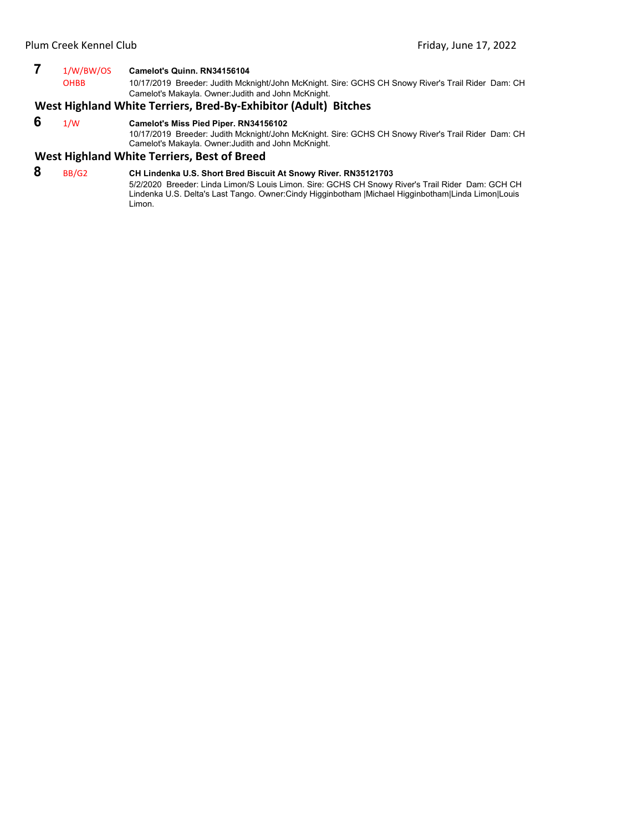# **7** 1/W/BW/OS **Camelot's Quinn. RN34156104**

10/17/2019 Breeder: Judith Mcknight/John McKnight. Sire: GCHS CH Snowy River's Trail Rider Dam: CH Camelot's Makayla. Owner:Judith and John McKnight.

# **West Highland White Terriers, Bred‐By‐Exhibitor (Adult) Bitches**

#### **6** 1/W **Camelot's Miss Pied Piper. RN34156102**

10/17/2019 Breeder: Judith Mcknight/John McKnight. Sire: GCHS CH Snowy River's Trail Rider Dam: CH Camelot's Makayla. Owner:Judith and John McKnight.

#### **West Highland White Terriers, Best of Breed**

# **8** BB/G2 **CH Lindenka U.S. Short Bred Biscuit At Snowy River. RN35121703**

5/2/2020 Breeder: Linda Limon/S Louis Limon. Sire: GCHS CH Snowy River's Trail Rider Dam: GCH CH Lindenka U.S. Delta's Last Tango. Owner:Cindy Higginbotham |Michael Higginbotham|Linda Limon|Louis Limon.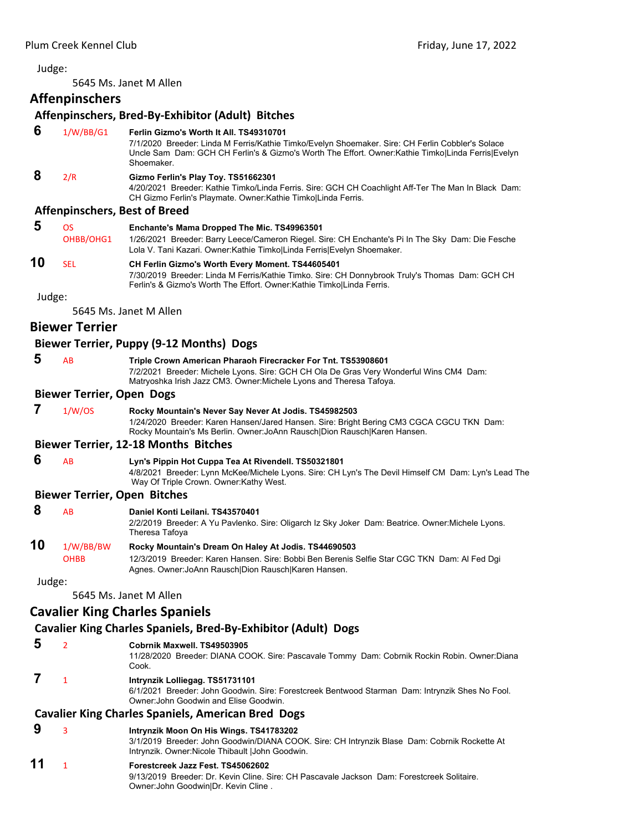<span id="page-31-0"></span>5645 Ms. Janet M Allen

# **Affenpinschers**

#### **Affenpinschers, Bred‐By‐Exhibitor (Adult) Bitches**

 **6** 1/W/BB/G1 **Ferlin Gizmo's Worth It All. TS49310701**

7/1/2020 Breeder: Linda M Ferris/Kathie Timko/Evelyn Shoemaker. Sire: CH Ferlin Cobbler's Solace Uncle Sam Dam: GCH CH Ferlin's & Gizmo's Worth The Effort. Owner:Kathie Timko|Linda Ferris|Evelyn Shoemaker.

## **8** 2/R **Gizmo Ferlin's Play Toy. TS51662301**

4/20/2021 Breeder: Kathie Timko/Linda Ferris. Sire: GCH CH Coachlight Aff-Ter The Man In Black Dam: CH Gizmo Ferlin's Playmate. Owner:Kathie Timko|Linda Ferris.

#### **Affenpinschers, Best of Breed**

 **5** OS **Enchante's Mama Dropped The Mic. TS49963501** OHBB/OHG1 1/26/2021 Breeder: Barry Leece/Cameron Riegel. Sire: CH Enchante's Pi In The Sky Dam: Die Fesche Lola V. Tani Kazari. Owner:Kathie Timko|Linda Ferris|Evelyn Shoemaker.

# **10** SEL **CH Ferlin Gizmo's Worth Every Moment. TS44605401**

7/30/2019 Breeder: Linda M Ferris/Kathie Timko. Sire: CH Donnybrook Truly's Thomas Dam: GCH CH Ferlin's & Gizmo's Worth The Effort. Owner:Kathie Timko|Linda Ferris.

Judge:

5645 Ms. Janet M Allen

#### **Biewer Terrier**

#### **Biewer Terrier, Puppy (9‐12 Months) Dogs**

- 
- **5** AB **Triple Crown American Pharaoh Firecracker For Tnt. TS53908601** 7/2/2021 Breeder: Michele Lyons. Sire: GCH CH Ola De Gras Very Wonderful Wins CM4 Dam:

Matryoshka Irish Jazz CM3. Owner:Michele Lyons and Theresa Tafoya.

#### **Biewer Terrier, Open Dogs**

 **7** 1/W/OS **Rocky Mountain's Never Say Never At Jodis. TS45982503** 1/24/2020 Breeder: Karen Hansen/Jared Hansen. Sire: Bright Bering CM3 CGCA CGCU TKN Dam: Rocky Mountain's Ms Berlin. Owner:JoAnn Rausch|Dion Rausch|Karen Hansen.

#### **Biewer Terrier, 12‐18 Months Bitches**

 **6** AB **Lyn's Pippin Hot Cuppa Tea At Rivendell. TS50321801** 4/8/2021 Breeder: Lynn McKee/Michele Lyons. Sire: CH Lyn's The Devil Himself CM Dam: Lyn's Lead The Way Of Triple Crown. Owner:Kathy West.

#### **Biewer Terrier, Open Bitches**

| 8<br>10 | AB          | Daniel Konti Leilani, TS43570401<br>2/2/2019 Breeder: A Yu Pavlenko. Sire: Oligarch Iz Sky Joker Dam: Beatrice. Owner: Michele Lyons.<br>Theresa Tafoya |
|---------|-------------|---------------------------------------------------------------------------------------------------------------------------------------------------------|
|         | 1/W/BB/BW   | Rocky Mountain's Dream On Haley At Jodis. TS44690503                                                                                                    |
|         | <b>OHBB</b> | 12/3/2019 Breeder: Karen Hansen. Sire: Bobbi Ben Berenis Selfie Star CGC TKN Dam: Al Fed Dgi<br>Agnes, Owner: JoAnn Rausch Dion Rausch Karen Hansen.    |

Judge:

5645 Ms. Janet M Allen

# **Cavalier King Charles Spaniels**

# **Cavalier King Charles Spaniels, Bred‐By‐Exhibitor (Adult) Dogs**

- **5** <sup>2</sup> **Cobrnik Maxwell. TS49503905**
	- 11/28/2020 Breeder: DIANA COOK. Sire: Pascavale Tommy Dam: Cobrnik Rockin Robin. Owner:Diana Cook.

# **7** <sup>1</sup> **Intrynzik Lolliegag. TS51731101**

6/1/2021 Breeder: John Goodwin. Sire: Forestcreek Bentwood Starman Dam: Intrynzik Shes No Fool. Owner:John Goodwin and Elise Goodwin.

# **Cavalier King Charles Spaniels, American Bred Dogs**

# **9** <sup>3</sup> **Intrynzik Moon On His Wings. TS41783202**

3/1/2019 Breeder: John Goodwin/DIANA COOK. Sire: CH Intrynzik Blase Dam: Cobrnik Rockette At Intrynzik. Owner:Nicole Thibault |John Goodwin.

# **11** <sup>1</sup> **Forestcreek Jazz Fest. TS45062602**

9/13/2019 Breeder: Dr. Kevin Cline. Sire: CH Pascavale Jackson Dam: Forestcreek Solitaire. Owner:John Goodwin|Dr. Kevin Cline .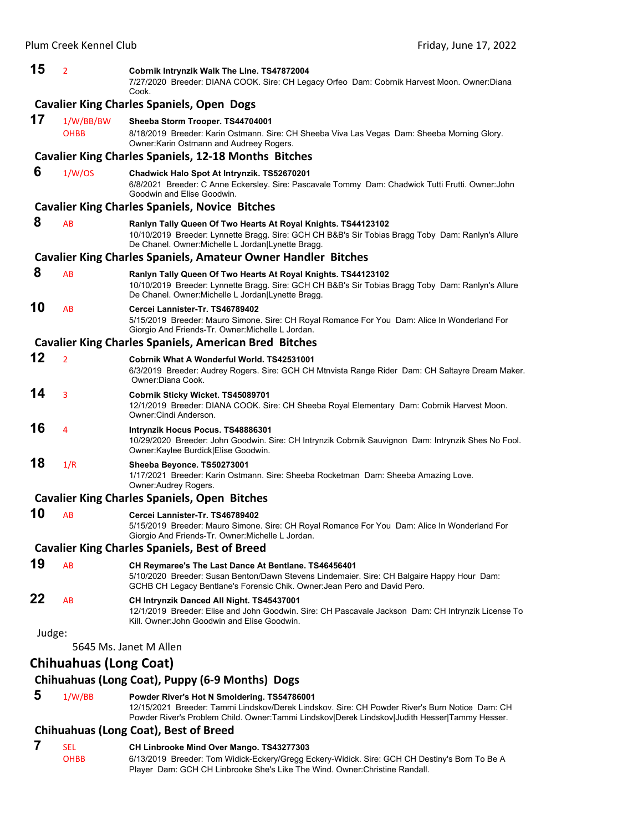| 15     | $\overline{2}$                | Cobrnik Intrynzik Walk The Line. TS47872004<br>7/27/2020 Breeder: DIANA COOK. Sire: CH Legacy Orfeo Dam: Cobrnik Harvest Moon. Owner:Diana<br>Cook.                                                                                            |
|--------|-------------------------------|------------------------------------------------------------------------------------------------------------------------------------------------------------------------------------------------------------------------------------------------|
|        |                               | <b>Cavalier King Charles Spaniels, Open Dogs</b>                                                                                                                                                                                               |
| 17     | 1/W/BB/BW<br><b>OHBB</b>      | Sheeba Storm Trooper. TS44704001<br>8/18/2019 Breeder: Karin Ostmann. Sire: CH Sheeba Viva Las Vegas Dam: Sheeba Morning Glory.<br>Owner: Karin Ostmann and Audreey Rogers.                                                                    |
|        |                               | <b>Cavalier King Charles Spaniels, 12-18 Months Bitches</b>                                                                                                                                                                                    |
| 6      | 1/W/OS                        | Chadwick Halo Spot At Intrynzik. TS52670201<br>6/8/2021 Breeder: C Anne Eckersley. Sire: Pascavale Tommy Dam: Chadwick Tutti Frutti. Owner: John<br>Goodwin and Elise Goodwin.                                                                 |
|        |                               | <b>Cavalier King Charles Spaniels, Novice Bitches</b>                                                                                                                                                                                          |
| 8      | AB                            | Ranlyn Tally Queen Of Two Hearts At Royal Knights. TS44123102<br>10/10/2019 Breeder: Lynnette Bragg. Sire: GCH CH B&B's Sir Tobias Bragg Toby Dam: Ranlyn's Allure<br>De Chanel. Owner: Michelle L Jordan   Lynette Bragg.                     |
|        |                               | <b>Cavalier King Charles Spaniels, Amateur Owner Handler Bitches</b>                                                                                                                                                                           |
| 8      | AB                            | Ranlyn Tally Queen Of Two Hearts At Royal Knights. TS44123102<br>10/10/2019 Breeder: Lynnette Bragg. Sire: GCH CH B&B's Sir Tobias Bragg Toby Dam: Ranlyn's Allure<br>De Chanel. Owner: Michelle L Jordan   Lynette Bragg.                     |
| 10     | AB                            | Cercei Lannister-Tr. TS46789402<br>5/15/2019 Breeder: Mauro Simone. Sire: CH Royal Romance For You Dam: Alice In Wonderland For<br>Giorgio And Friends-Tr. Owner: Michelle L Jordan.                                                           |
|        |                               | <b>Cavalier King Charles Spaniels, American Bred Bitches</b>                                                                                                                                                                                   |
| 12     | $\overline{2}$                | Cobrnik What A Wonderful World. TS42531001<br>6/3/2019 Breeder: Audrey Rogers. Sire: GCH CH Mtnvista Range Rider Dam: CH Saltayre Dream Maker.<br>Owner:Diana Cook.                                                                            |
| 14     | 3                             | Cobrnik Sticky Wicket. TS45089701<br>12/1/2019 Breeder: DIANA COOK. Sire: CH Sheeba Royal Elementary Dam: Cobrnik Harvest Moon.<br>Owner: Cindi Anderson.                                                                                      |
| 16     | 4                             | Intrynzik Hocus Pocus. TS48886301<br>10/29/2020 Breeder: John Goodwin. Sire: CH Intrynzik Cobrnik Sauvignon Dam: Intrynzik Shes No Fool.<br>Owner:Kaylee Burdick Elise Goodwin.                                                                |
| 18     | 1/R                           | Sheeba Beyonce. TS50273001<br>1/17/2021 Breeder: Karin Ostmann. Sire: Sheeba Rocketman Dam: Sheeba Amazing Love.<br>Owner: Audrey Rogers.                                                                                                      |
|        |                               | <b>Cavalier King Charles Spaniels, Open Bitches</b>                                                                                                                                                                                            |
| 10     | AB                            | Cercei Lannister-Tr. TS46789402<br>5/15/2019 Breeder: Mauro Simone. Sire: CH Royal Romance For You Dam: Alice In Wonderland For<br>Giorgio And Friends-Tr. Owner: Michelle L Jordan.                                                           |
|        |                               | <b>Cavalier King Charles Spaniels, Best of Breed</b>                                                                                                                                                                                           |
| 19     | AB                            | CH Reymaree's The Last Dance At Bentlane. TS46456401<br>5/10/2020 Breeder: Susan Benton/Dawn Stevens Lindemaier. Sire: CH Balgaire Happy Hour Dam:<br>GCHB CH Legacy Bentlane's Forensic Chik. Owner: Jean Pero and David Pero.                |
| 22     | AB                            | CH Intrynzik Danced All Night. TS45437001<br>12/1/2019 Breeder: Elise and John Goodwin. Sire: CH Pascavale Jackson Dam: CH Intrynzik License To<br>Kill. Owner: John Goodwin and Elise Goodwin.                                                |
| Judge: |                               |                                                                                                                                                                                                                                                |
|        |                               | 5645 Ms. Janet M Allen                                                                                                                                                                                                                         |
|        | <b>Chihuahuas (Long Coat)</b> |                                                                                                                                                                                                                                                |
|        |                               | Chihuahuas (Long Coat), Puppy (6-9 Months) Dogs                                                                                                                                                                                                |
| 5      | 1/W/BB                        | Powder River's Hot N Smoldering. TS54786001<br>12/15/2021 Breeder: Tammi Lindskov/Derek Lindskov. Sire: CH Powder River's Burn Notice Dam: CH<br>Powder River's Problem Child. Owner:Tammi Lindskov Derek Lindskov Judith Hesser Tammy Hesser. |
|        |                               | Chihuahuas (Long Coat), Best of Breed                                                                                                                                                                                                          |
| 7      | <b>SEL</b>                    | CH Linbrooke Mind Over Mango. TS43277303                                                                                                                                                                                                       |

OHBB 6/13/2019 Breeder: Tom Widick-Eckery/Gregg Eckery-Widick. Sire: GCH CH Destiny's Born To Be A Player Dam: GCH CH Linbrooke She's Like The Wind. Owner:Christine Randall.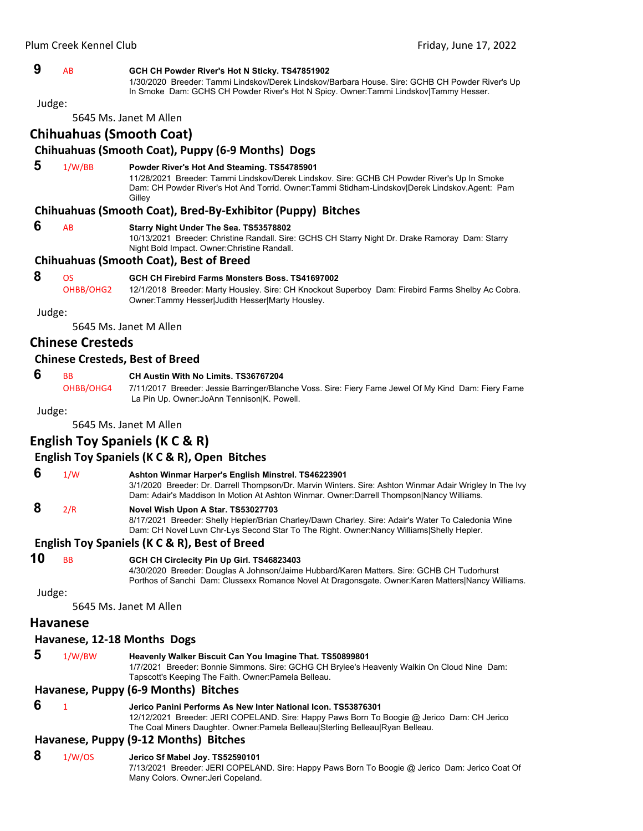#### **9** AB **GCH CH Powder River's Hot N Sticky. TS47851902**

1/30/2020 Breeder: Tammi Lindskov/Derek Lindskov/Barbara House. Sire: GCHB CH Powder River's Up In Smoke Dam: GCHS CH Powder River's Hot N Spicy. Owner:Tammi Lindskov|Tammy Hesser.

Judge:

5645 Ms. Janet M Allen

# **Chihuahuas (Smooth Coat)**

## **Chihuahuas (Smooth Coat), Puppy (6‐9 Months) Dogs**

### **5** 1/W/BB **Powder River's Hot And Steaming. TS54785901**

11/28/2021 Breeder: Tammi Lindskov/Derek Lindskov. Sire: GCHB CH Powder River's Up In Smoke Dam: CH Powder River's Hot And Torrid. Owner:Tammi Stidham-Lindskov|Derek Lindskov.Agent: Pam **Gilley** 

#### **Chihuahuas (Smooth Coat), Bred‐By‐Exhibitor (Puppy) Bitches**

#### **6** AB **Starry Night Under The Sea. TS53578802**

10/13/2021 Breeder: Christine Randall. Sire: GCHS CH Starry Night Dr. Drake Ramoray Dam: Starry Night Bold Impact. Owner:Christine Randall.

#### **Chihuahuas (Smooth Coat), Best of Breed**

#### **8** OS **GCH CH Firebird Farms Monsters Boss. TS41697002**

OHBB/OHG2 12/1/2018 Breeder: Marty Housley. Sire: CH Knockout Superboy Dam: Firebird Farms Shelby Ac Cobra. Owner:Tammy Hesser|Judith Hesser|Marty Housley.

Judge:

5645 Ms. Janet M Allen

# **Chinese Cresteds**

#### **Chinese Cresteds, Best of Breed**

#### **6** BB **CH Austin With No Limits. TS36767204**

OHBB/OHG4 7/11/2017 Breeder: Jessie Barringer/Blanche Voss. Sire: Fiery Fame Jewel Of My Kind Dam: Fiery Fame La Pin Up. Owner:JoAnn Tennison|K. Powell.

Judge:

5645 Ms. Janet M Allen

#### **English Toy Spaniels (K C & R)**

#### **English Toy Spaniels (K C & R), Open Bitches**

 **6** 1/W **Ashton Winmar Harper's English Minstrel. TS46223901** 3/1/2020 Breeder: Dr. Darrell Thompson/Dr. Marvin Winters. Sire: Ashton Winmar Adair Wrigley In The Ivy Dam: Adair's Maddison In Motion At Ashton Winmar. Owner:Darrell Thompson|Nancy Williams.

## **8** 2/R **Novel Wish Upon A Star. TS53027703**

8/17/2021 Breeder: Shelly Hepler/Brian Charley/Dawn Charley. Sire: Adair's Water To Caledonia Wine Dam: CH Novel Luvn Chr-Lys Second Star To The Right. Owner:Nancy Williams|Shelly Hepler.

#### **English Toy Spaniels (K C & R), Best of Breed**

### **10** BB **GCH CH Circlecity Pin Up Girl. TS46823403**

4/30/2020 Breeder: Douglas A Johnson/Jaime Hubbard/Karen Matters. Sire: GCHB CH Tudorhurst Porthos of Sanchi Dam: Clussexx Romance Novel At Dragonsgate. Owner:Karen Matters|Nancy Williams.

Judge:

5645 Ms. Janet M Allen

#### **Havanese**

#### **Havanese, 12‐18 Months Dogs**

 **5** 1/W/BW **Heavenly Walker Biscuit Can You Imagine That. TS50899801** 1/7/2021 Breeder: Bonnie Simmons. Sire: GCHG CH Brylee's Heavenly Walkin On Cloud Nine Dam: Tapscott's Keeping The Faith. Owner:Pamela Belleau. **Havanese, Puppy (6‐9 Months) Bitches**

#### **6** <sup>1</sup> **Jerico Panini Performs As New Inter National Icon. TS53876301**

12/12/2021 Breeder: JERI COPELAND. Sire: Happy Paws Born To Boogie @ Jerico Dam: CH Jerico The Coal Miners Daughter. Owner:Pamela Belleau|Sterling Belleau|Ryan Belleau.

#### **Havanese, Puppy (9‐12 Months) Bitches**

 **8** 1/W/OS **Jerico Sf Mabel Joy. TS52590101**

7/13/2021 Breeder: JERI COPELAND. Sire: Happy Paws Born To Boogie @ Jerico Dam: Jerico Coat Of Many Colors. Owner:Jeri Copeland.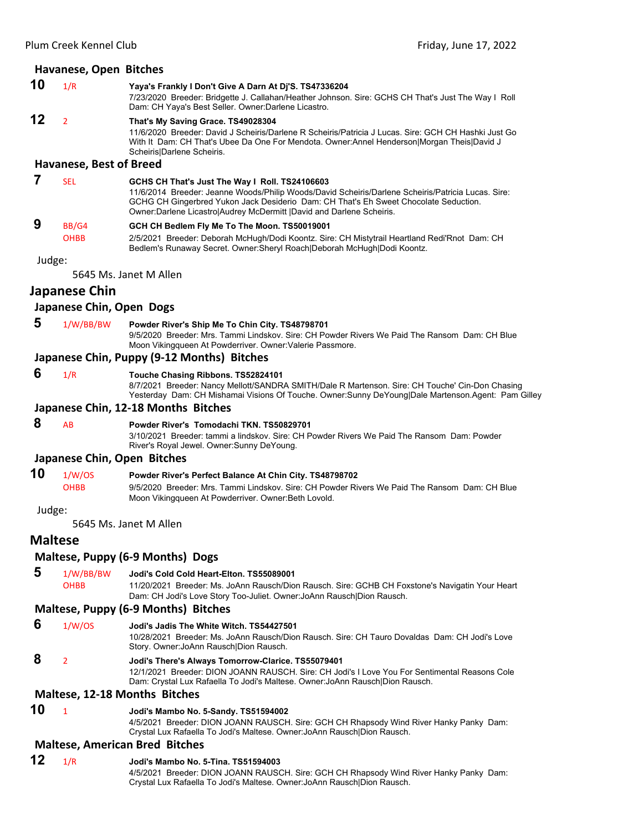#### **Havanese, Open Bitches**

**10** 1/R **Yaya's Frankly I Don't Give A Darn At Dj'S. TS47336204** 7/23/2020 Breeder: Bridgette J. Callahan/Heather Johnson. Sire: GCHS CH That's Just The Way I Roll Dam: CH Yaya's Best Seller. Owner:Darlene Licastro.

#### **12** <sup>2</sup> **That's My Saving Grace. TS49028304**

11/6/2020 Breeder: David J Scheiris/Darlene R Scheiris/Patricia J Lucas. Sire: GCH CH Hashki Just Go With It Dam: CH That's Ubee Da One For Mendota. Owner:Annel Henderson|Morgan Theis|David J Scheiris|Darlene Scheiris.

# **Havanese, Best of Breed**

#### **7** SEL **GCHS CH That's Just The Way I Roll. TS24106603** 11/6/2014 Breeder: Jeanne Woods/Philip Woods/David Scheiris/Darlene Scheiris/Patricia Lucas. Sire: GCHG CH Gingerbred Yukon Jack Desiderio Dam: CH That's Eh Sweet Chocolate Seduction.

Owner:Darlene Licastro|Audrey McDermitt |David and Darlene Scheiris.

# **9** BB/G4 **GCH CH Bedlem Fly Me To The Moon. TS50019001**

OHBB 2/5/2021 Breeder: Deborah McHugh/Dodi Koontz. Sire: CH Mistytrail Heartland Redi'Rnot Dam: CH Bedlem's Runaway Secret. Owner:Sheryl Roach|Deborah McHugh|Dodi Koontz.

#### Judge:

5645 Ms. Janet M Allen

#### **Japanese Chin**

#### **Japanese Chin, Open Dogs**

 **5** 1/W/BB/BW **Powder River's Ship Me To Chin City. TS48798701** 9/5/2020 Breeder: Mrs. Tammi Lindskov. Sire: CH Powder Rivers We Paid The Ransom Dam: CH Blue Moon Vikingqueen At Powderriver. Owner:Valerie Passmore.

#### **Japanese Chin, Puppy (9‐12 Months) Bitches**

- **6** 1/R **Touche Chasing Ribbons. TS52824101**
	- 8/7/2021 Breeder: Nancy Mellott/SANDRA SMITH/Dale R Martenson. Sire: CH Touche' Cin-Don Chasing Yesterday Dam: CH Mishamai Visions Of Touche. Owner:Sunny DeYoung|Dale Martenson.Agent: Pam Gilley

#### **Japanese Chin, 12‐18 Months Bitches**

 **8** AB **Powder River's Tomodachi TKN. TS50829701** 3/10/2021 Breeder: tammi a lindskov. Sire: CH Powder Rivers We Paid The Ransom Dam: Powder River's Royal Jewel. Owner:Sunny DeYoung.

#### **Japanese Chin, Open Bitches**

**10** 1/W/OS **Powder River's Perfect Balance At Chin City. TS48798702** OHBB 9/5/2020 Breeder: Mrs. Tammi Lindskov. Sire: CH Powder Rivers We Paid The Ransom Dam: CH Blue Moon Vikingqueen At Powderriver. Owner:Beth Lovold.

#### Judge:

5645 Ms. Janet M Allen

# **Maltese**

#### **Maltese, Puppy (6‐9 Months) Dogs**

 **5** 1/W/BB/BW **Jodi's Cold Cold Heart-Elton. TS55089001**

OHBB 11/20/2021 Breeder: Ms. JoAnn Rausch/Dion Rausch. Sire: GCHB CH Foxstone's Navigatin Your Heart Dam: CH Jodi's Love Story Too-Juliet. Owner:JoAnn Rausch|Dion Rausch.

#### **Maltese, Puppy (6‐9 Months) Bitches**

- **6** 1/W/OS **Jodi's Jadis The White Witch. TS54427501** 10/28/2021 Breeder: Ms. JoAnn Rausch/Dion Rausch. Sire: CH Tauro Dovaldas Dam: CH Jodi's Love Story. Owner:JoAnn Rausch|Dion Rausch.
- **8** <sup>2</sup> **Jodi's There's Always Tomorrow-Clarice. TS55079401**

12/1/2021 Breeder: DION JOANN RAUSCH. Sire: CH Jodi's I Love You For Sentimental Reasons Cole Dam: Crystal Lux Rafaella To Jodi's Maltese. Owner:JoAnn Rausch|Dion Rausch.

#### **Maltese, 12‐18 Months Bitches**

**10** <sup>1</sup> **Jodi's Mambo No. 5-Sandy. TS51594002**

4/5/2021 Breeder: DION JOANN RAUSCH. Sire: GCH CH Rhapsody Wind River Hanky Panky Dam: Crystal Lux Rafaella To Jodi's Maltese. Owner:JoAnn Rausch|Dion Rausch.

#### **Maltese, American Bred Bitches**

#### **12** 1/R **Jodi's Mambo No. 5-Tina. TS51594003**

4/5/2021 Breeder: DION JOANN RAUSCH. Sire: GCH CH Rhapsody Wind River Hanky Panky Dam: Crystal Lux Rafaella To Jodi's Maltese. Owner:JoAnn Rausch|Dion Rausch.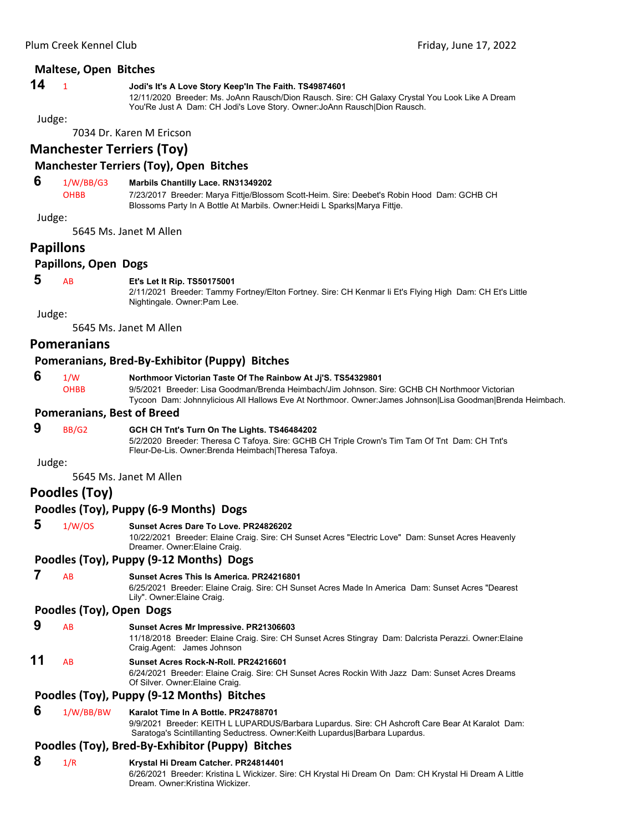#### **Maltese, Open Bitches**

#### **14** <sup>1</sup> **Jodi's It's A Love Story Keep'In The Faith. TS49874601**

12/11/2020 Breeder: Ms. JoAnn Rausch/Dion Rausch. Sire: CH Galaxy Crystal You Look Like A Dream You'Re Just A Dam: CH Jodi's Love Story. Owner:JoAnn Rausch|Dion Rausch.

Judge:

7034 Dr. Karen M Ericson

# **Manchester Terriers (Toy)**

### **Manchester Terriers (Toy), Open Bitches**

# **6** 1/W/BB/G3 **Marbils Chantilly Lace. RN31349202**

OHBB 7/23/2017 Breeder: Marya Fittje/Blossom Scott-Heim. Sire: Deebet's Robin Hood Dam: GCHB CH Blossoms Party In A Bottle At Marbils. Owner:Heidi L Sparks|Marya Fittje.

Judge:

5645 Ms. Janet M Allen

# **Papillons**

#### **Papillons, Open Dogs**

#### **5** AB **Et's Let It Rip. TS50175001**

2/11/2021 Breeder: Tammy Fortney/Elton Fortney. Sire: CH Kenmar Ii Et's Flying High Dam: CH Et's Little Nightingale. Owner:Pam Lee.

Judge:

5645 Ms. Janet M Allen

#### **Pomeranians**

#### **Pomeranians, Bred‐By‐Exhibitor (Puppy) Bitches**

 **6** 1/W **Northmoor Victorian Taste Of The Rainbow At Jj'S. TS54329801** OHBB 9/5/2021 Breeder: Lisa Goodman/Brenda Heimbach/Jim Johnson. Sire: GCHB CH Northmoor Victorian

#### Tycoon Dam: Johnnylicious All Hallows Eve At Northmoor. Owner:James Johnson|Lisa Goodman|Brenda Heimbach.

#### **Pomeranians, Best of Breed**

# **9** BB/G2 **GCH CH Tnt's Turn On The Lights. TS46484202**

5/2/2020 Breeder: Theresa C Tafoya. Sire: GCHB CH Triple Crown's Tim Tam Of Tnt Dam: CH Tnt's Fleur-De-Lis. Owner:Brenda Heimbach|Theresa Tafoya.

Judge:

5645 Ms. Janet M Allen

# **Poodles (Toy)**

# **Poodles (Toy), Puppy (6‐9 Months) Dogs**

#### **5** 1/W/OS **Sunset Acres Dare To Love. PR24826202**

10/22/2021 Breeder: Elaine Craig. Sire: CH Sunset Acres "Electric Love" Dam: Sunset Acres Heavenly Dreamer. Owner:Elaine Craig.

#### **Poodles (Toy), Puppy (9‐12 Months) Dogs**

 **7** AB **Sunset Acres This Is America. PR24216801**

6/25/2021 Breeder: Elaine Craig. Sire: CH Sunset Acres Made In America Dam: Sunset Acres "Dearest Lily". Owner:Elaine Craig.

#### **Poodles (Toy), Open Dogs**

# **9** AB **Sunset Acres Mr Impressive. PR21306603**

11/18/2018 Breeder: Elaine Craig. Sire: CH Sunset Acres Stingray Dam: Dalcrista Perazzi. Owner:Elaine Craig.Agent: James Johnson

# **11** AB **Sunset Acres Rock-N-Roll. PR24216601**

6/24/2021 Breeder: Elaine Craig. Sire: CH Sunset Acres Rockin With Jazz Dam: Sunset Acres Dreams Of Silver. Owner:Elaine Craig.

# **Poodles (Toy), Puppy (9‐12 Months) Bitches**

#### **6** 1/W/BB/BW **Karalot Time In A Bottle. PR24788701**

9/9/2021 Breeder: KEITH L LUPARDUS/Barbara Lupardus. Sire: CH Ashcroft Care Bear At Karalot Dam: Saratoga's Scintillanting Seductress. Owner:Keith Lupardus|Barbara Lupardus.

#### **Poodles (Toy), Bred‐By‐Exhibitor (Puppy) Bitches**

# **8** 1/R **Krystal Hi Dream Catcher. PR24814401**

6/26/2021 Breeder: Kristina L Wickizer. Sire: CH Krystal Hi Dream On Dam: CH Krystal Hi Dream A Little Dream. Owner:Kristina Wickizer.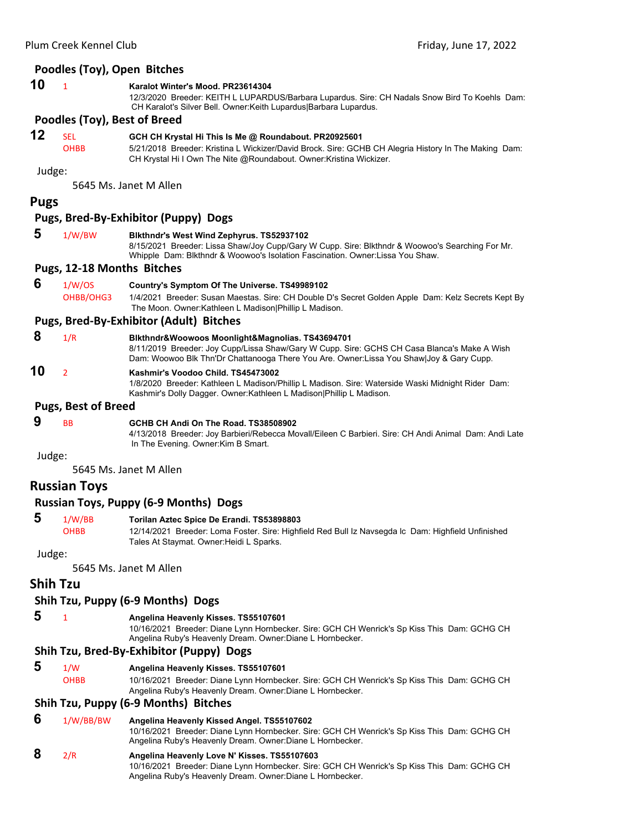#### **Poodles (Toy), Open Bitches**

**10** <sup>1</sup> **Karalot Winter's Mood. PR23614304**

12/3/2020 Breeder: KEITH L LUPARDUS/Barbara Lupardus. Sire: CH Nadals Snow Bird To Koehls Dam: CH Karalot's Silver Bell. Owner:Keith Lupardus|Barbara Lupardus.

#### **Poodles (Toy), Best of Breed**

# **12** SEL **GCH CH Krystal Hi This Is Me @ Roundabout. PR20925601**

OHBB 5/21/2018 Breeder: Kristina L Wickizer/David Brock. Sire: GCHB CH Alegria History In The Making Dam: CH Krystal Hi I Own The Nite @Roundabout. Owner:Kristina Wickizer.

Judge:

5645 Ms. Janet M Allen

#### **Pugs**

#### **Pugs, Bred‐By‐Exhibitor (Puppy) Dogs**

 **5** 1/W/BW **Blkthndr's West Wind Zephyrus. TS52937102**

8/15/2021 Breeder: Lissa Shaw/Joy Cupp/Gary W Cupp. Sire: Blkthndr & Woowoo's Searching For Mr. Whipple Dam: Blkthndr & Woowoo's Isolation Fascination. Owner:Lissa You Shaw.

#### **Pugs, 12‐18 Months Bitches**

 **6** 1/W/OS **Country's Symptom Of The Universe. TS49989102** 1/4/2021 Breeder: Susan Maestas. Sire: CH Double D's Secret Golden Apple Dam: Kelz Secrets Kept By The Moon. Owner:Kathleen L Madison|Phillip L Madison.

#### **Pugs, Bred‐By‐Exhibitor (Adult) Bitches**

- **8** 1/R **Blkthndr&Woowoos Moonlight&Magnolias. TS43694701** 8/11/2019 Breeder: Joy Cupp/Lissa Shaw/Gary W Cupp. Sire: GCHS CH Casa Blanca's Make A Wish Dam: Woowoo Blk Thn'Dr Chattanooga There You Are. Owner:Lissa You Shaw|Joy & Gary Cupp.
- **10** <sup>2</sup> **Kashmir's Voodoo Child. TS45473002**

1/8/2020 Breeder: Kathleen L Madison/Phillip L Madison. Sire: Waterside Waski Midnight Rider Dam: Kashmir's Dolly Dagger. Owner:Kathleen L Madison|Phillip L Madison.

#### **Pugs, Best of Breed**

# **9** BB **GCHB CH Andi On The Road. TS38508902**

4/13/2018 Breeder: Joy Barbieri/Rebecca Movall/Eileen C Barbieri. Sire: CH Andi Animal Dam: Andi Late In The Evening. Owner:Kim B Smart.

Judge:

5645 Ms. Janet M Allen

# **Russian Toys**

#### **Russian Toys, Puppy (6‐9 Months) Dogs**

# **5** 1/W/BB **Torilan Aztec Spice De Erandi. TS53898803**

OHBB 12/14/2021 Breeder: Loma Foster. Sire: Highfield Red Bull Iz Navsegda lc Dam: Highfield Unfinished Tales At Staymat. Owner:Heidi L Sparks.

#### Judge:

5645 Ms. Janet M Allen

# **Shih Tzu**

# **Shih Tzu, Puppy (6‐9 Months) Dogs**

#### **5** <sup>1</sup> **Angelina Heavenly Kisses. TS55107601**

10/16/2021 Breeder: Diane Lynn Hornbecker. Sire: GCH CH Wenrick's Sp Kiss This Dam: GCHG CH Angelina Ruby's Heavenly Dream. Owner:Diane L Hornbecker.

#### **Shih Tzu, Bred‐By‐Exhibitor (Puppy) Dogs**

 **5** 1/W **Angelina Heavenly Kisses. TS55107601**

OHBB 10/16/2021 Breeder: Diane Lynn Hornbecker. Sire: GCH CH Wenrick's Sp Kiss This Dam: GCHG CH Angelina Ruby's Heavenly Dream. Owner:Diane L Hornbecker.

#### **Shih Tzu, Puppy (6‐9 Months) Bitches**

 **6** 1/W/BB/BW **Angelina Heavenly Kissed Angel. TS55107602** 10/16/2021 Breeder: Diane Lynn Hornbecker. Sire: GCH CH Wenrick's Sp Kiss This Dam: GCHG CH Angelina Ruby's Heavenly Dream. Owner:Diane L Hornbecker.

# **8** 2/R **Angelina Heavenly Love N' Kisses. TS55107603**

10/16/2021 Breeder: Diane Lynn Hornbecker. Sire: GCH CH Wenrick's Sp Kiss This Dam: GCHG CH Angelina Ruby's Heavenly Dream. Owner:Diane L Hornbecker.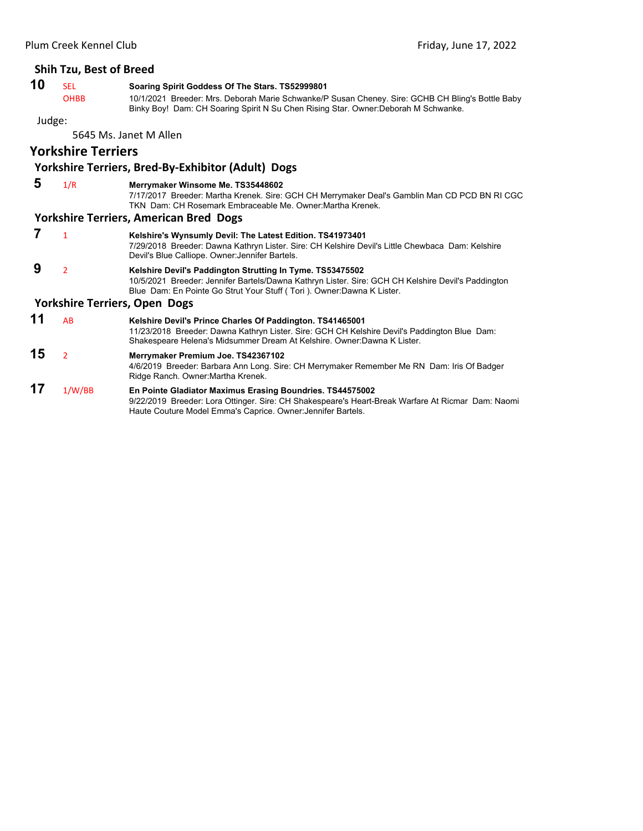#### **Shih Tzu, Best of Breed**

# **10** SEL **Soaring Spirit Goddess Of The Stars. TS52999801**<br>OHBB 10/1/2021 Breeder: Mrs. Deborah Marie Schwanke/F

10/1/2021 Breeder: Mrs. Deborah Marie Schwanke/P Susan Cheney. Sire: GCHB CH Bling's Bottle Baby Binky Boy! Dam: CH Soaring Spirit N Su Chen Rising Star. Owner:Deborah M Schwanke.

#### Judge:

5645 Ms. Janet M Allen

# **Yorkshire Terriers**

# **Yorkshire Terriers, Bred‐By‐Exhibitor (Adult) Dogs**

#### **5** 1/R **Merrymaker Winsome Me. TS35448602** 7/17/2017 Breeder: Martha Krenek. Sire: GCH CH Merrymaker Deal's Gamblin Man CD PCD BN RI CGC TKN Dam: CH Rosemark Embraceable Me. Owner:Martha Krenek. **Yorkshire Terriers, American Bred Dogs 7** <sup>1</sup> **Kelshire's Wynsumly Devil: The Latest Edition. TS41973401** 7/29/2018 Breeder: Dawna Kathryn Lister. Sire: CH Kelshire Devil's Little Chewbaca Dam: Kelshire Devil's Blue Calliope. Owner:Jennifer Bartels.  **9** <sup>2</sup> **Kelshire Devil's Paddington Strutting In Tyme. TS53475502** 10/5/2021 Breeder: Jennifer Bartels/Dawna Kathryn Lister. Sire: GCH CH Kelshire Devil's Paddington Blue Dam: En Pointe Go Strut Your Stuff ( Tori ). Owner:Dawna K Lister. **Yorkshire Terriers, Open Dogs 11** AB **Kelshire Devil's Prince Charles Of Paddington. TS41465001** 11/23/2018 Breeder: Dawna Kathryn Lister. Sire: GCH CH Kelshire Devil's Paddington Blue Dam: Shakespeare Helena's Midsummer Dream At Kelshire. Owner:Dawna K Lister. **15** <sup>2</sup> **Merrymaker Premium Joe. TS42367102** 4/6/2019 Breeder: Barbara Ann Long. Sire: CH Merrymaker Remember Me RN Dam: Iris Of Badger Ridge Ranch. Owner:Martha Krenek.

#### **17** 1/W/BB **En Pointe Gladiator Maximus Erasing Boundries. TS44575002** 9/22/2019 Breeder: Lora Ottinger. Sire: CH Shakespeare's Heart-Break Warfare At Ricmar Dam: Naomi Haute Couture Model Emma's Caprice. Owner:Jennifer Bartels.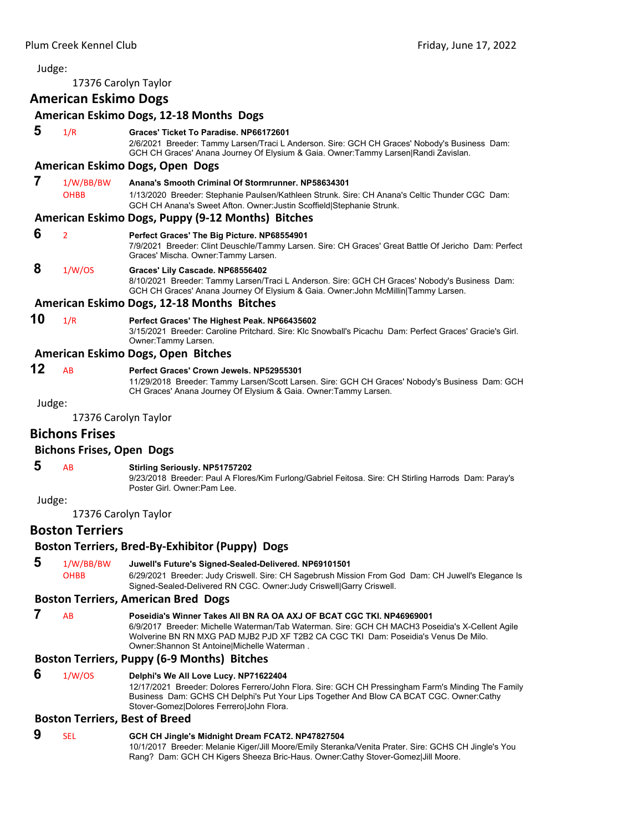# <span id="page-38-0"></span>Judge: 17376 Carolyn Taylor **American Eskimo Dogs American Eskimo Dogs, 12‐18 Months Dogs 5** 1/R **Graces' Ticket To Paradise. NP66172601** 2/6/2021 Breeder: Tammy Larsen/Traci L Anderson. Sire: GCH CH Graces' Nobody's Business Dam: GCH CH Graces' Anana Journey Of Elysium & Gaia. Owner:Tammy Larsen|Randi Zavislan. **American Eskimo Dogs, Open Dogs 7** 1/W/BB/BW **Anana's Smooth Criminal Of Stormrunner. NP58634301** OHBB 1/13/2020 Breeder: Stephanie Paulsen/Kathleen Strunk. Sire: CH Anana's Celtic Thunder CGC Dam: GCH CH Anana's Sweet Afton. Owner:Justin Scoffield|Stephanie Strunk. **American Eskimo Dogs, Puppy (9‐12 Months) Bitches 6** <sup>2</sup> **Perfect Graces' The Big Picture. NP68554901** 7/9/2021 Breeder: Clint Deuschle/Tammy Larsen. Sire: CH Graces' Great Battle Of Jericho Dam: Perfect Graces' Mischa. Owner:Tammy Larsen.  **8** 1/W/OS **Graces' Lily Cascade. NP68556402** 8/10/2021 Breeder: Tammy Larsen/Traci L Anderson. Sire: GCH CH Graces' Nobody's Business Dam: GCH CH Graces' Anana Journey Of Elysium & Gaia. Owner:John McMillin|Tammy Larsen. **American Eskimo Dogs, 12‐18 Months Bitches 10** 1/R **Perfect Graces' The Highest Peak. NP66435602** 3/15/2021 Breeder: Caroline Pritchard. Sire: Klc Snowball's Picachu Dam: Perfect Graces' Gracie's Girl. Owner:Tammy Larsen. **American Eskimo Dogs, Open Bitches 12** AB **Perfect Graces' Crown Jewels. NP52955301** 11/29/2018 Breeder: Tammy Larsen/Scott Larsen. Sire: GCH CH Graces' Nobody's Business Dam: GCH CH Graces' Anana Journey Of Elysium & Gaia. Owner:Tammy Larsen. Judge: 17376 Carolyn Taylor **Bichons Frises Bichons Frises, Open Dogs 5** AB **Stirling Seriously. NP51757202** 9/23/2018 Breeder: Paul A Flores/Kim Furlong/Gabriel Feitosa. Sire: CH Stirling Harrods Dam: Paray's Poster Girl. Owner:Pam Lee. Judge: 17376 Carolyn Taylor **Boston Terriers Boston Terriers, Bred‐By‐Exhibitor (Puppy) Dogs**

 **5** 1/W/BB/BW **Juwell's Future's Signed-Sealed-Delivered. NP69101501** OHBB 6/29/2021 Breeder: Judy Criswell. Sire: CH Sagebrush Mission From God Dam: CH Juwell's Elegance Is Signed-Sealed-Delivered RN CGC. Owner:Judy Criswell|Garry Criswell.

# **Boston Terriers, American Bred Dogs**

 **7** AB **Poseidia's Winner Takes All BN RA OA AXJ OF BCAT CGC TKI. NP46969001** 6/9/2017 Breeder: Michelle Waterman/Tab Waterman. Sire: GCH CH MACH3 Poseidia's X-Cellent Agile Wolverine BN RN MXG PAD MJB2 PJD XF T2B2 CA CGC TKI Dam: Poseidia's Venus De Milo. Owner:Shannon St Antoine|Michelle Waterman .

# **Boston Terriers, Puppy (6‐9 Months) Bitches**

 **6** 1/W/OS **Delphi's We All Love Lucy. NP71622404** 12/17/2021 Breeder: Dolores Ferrero/John Flora. Sire: GCH CH Pressingham Farm's Minding The Family Business Dam: GCHS CH Delphi's Put Your Lips Together And Blow CA BCAT CGC. Owner:Cathy Stover-Gomez|Dolores Ferrero|John Flora.

# **Boston Terriers, Best of Breed**

# **9** SEL **GCH CH Jingle's Midnight Dream FCAT2. NP47827504**

10/1/2017 Breeder: Melanie Kiger/Jill Moore/Emily Steranka/Venita Prater. Sire: GCHS CH Jingle's You Rang? Dam: GCH CH Kigers Sheeza Bric-Haus. Owner:Cathy Stover-Gomez|Jill Moore.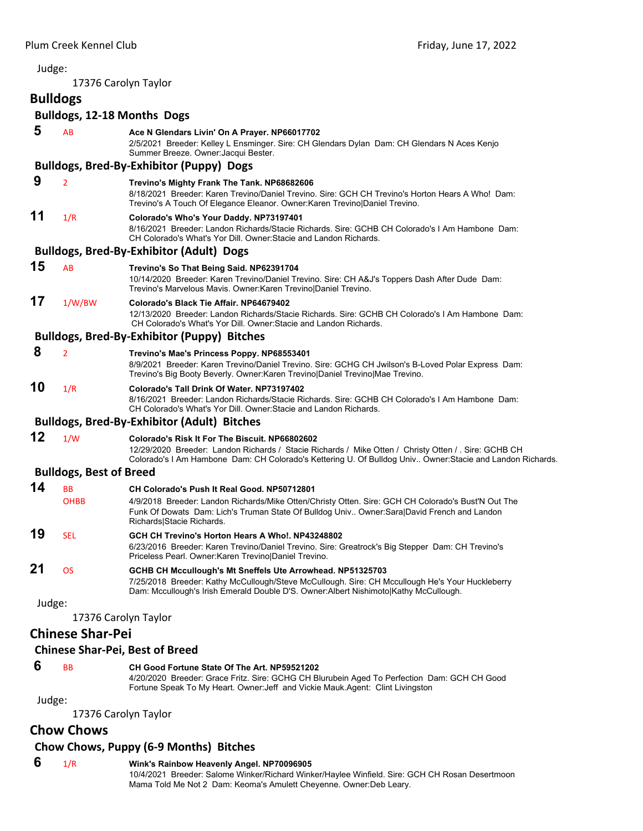#### Judge: 17376 Carolyn Taylor **Bulldogs Bulldogs, 12‐18 Months Dogs 5** AB **Ace N Glendars Livin' On A Prayer. NP66017702** 2/5/2021 Breeder: Kelley L Ensminger. Sire: CH Glendars Dylan Dam: CH Glendars N Aces Kenjo Summer Breeze. Owner:Jacqui Bester. **Bulldogs, Bred‐By‐Exhibitor (Puppy) Dogs 9** <sup>2</sup> **Trevino's Mighty Frank The Tank. NP68682606** 8/18/2021 Breeder: Karen Trevino/Daniel Trevino. Sire: GCH CH Trevino's Horton Hears A Who! Dam: Trevino's A Touch Of Elegance Eleanor. Owner:Karen Trevino|Daniel Trevino. **11** 1/R **Colorado's Who's Your Daddy. NP73197401** 8/16/2021 Breeder: Landon Richards/Stacie Richards. Sire: GCHB CH Colorado's I Am Hambone Dam: CH Colorado's What's Yor Dill. Owner:Stacie and Landon Richards. **Bulldogs, Bred‐By‐Exhibitor (Adult) Dogs 15** AB **Trevino's So That Being Said. NP62391704** 10/14/2020 Breeder: Karen Trevino/Daniel Trevino. Sire: CH A&J's Toppers Dash After Dude Dam: Trevino's Marvelous Mavis. Owner:Karen Trevino|Daniel Trevino. **17** 1/W/BW **Colorado's Black Tie Affair. NP64679402** 12/13/2020 Breeder: Landon Richards/Stacie Richards. Sire: GCHB CH Colorado's I Am Hambone Dam: CH Colorado's What's Yor Dill. Owner:Stacie and Landon Richards. **Bulldogs, Bred‐By‐Exhibitor (Puppy) Bitches 8** <sup>2</sup> **Trevino's Mae's Princess Poppy. NP68553401** 8/9/2021 Breeder: Karen Trevino/Daniel Trevino. Sire: GCHG CH Jwilson's B-Loved Polar Express Dam: Trevino's Big Booty Beverly. Owner:Karen Trevino|Daniel Trevino|Mae Trevino. **10** 1/R **Colorado's Tall Drink Of Water. NP73197402** 8/16/2021 Breeder: Landon Richards/Stacie Richards. Sire: GCHB CH Colorado's I Am Hambone Dam: CH Colorado's What's Yor Dill. Owner:Stacie and Landon Richards. **Bulldogs, Bred‐By‐Exhibitor (Adult) Bitches 12** 1/W **Colorado's Risk It For The Biscuit. NP66802602** 12/29/2020 Breeder: Landon Richards / Stacie Richards / Mike Otten / Christy Otten / . Sire: GCHB CH Colorado's I Am Hambone Dam: CH Colorado's Kettering U. Of Bulldog Univ.. Owner:Stacie and Landon Richards. **Bulldogs, Best of Breed 14** BB **CH Colorado's Push It Real Good. NP50712801** OHBB 4/9/2018 Breeder: Landon Richards/Mike Otten/Christy Otten. Sire: GCH CH Colorado's Bust'N Out The Funk Of Dowats Dam: Lich's Truman State Of Bulldog Univ.. Owner:Sara|David French and Landon Richards|Stacie Richards. **19** SEL **GCH CH Trevino's Horton Hears A Who!. NP43248802** 6/23/2016 Breeder: Karen Trevino/Daniel Trevino. Sire: Greatrock's Big Stepper Dam: CH Trevino's Priceless Pearl. Owner:Karen Trevino|Daniel Trevino. **21** OS **GCHB CH Mccullough's Mt Sneffels Ute Arrowhead. NP51325703** 7/25/2018 Breeder: Kathy McCullough/Steve McCullough. Sire: CH Mccullough He's Your Huckleberry Dam: Mccullough's Irish Emerald Double D'S. Owner:Albert Nishimoto|Kathy McCullough. Judge: 17376 Carolyn Taylor **Chinese Shar‐Pei Chinese Shar‐Pei, Best of Breed**

#### **6** BB **CH Good Fortune State Of The Art. NP59521202**

4/20/2020 Breeder: Grace Fritz. Sire: GCHG CH Blurubein Aged To Perfection Dam: GCH CH Good Fortune Speak To My Heart. Owner:Jeff and Vickie Mauk.Agent: Clint Livingston

Judge:

17376 Carolyn Taylor

# **Chow Chows**

# **Chow Chows, Puppy (6‐9 Months) Bitches**

# **6** 1/R **Wink's Rainbow Heavenly Angel. NP70096905**

10/4/2021 Breeder: Salome Winker/Richard Winker/Haylee Winfield. Sire: GCH CH Rosan Desertmoon Mama Told Me Not 2 Dam: Keoma's Amulett Cheyenne. Owner:Deb Leary.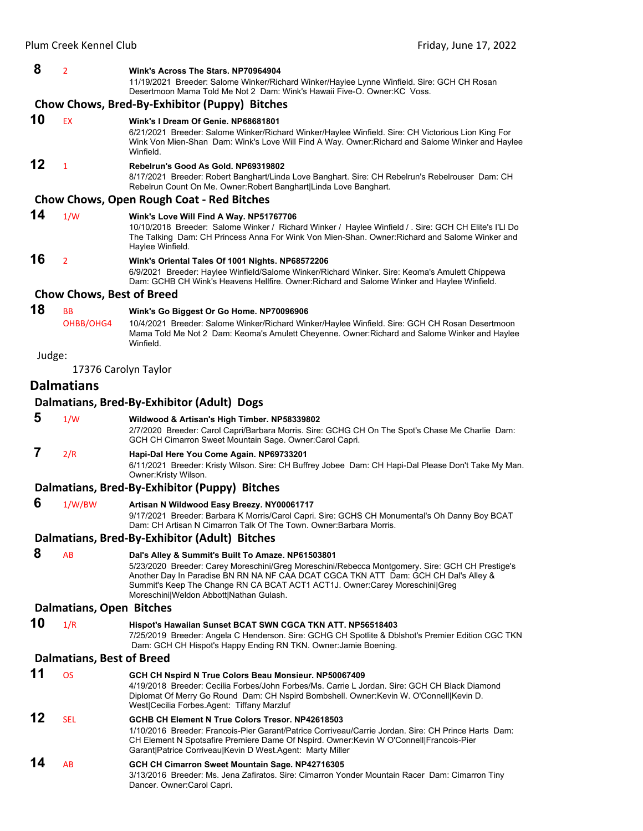#### **8** <sup>2</sup> **Wink's Across The Stars. NP70964904**

11/19/2021 Breeder: Salome Winker/Richard Winker/Haylee Lynne Winfield. Sire: GCH CH Rosan Desertmoon Mama Told Me Not 2 Dam: Wink's Hawaii Five-O. Owner:KC Voss.

#### **Chow Chows, Bred‐By‐Exhibitor (Puppy) Bitches**

#### **10** EX **Wink's I Dream Of Genie. NP68681801** 6/21/2021 Breeder: Salome Winker/Richard Winker/Haylee Winfield. Sire: CH Victorious Lion King For Wink Von Mien-Shan Dam: Wink's Love Will Find A Way. Owner:Richard and Salome Winker and Haylee Winfield. **12** <sup>1</sup> **Rebelrun's Good As Gold. NP69319802** 8/17/2021 Breeder: Robert Banghart/Linda Love Banghart. Sire: CH Rebelrun's Rebelrouser Dam: CH Rebelrun Count On Me. Owner:Robert Banghart|Linda Love Banghart.

#### **Chow Chows, Open Rough Coat ‐ Red Bitches**

#### **14** 1/W **Wink's Love Will Find A Way. NP51767706**

10/10/2018 Breeder: Salome Winker / Richard Winker / Haylee Winfield / . Sire: GCH CH Elite's I'Ll Do The Talking Dam: CH Princess Anna For Wink Von Mien-Shan. Owner:Richard and Salome Winker and Haylee Winfield.

**16** <sup>2</sup> **Wink's Oriental Tales Of 1001 Nights. NP68572206**

6/9/2021 Breeder: Haylee Winfield/Salome Winker/Richard Winker. Sire: Keoma's Amulett Chippewa Dam: GCHB CH Wink's Heavens Hellfire. Owner:Richard and Salome Winker and Haylee Winfield.

#### **Chow Chows, Best of Breed**

### **18** BB **Wink's Go Biggest Or Go Home. NP70096906**

OHBB/OHG4 10/4/2021 Breeder: Salome Winker/Richard Winker/Haylee Winfield. Sire: GCH CH Rosan Desertmoon Mama Told Me Not 2 Dam: Keoma's Amulett Cheyenne. Owner:Richard and Salome Winker and Haylee Winfield.

#### Judge:

17376 Carolyn Taylor

# **Dalmatians**

#### **Dalmatians, Bred‐By‐Exhibitor (Adult) Dogs**

 **5** 1/W **Wildwood & Artisan's High Timber. NP58339802**

2/7/2020 Breeder: Carol Capri/Barbara Morris. Sire: GCHG CH On The Spot's Chase Me Charlie Dam: GCH CH Cimarron Sweet Mountain Sage. Owner:Carol Capri.

 **7** 2/R **Hapi-Dal Here You Come Again. NP69733201**

6/11/2021 Breeder: Kristy Wilson. Sire: CH Buffrey Jobee Dam: CH Hapi-Dal Please Don't Take My Man. Owner:Kristy Wilson.

#### **Dalmatians, Bred‐By‐Exhibitor (Puppy) Bitches**

 **6** 1/W/BW **Artisan N Wildwood Easy Breezy. NY00061717**

9/17/2021 Breeder: Barbara K Morris/Carol Capri. Sire: GCHS CH Monumental's Oh Danny Boy BCAT Dam: CH Artisan N Cimarron Talk Of The Town. Owner:Barbara Morris.

#### **Dalmatians, Bred‐By‐Exhibitor (Adult) Bitches**

 **8** AB **Dal's Alley & Summit's Built To Amaze. NP61503801** 5/23/2020 Breeder: Carey Moreschini/Greg Moreschini/Rebecca Montgomery. Sire: GCH CH Prestige's Another Day In Paradise BN RN NA NF CAA DCAT CGCA TKN ATT Dam: GCH CH Dal's Alley & Summit's Keep The Change RN CA BCAT ACT1 ACT1J. Owner:Carey Moreschini|Greg Moreschini|Weldon Abbott|Nathan Gulash.

#### **Dalmatians, Open Bitches**

**10** 1/R **Hispot's Hawaiian Sunset BCAT SWN CGCA TKN ATT. NP56518403** 7/25/2019 Breeder: Angela C Henderson. Sire: GCHG CH Spotlite & Dblshot's Premier Edition CGC TKN Dam: GCH CH Hispot's Happy Ending RN TKN. Owner:Jamie Boening.

#### **Dalmatians, Best of Breed**

| 11 | OS         | GCH CH Nspird N True Colors Beau Monsieur. NP50067409<br>4/19/2018 Breeder: Cecilia Forbes/John Forbes/Ms. Carrie L Jordan, Sire: GCH CH Black Diamond<br>Diplomat Of Merry Go Round Dam: CH Nspird Bombshell. Owner: Kevin W. O'Connell Kevin D.<br>West Cecilia Forbes Agent: Tiffany Marzluf                  |
|----|------------|------------------------------------------------------------------------------------------------------------------------------------------------------------------------------------------------------------------------------------------------------------------------------------------------------------------|
| 12 | <b>SFI</b> | GCHB CH Element N True Colors Tresor, NP42618503<br>1/10/2016 Breeder: Francois-Pier Garant/Patrice Corriveau/Carrie Jordan, Sire: CH Prince Harts, Dam:<br>CH Element N Spotsafire Premiere Dame Of Nspird. Owner: Kevin W O'Connell Francois-Pier<br>Garant Patrice Corriveau Kevin D West Agent: Marty Miller |
| 14 | AB         | GCH CH Cimarron Sweet Mountain Sage. NP42716305<br>3/13/2016 Breeder: Ms. Jena Zafiratos. Sire: Cimarron Yonder Mountain Racer Dam: Cimarron Tiny<br>Dancer. Owner:Carol Capri.                                                                                                                                  |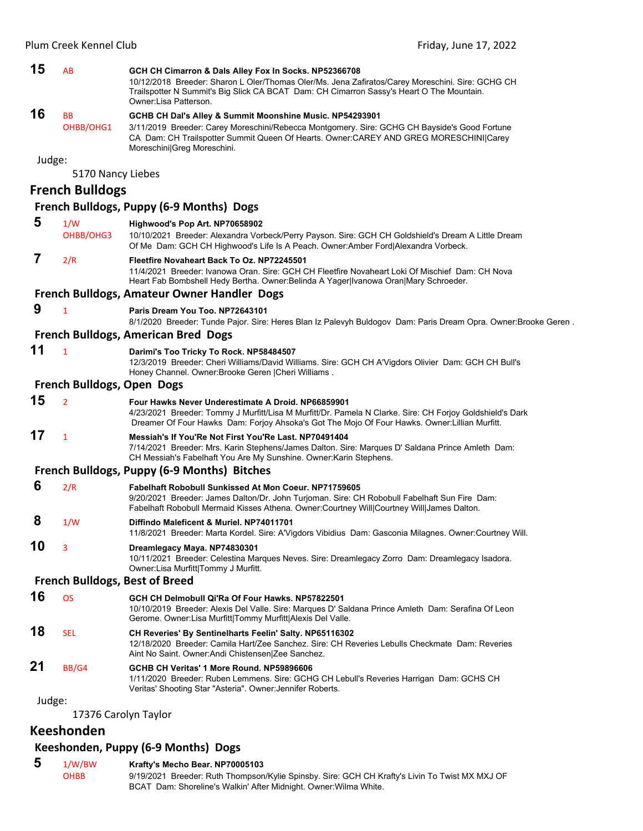| 15     | AB                         | GCH CH Cimarron & Dals Alley Fox In Socks. NP52366708<br>10/12/2018 Breeder: Sharon L Oler/Thomas Oler/Ms. Jena Zafiratos/Carey Moreschini. Sire: GCHG CH<br>Trailspotter N Summit's Big Slick CA BCAT Dam: CH Cimarron Sassy's Heart O The Mountain.<br>Owner: Lisa Patterson.   |
|--------|----------------------------|-----------------------------------------------------------------------------------------------------------------------------------------------------------------------------------------------------------------------------------------------------------------------------------|
| 16     | BB<br>OHBB/OHG1            | GCHB CH Dal's Alley & Summit Moonshine Music. NP54293901<br>3/11/2019 Breeder: Carey Moreschini/Rebecca Montgomery. Sire: GCHG CH Bayside's Good Fortune<br>CA Dam: CH Trailspotter Summit Queen Of Hearts. Owner: CAREY AND GREG MORESCHINI Carey<br>Moreschini Greg Moreschini. |
| Judge: | 5170 Nancy Liebes          |                                                                                                                                                                                                                                                                                   |
|        | <b>French Bulldogs</b>     |                                                                                                                                                                                                                                                                                   |
|        |                            | French Bulldogs, Puppy (6-9 Months) Dogs                                                                                                                                                                                                                                          |
| 5      | 1/W                        | Highwood's Pop Art. NP70658902                                                                                                                                                                                                                                                    |
|        | OHBB/OHG3                  | 10/10/2021 Breeder: Alexandra Vorbeck/Perry Payson. Sire: GCH CH Goldshield's Dream A Little Dream<br>Of Me Dam: GCH CH Highwood's Life Is A Peach. Owner: Amber Ford Alexandra Vorbeck.                                                                                          |
| 7      | 2/R                        | Fleetfire Novaheart Back To Oz. NP72245501<br>11/4/2021 Breeder: Ivanowa Oran. Sire: GCH CH Fleetfire Novaheart Loki Of Mischief Dam: CH Nova<br>Heart Fab Bombshell Hedy Bertha. Owner: Belinda A Yager Ivanowa Oran Mary Schroeder.                                             |
|        |                            | French Bulldogs, Amateur Owner Handler Dogs                                                                                                                                                                                                                                       |
| 9      | $\mathbf{1}$               | Paris Dream You Too. NP72643101<br>8/1/2020 Breeder: Tunde Pajor. Sire: Heres Blan Iz Palevyh Buldogov Dam: Paris Dream Opra. Owner:Brooke Geren.                                                                                                                                 |
|        |                            | <b>French Bulldogs, American Bred Dogs</b>                                                                                                                                                                                                                                        |
| 11     | $\mathbf{1}$               | Darimi's Too Tricky To Rock. NP58484507<br>12/3/2019 Breeder: Cheri Williams/David Williams. Sire: GCH CH A'Vigdors Olivier Dam: GCH CH Bull's<br>Honey Channel. Owner: Brooke Geren   Cheri Williams.                                                                            |
|        | French Bulldogs, Open Dogs |                                                                                                                                                                                                                                                                                   |
| 15     | $\overline{2}$             | Four Hawks Never Underestimate A Droid. NP66859901<br>4/23/2021 Breeder: Tommy J Murfitt/Lisa M Murfitt/Dr. Pamela N Clarke. Sire: CH Forjoy Goldshield's Dark<br>Dreamer Of Four Hawks Dam: Forjoy Ahsoka's Got The Mojo Of Four Hawks. Owner: Lillian Murfitt.                  |
| 17     | $\mathbf{1}$               | Messiah's If You'Re Not First You'Re Last, NP70491404<br>7/14/2021 Breeder: Mrs. Karin Stephens/James Dalton. Sire: Marques D' Saldana Prince Amleth Dam:<br>CH Messiah's Fabelhaft You Are My Sunshine. Owner: Karin Stephens.                                                   |
|        |                            | French Bulldogs, Puppy (6-9 Months) Bitches                                                                                                                                                                                                                                       |
| 6      | 2/R                        | <b>Fabelhaft Robobull Sunkissed At Mon Coeur, NP71759605</b><br>9/20/2021 Breeder: James Dalton/Dr. John Turjoman. Sire: CH Robobull Fabelhaft Sun Fire Dam:<br>Fabelhaft Robobull Mermaid Kisses Athena. Owner:Courtney Will Courtney Will James Dalton.                         |
| 8      | 1/W                        | Diffindo Maleficent & Muriel. NP74011701<br>11/8/2021 Breeder: Marta Kordel. Sire: A'Vigdors Vibidius Dam: Gasconia Milagnes. Owner:Courtney Will.                                                                                                                                |
| 10     | 3                          | Dreamlegacy Maya. NP74830301<br>10/11/2021 Breeder: Celestina Marques Neves. Sire: Dreamlegacy Zorro Dam: Dreamlegacy Isadora.<br>Owner: Lisa Murfitt Tommy J Murfitt.                                                                                                            |
|        |                            | <b>French Bulldogs, Best of Breed</b>                                                                                                                                                                                                                                             |
| 16     | <b>OS</b>                  | GCH CH Delmobull Qi'Ra Of Four Hawks. NP57822501<br>10/10/2019 Breeder: Alexis Del Valle. Sire: Marques D' Saldana Prince Amleth Dam: Serafina Of Leon<br>Gerome. Owner: Lisa Murfitt Tommy Murfitt Alexis Del Valle.                                                             |
| 18     | <b>SEL</b>                 | CH Reveries' By Sentinelharts Feelin' Salty. NP65116302<br>12/18/2020 Breeder: Camila Hart/Zee Sanchez. Sire: CH Reveries Lebulls Checkmate Dam: Reveries<br>Aint No Saint. Owner: Andi Chistensen Zee Sanchez.                                                                   |
| 21     | BB/G4                      | GCHB CH Veritas' 1 More Round. NP59896606<br>1/11/2020 Breeder: Ruben Lemmens. Sire: GCHG CH Lebull's Reveries Harrigan Dam: GCHS CH<br>Veritas' Shooting Star "Asteria". Owner: Jennifer Roberts.                                                                                |
| Judge: |                            |                                                                                                                                                                                                                                                                                   |
|        |                            | 17376 Carolyn Taylor                                                                                                                                                                                                                                                              |

# **Keeshonden**

# **Keeshonden, Puppy (6‐9 Months) Dogs**

 **5** 1/W/BW **Krafty's Mecho Bear. NP70005103** 9/19/2021 Breeder: Ruth Thompson/Kylie Spinsby. Sire: GCH CH Krafty's Livin To Twist MX MXJ OF BCAT Dam: Shoreline's Walkin' After Midnight. Owner:Wilma White.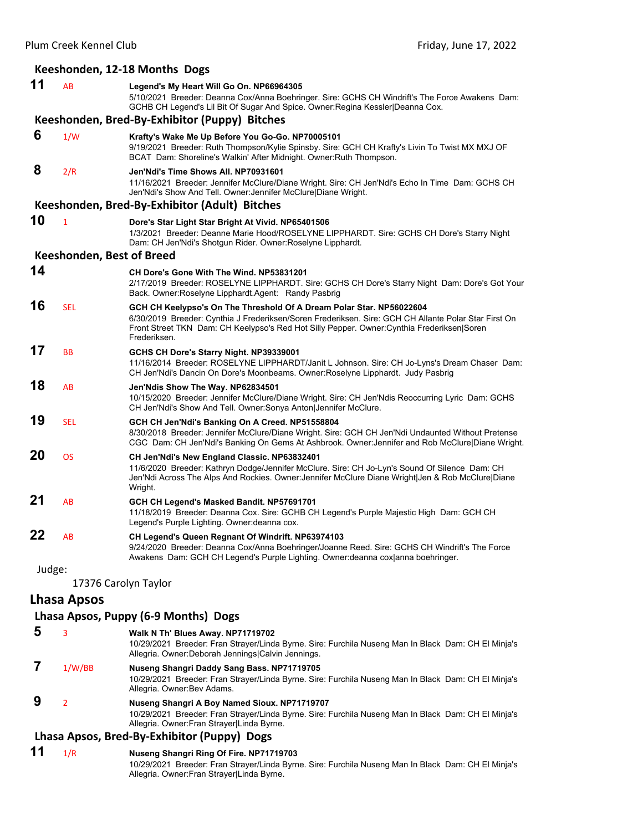#### **Keeshonden, 12‐18 Months Dogs 11** AB **Legend's My Heart Will Go On. NP66964305** 5/10/2021 Breeder: Deanna Cox/Anna Boehringer. Sire: GCHS CH Windrift's The Force Awakens Dam: GCHB CH Legend's Lil Bit Of Sugar And Spice. Owner:Regina Kessler|Deanna Cox. **Keeshonden, Bred‐By‐Exhibitor (Puppy) Bitches 6** 1/W **Krafty's Wake Me Up Before You Go-Go. NP70005101** 9/19/2021 Breeder: Ruth Thompson/Kylie Spinsby. Sire: GCH CH Krafty's Livin To Twist MX MXJ OF BCAT Dam: Shoreline's Walkin' After Midnight. Owner:Ruth Thompson.  **8** 2/R **Jen'Ndi's Time Shows All. NP70931601** 11/16/2021 Breeder: Jennifer McClure/Diane Wright. Sire: CH Jen'Ndi's Echo In Time Dam: GCHS CH Jen'Ndi's Show And Tell. Owner:Jennifer McClure|Diane Wright. **Keeshonden, Bred‐By‐Exhibitor (Adult) Bitches 10** <sup>1</sup> **Dore's Star Light Star Bright At Vivid. NP65401506** 1/3/2021 Breeder: Deanne Marie Hood/ROSELYNE LIPPHARDT. Sire: GCHS CH Dore's Starry Night Dam: CH Jen'Ndi's Shotgun Rider. Owner:Roselyne Lipphardt. **Keeshonden, Best of Breed 14 CH Dore's Gone With The Wind. NP53831201** 2/17/2019 Breeder: ROSELYNE LIPPHARDT. Sire: GCHS CH Dore's Starry Night Dam: Dore's Got Your Back. Owner:Roselyne Lipphardt.Agent: Randy Pasbrig **16** SEL **GCH CH Keelypso's On The Threshold Of A Dream Polar Star. NP56022604** 6/30/2019 Breeder: Cynthia J Frederiksen/Soren Frederiksen. Sire: GCH CH Allante Polar Star First On Front Street TKN Dam: CH Keelypso's Red Hot Silly Pepper. Owner:Cynthia Frederiksen|Soren Frederiksen. **17** BB **GCHS CH Dore's Starry Night. NP39339001** 11/16/2014 Breeder: ROSELYNE LIPPHARDT/Janit L Johnson. Sire: CH Jo-Lyns's Dream Chaser Dam: CH Jen'Ndi's Dancin On Dore's Moonbeams. Owner:Roselyne Lipphardt. Judy Pasbrig **18** AB **Jen'Ndis Show The Way. NP62834501** 10/15/2020 Breeder: Jennifer McClure/Diane Wright. Sire: CH Jen'Ndis Reoccurring Lyric Dam: GCHS CH Jen'Ndi's Show And Tell. Owner:Sonya Anton|Jennifer McClure. **19** SEL **GCH CH Jen'Ndi's Banking On A Creed. NP51558804** 8/30/2018 Breeder: Jennifer McClure/Diane Wright. Sire: GCH CH Jen'Ndi Undaunted Without Pretense CGC Dam: CH Jen'Ndi's Banking On Gems At Ashbrook. Owner:Jennifer and Rob McClure|Diane Wright. **20** OS **CH Jen'Ndi's New England Classic. NP63832401** 11/6/2020 Breeder: Kathryn Dodge/Jennifer McClure. Sire: CH Jo-Lyn's Sound Of Silence Dam: CH Jen'Ndi Across The Alps And Rockies. Owner:Jennifer McClure Diane Wright|Jen & Rob McClure|Diane Wright. **21** AB **GCH CH Legend's Masked Bandit. NP57691701** 11/18/2019 Breeder: Deanna Cox. Sire: GCHB CH Legend's Purple Majestic High Dam: GCH CH Legend's Purple Lighting. Owner:deanna cox. **22** AB **CH Legend's Queen Regnant Of Windrift. NP63974103** 9/24/2020 Breeder: Deanna Cox/Anna Boehringer/Joanne Reed. Sire: GCHS CH Windrift's The Force Awakens Dam: GCH CH Legend's Purple Lighting. Owner:deanna cox|anna boehringer. Judge: 17376 Carolyn Taylor

# **Lhasa Apsos**

#### **Lhasa Apsos, Puppy (6‐9 Months) Dogs**

 **5** <sup>3</sup> **Walk N Th' Blues Away. NP71719702** 10/29/2021 Breeder: Fran Strayer/Linda Byrne. Sire: Furchila Nuseng Man In Black Dam: CH El Minja's Allegria. Owner:Deborah Jennings|Calvin Jennings.  **7** 1/W/BB **Nuseng Shangri Daddy Sang Bass. NP71719705** 10/29/2021 Breeder: Fran Strayer/Linda Byrne. Sire: Furchila Nuseng Man In Black Dam: CH El Minja's Allegria. Owner:Bev Adams.  **9** <sup>2</sup> **Nuseng Shangri A Boy Named Sioux. NP71719707**

#### 10/29/2021 Breeder: Fran Strayer/Linda Byrne. Sire: Furchila Nuseng Man In Black Dam: CH El Minja's Allegria. Owner:Fran Strayer|Linda Byrne.

# **Lhasa Apsos, Bred‐By‐Exhibitor (Puppy) Dogs**

**11** 1/R **Nuseng Shangri Ring Of Fire. NP71719703** 10/29/2021 Breeder: Fran Strayer/Linda Byrne. Sire: Furchila Nuseng Man In Black Dam: CH El Minja's Allegria. Owner:Fran Strayer|Linda Byrne.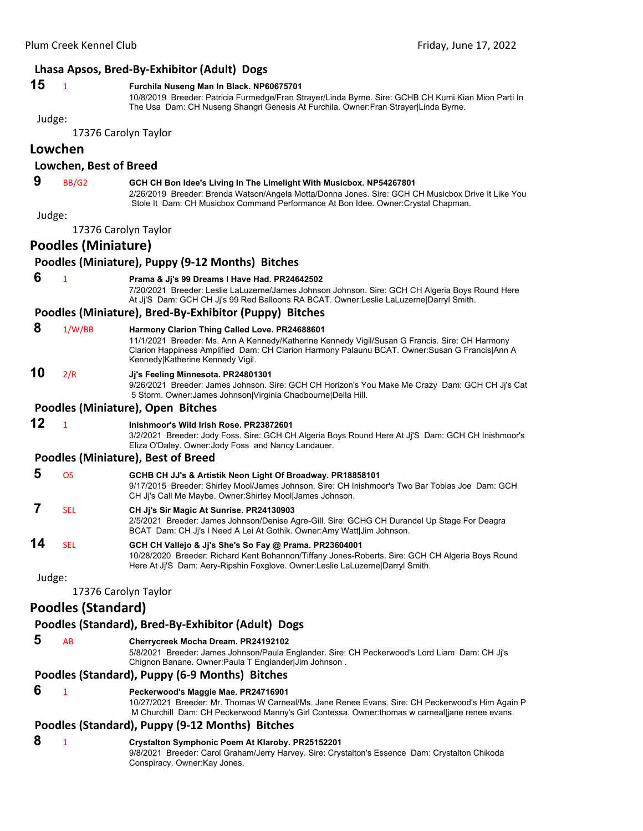# **Lhasa Apsos, Bred‐By‐Exhibitor (Adult) Dogs**

#### **15** <sup>1</sup> **Furchila Nuseng Man In Black. NP60675701**

10/8/2019 Breeder: Patricia Furmedge/Fran Strayer/Linda Byrne. Sire: GCHB CH Kumi Kian Mion Parti In The Usa Dam: CH Nuseng Shangri Genesis At Furchila. Owner:Fran Strayer|Linda Byrne.

Judge:

17376 Carolyn Taylor

# **Lowchen**

#### **Lowchen, Best of Breed**

 **9** BB/G2 **GCH CH Bon Idee's Living In The Limelight With Musicbox. NP54267801** 2/26/2019 Breeder: Brenda Watson/Angela Motta/Donna Jones. Sire: GCH CH Musicbox Drive It Like You Stole It Dam: CH Musicbox Command Performance At Bon Idee. Owner:Crystal Chapman.

Judge:

17376 Carolyn Taylor

# **Poodles (Miniature)**

#### **Poodles (Miniature), Puppy (9‐12 Months) Bitches**

#### **6** <sup>1</sup> **Prama & Jj's 99 Dreams I Have Had. PR24642502**

7/20/2021 Breeder: Leslie LaLuzerne/James Johnson Johnson. Sire: GCH CH Algeria Boys Round Here At Jj'S Dam: GCH CH Jj's 99 Red Balloons RA BCAT. Owner:Leslie LaLuzerne|Darryl Smith.

#### **Poodles (Miniature), Bred‐By‐Exhibitor (Puppy) Bitches**

| 8 | 1/W/BB | Harmony Clarion Thing Called Love. PR24688601                                                  |
|---|--------|------------------------------------------------------------------------------------------------|
|   |        | 11/1/2021 Breeder: Ms. Ann A Kennedy/Katherine Kennedy Vigil/Susan G Francis. Sire: CH Harmony |
|   |        | Clarion Happiness Amplified Dam: CH Clarion Harmony Palaunu BCAT. Owner:Susan G Francis Ann A  |
|   |        | KennedvlKatherine Kennedv Vigil.                                                               |

#### **10** 2/R **Jj's Feeling Minnesota. PR24801301**

9/26/2021 Breeder: James Johnson. Sire: GCH CH Horizon's You Make Me Crazy Dam: GCH CH Jj's Cat 5 Storm. Owner:James Johnson|Virginia Chadbourne|Della Hill.

#### **Poodles (Miniature), Open Bitches**

# **12** <sup>1</sup> **Inishmoor's Wild Irish Rose. PR23872601**

3/2/2021 Breeder: Jody Foss. Sire: GCH CH Algeria Boys Round Here At Jj'S Dam: GCH CH Inishmoor's Eliza O'Daley. Owner:Jody Foss and Nancy Landauer.

#### **Poodles (Miniature), Best of Breed**

 **5** OS **GCHB CH JJ's & Artistik Neon Light Of Broadway. PR18858101** 9/17/2015 Breeder: Shirley Mool/James Johnson. Sire: CH Inishmoor's Two Bar Tobias Joe Dam: GCH CH Jj's Call Me Maybe. Owner:Shirley Mool|James Johnson.

# **7** SEL **CH Jj's Sir Magic At Sunrise. PR24130903**

2/5/2021 Breeder: James Johnson/Denise Agre-Gill. Sire: GCHG CH Durandel Up Stage For Deagra BCAT Dam: CH Jj's I Need A Lei At Gothik. Owner:Amy Watt|Jim Johnson.

# **14** SEL **GCH CH Vallejo & Jj's She's So Fay @ Prama. PR23604001**

10/28/2020 Breeder: Richard Kent Bohannon/Tiffany Jones-Roberts. Sire: GCH CH Algeria Boys Round Here At Jj'S Dam: Aery-Ripshin Foxglove. Owner:Leslie LaLuzerne|Darryl Smith.

Judge:

17376 Carolyn Taylor

# **Poodles (Standard)**

#### **Poodles (Standard), Bred‐By‐Exhibitor (Adult) Dogs**

#### **5** AB **Cherrycreek Mocha Dream. PR24192102**

5/8/2021 Breeder: James Johnson/Paula Englander. Sire: CH Peckerwood's Lord Liam Dam: CH Jj's Chignon Banane. Owner:Paula T Englander|Jim Johnson .

#### **Poodles (Standard), Puppy (6‐9 Months) Bitches**

#### **6** <sup>1</sup> **Peckerwood's Maggie Mae. PR24716901**

10/27/2021 Breeder: Mr. Thomas W Carneal/Ms. Jane Renee Evans. Sire: CH Peckerwood's Him Again P M Churchill Dam: CH Peckerwood Manny's Girl Contessa. Owner:thomas w carneal|jane renee evans.

### **Poodles (Standard), Puppy (9‐12 Months) Bitches**

#### **8** <sup>1</sup> **Crystalton Symphonic Poem At Klaroby. PR25152201**

9/8/2021 Breeder: Carol Graham/Jerry Harvey. Sire: Crystalton's Essence Dam: Crystalton Chikoda Conspiracy. Owner:Kay Jones.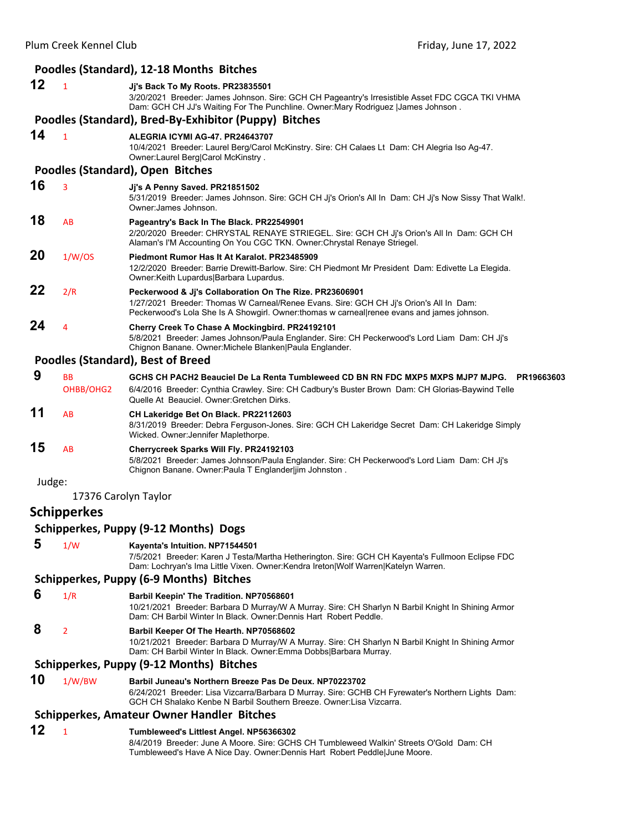|        |                        | Poodles (Standard), 12-18 Months Bitches                                                                                                                                                                                                     |
|--------|------------------------|----------------------------------------------------------------------------------------------------------------------------------------------------------------------------------------------------------------------------------------------|
| 12     | $\mathbf{1}$           | Jj's Back To My Roots. PR23835501                                                                                                                                                                                                            |
|        |                        | 3/20/2021 Breeder: James Johnson. Sire: GCH CH Pageantry's Irresistible Asset FDC CGCA TKI VHMA<br>Dam: GCH CH JJ's Waiting For The Punchline. Owner: Mary Rodriguez  James Johnson.                                                         |
|        |                        | Poodles (Standard), Bred-By-Exhibitor (Puppy) Bitches                                                                                                                                                                                        |
| 14     | $\mathbf{1}$           | ALEGRIA ICYMI AG-47. PR24643707                                                                                                                                                                                                              |
|        |                        | 10/4/2021 Breeder: Laurel Berg/Carol McKinstry. Sire: CH Calaes Lt Dam: CH Alegria Iso Ag-47.                                                                                                                                                |
|        |                        | Owner:Laurel Berg Carol McKinstry.<br>Poodles (Standard), Open Bitches                                                                                                                                                                       |
| 16     |                        |                                                                                                                                                                                                                                              |
|        | 3                      | Jj's A Penny Saved. PR21851502<br>5/31/2019 Breeder: James Johnson. Sire: GCH CH Jj's Orion's All In Dam: CH Jj's Now Sissy That Walk!.<br>Owner: James Johnson.                                                                             |
| 18     | AB                     | Pageantry's Back In The Black. PR22549901<br>2/20/2020 Breeder: CHRYSTAL RENAYE STRIEGEL. Sire: GCH CH Jj's Orion's All In Dam: GCH CH<br>Alaman's I'M Accounting On You CGC TKN. Owner: Chrystal Renaye Striegel.                           |
| 20     | 1/W/OS                 | Piedmont Rumor Has It At Karalot, PR23485909<br>12/2/2020 Breeder: Barrie Drewitt-Barlow. Sire: CH Piedmont Mr President Dam: Edivette La Elegida.<br>Owner:Keith Lupardus Barbara Lupardus.                                                 |
| 22     | 2/R                    | Peckerwood & Jj's Collaboration On The Rize. PR23606901                                                                                                                                                                                      |
|        |                        | 1/27/2021 Breeder: Thomas W Carneal/Renee Evans. Sire: GCH CH Jj's Orion's All In Dam:<br>Peckerwood's Lola She Is A Showgirl. Owner:thomas w carneal renee evans and james johnson.                                                         |
| 24     | 4                      | Cherry Creek To Chase A Mockingbird. PR24192101<br>5/8/2021 Breeder: James Johnson/Paula Englander. Sire: CH Peckerwood's Lord Liam Dam: CH Jj's<br>Chignon Banane. Owner: Michele Blanken Paula Englander.                                  |
|        |                        | <b>Poodles (Standard), Best of Breed</b>                                                                                                                                                                                                     |
| 9      | <b>BB</b><br>OHBB/OHG2 | GCHS CH PACH2 Beauciel De La Renta Tumbleweed CD BN RN FDC MXP5 MXPS MJP7 MJPG. PR19663603<br>6/4/2016 Breeder: Cynthia Crawley. Sire: CH Cadbury's Buster Brown Dam: CH Glorias-Baywind Telle<br>Quelle At Beauciel. Owner: Gretchen Dirks. |
| 11     | AB                     | CH Lakeridge Bet On Black. PR22112603<br>8/31/2019 Breeder: Debra Ferguson-Jones. Sire: GCH CH Lakeridge Secret Dam: CH Lakeridge Simply<br>Wicked. Owner: Jennifer Maplethorpe.                                                             |
| 15     | AB                     | Cherrycreek Sparks Will Fly. PR24192103<br>5/8/2021 Breeder: James Johnson/Paula Englander. Sire: CH Peckerwood's Lord Liam Dam: CH Jj's<br>Chignon Banane. Owner: Paula T Englander jim Johnston.                                           |
| Judge: |                        |                                                                                                                                                                                                                                              |
|        | 17376 Carolyn Taylor   |                                                                                                                                                                                                                                              |
|        | <b>Schipperkes</b>     |                                                                                                                                                                                                                                              |
|        |                        | Schipperkes, Puppy (9-12 Months) Dogs                                                                                                                                                                                                        |
| 5      | 1/W                    | Kayenta's Intuition. NP71544501<br>7/5/2021 Breeder: Karen J Testa/Martha Hetherington. Sire: GCH CH Kayenta's Fullmoon Eclipse FDC<br>Dam: Lochryan's Ima Little Vixen. Owner:Kendra Ireton Wolf Warren Katelyn Warren.                     |
|        |                        | <b>Schipperkes, Puppy (6-9 Months) Bitches</b>                                                                                                                                                                                               |
| 6      | 1/R                    | Barbil Keepin' The Tradition. NP70568601                                                                                                                                                                                                     |
|        |                        | 10/21/2021 Breeder: Barbara D Murray/W A Murray. Sire: CH Sharlyn N Barbil Knight In Shining Armor<br>Dam: CH Barbil Winter In Black. Owner: Dennis Hart Robert Peddle.                                                                      |
| 8      | 2                      | Barbil Keeper Of The Hearth. NP70568602<br>10/21/2021 Breeder: Barbara D Murray/W A Murray. Sire: CH Sharlyn N Barbil Knight In Shining Armor<br>Dam: CH Barbil Winter In Black. Owner: Emma Dobbs Barbara Murray.                           |
|        |                        | Schipperkes, Puppy (9-12 Months) Bitches                                                                                                                                                                                                     |
| 10     | 1/W/BW                 | Barbil Juneau's Northern Breeze Pas De Deux. NP70223702<br>6/24/2021 Breeder: Lisa Vizcarra/Barbara D Murray. Sire: GCHB CH Fyrewater's Northern Lights Dam:<br>GCH CH Shalako Kenbe N Barbil Southern Breeze. Owner:Lisa Vizcarra.          |
|        |                        | <b>Schipperkes, Amateur Owner Handler Bitches</b>                                                                                                                                                                                            |
| 12     | $\mathbf{1}$           | Tumbleweed's Littlest Angel. NP56366302                                                                                                                                                                                                      |

8/4/2019 Breeder: June A Moore. Sire: GCHS CH Tumbleweed Walkin' Streets O'Gold Dam: CH Tumbleweed's Have A Nice Day. Owner:Dennis Hart Robert Peddle|June Moore.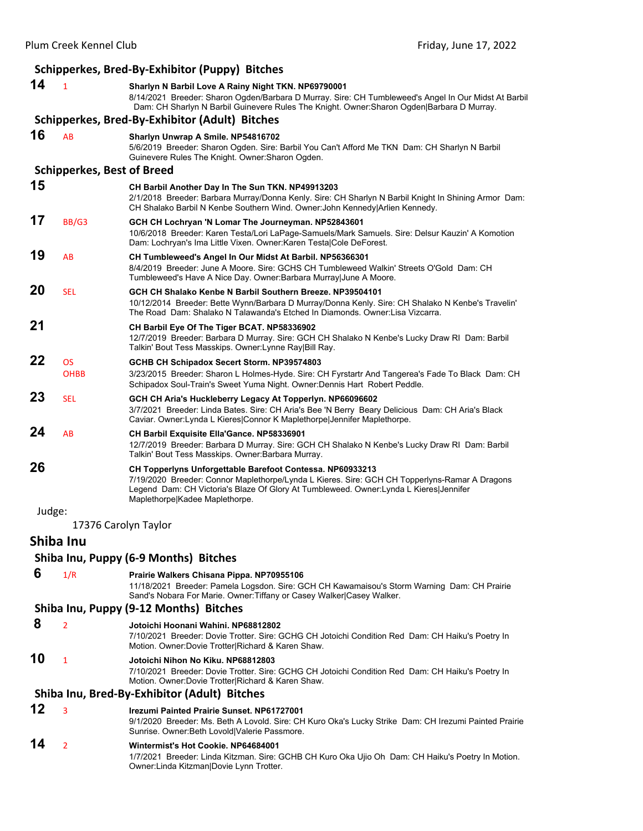|        |                                   | Schipperkes, Bred-By-Exhibitor (Puppy) Bitches                                                                                                                                                                                                                                        |
|--------|-----------------------------------|---------------------------------------------------------------------------------------------------------------------------------------------------------------------------------------------------------------------------------------------------------------------------------------|
| 14     | $\mathbf{1}$                      | Sharlyn N Barbil Love A Rainy Night TKN. NP69790001<br>8/14/2021 Breeder: Sharon Ogden/Barbara D Murray. Sire: CH Tumbleweed's Angel In Our Midst At Barbil<br>Dam: CH Sharlyn N Barbil Guinevere Rules The Knight. Owner: Sharon Ogden Barbara D Murray.                             |
|        |                                   | Schipperkes, Bred-By-Exhibitor (Adult) Bitches                                                                                                                                                                                                                                        |
| 16     | <b>AB</b>                         | Sharlyn Unwrap A Smile. NP54816702<br>5/6/2019 Breeder: Sharon Ogden. Sire: Barbil You Can't Afford Me TKN Dam: CH Sharlyn N Barbil<br>Guinevere Rules The Knight. Owner: Sharon Ogden.                                                                                               |
|        | <b>Schipperkes, Best of Breed</b> |                                                                                                                                                                                                                                                                                       |
| 15     |                                   | CH Barbil Another Day In The Sun TKN. NP49913203<br>2/1/2018 Breeder: Barbara Murray/Donna Kenly. Sire: CH Sharlyn N Barbil Knight In Shining Armor Dam:<br>CH Shalako Barbil N Kenbe Southern Wind. Owner: John Kennedy Arlien Kennedy.                                              |
| 17     | BB/G3                             | GCH CH Lochryan 'N Lomar The Journeyman. NP52843601<br>10/6/2018 Breeder: Karen Testa/Lori LaPage-Samuels/Mark Samuels. Sire: Delsur Kauzin' A Komotion<br>Dam: Lochryan's Ima Little Vixen. Owner: Karen Testa Cole DeForest.                                                        |
| 19     | AB                                | CH Tumbleweed's Angel In Our Midst At Barbil. NP56366301<br>8/4/2019 Breeder: June A Moore. Sire: GCHS CH Tumbleweed Walkin' Streets O'Gold Dam: CH<br>Tumbleweed's Have A Nice Day. Owner: Barbara Murray June A Moore.                                                              |
| 20     | <b>SEL</b>                        | GCH CH Shalako Kenbe N Barbil Southern Breeze. NP39504101<br>10/12/2014 Breeder: Bette Wynn/Barbara D Murray/Donna Kenly. Sire: CH Shalako N Kenbe's Travelin'<br>The Road Dam: Shalako N Talawanda's Etched In Diamonds. Owner:Lisa Vizcarra.                                        |
| 21     |                                   | CH Barbil Eye Of The Tiger BCAT. NP58336902<br>12/7/2019 Breeder: Barbara D Murray. Sire: GCH CH Shalako N Kenbe's Lucky Draw RI Dam: Barbil<br>Talkin' Bout Tess Masskips. Owner: Lynne Ray Bill Ray.                                                                                |
| 22     | <b>OS</b><br><b>OHBB</b>          | GCHB CH Schipadox Secert Storm. NP39574803<br>3/23/2015 Breeder: Sharon L Holmes-Hyde. Sire: CH Fyrstartr And Tangerea's Fade To Black Dam: CH<br>Schipadox Soul-Train's Sweet Yuma Night. Owner: Dennis Hart Robert Peddle.                                                          |
| 23     | <b>SEL</b>                        | GCH CH Aria's Huckleberry Legacy At Topperlyn. NP66096602<br>3/7/2021 Breeder: Linda Bates. Sire: CH Aria's Bee 'N Berry Beary Delicious Dam: CH Aria's Black<br>Caviar. Owner: Lynda L Kieres Connor K Maplethorpe Jennifer Maplethorpe.                                             |
| 24     | AB                                | CH Barbil Exquisite Ella'Gance. NP58336901<br>12/7/2019 Breeder: Barbara D Murray. Sire: GCH CH Shalako N Kenbe's Lucky Draw RI Dam: Barbil<br>Talkin' Bout Tess Masskips. Owner: Barbara Murray.                                                                                     |
| 26     |                                   | CH Topperlyns Unforgettable Barefoot Contessa. NP60933213<br>7/19/2020 Breeder: Connor Maplethorpe/Lynda L Kieres. Sire: GCH CH Topperlyns-Ramar A Dragons<br>Legend Dam: CH Victoria's Blaze Of Glory At Tumbleweed. Owner:Lynda L Kieres Jennifer<br>Maplethorpe Kadee Maplethorpe. |
| Judge: |                                   |                                                                                                                                                                                                                                                                                       |
|        | 17376 Carolyn Taylor              |                                                                                                                                                                                                                                                                                       |
|        | Shiba Inu                         |                                                                                                                                                                                                                                                                                       |
|        |                                   | Shiba Inu, Puppy (6-9 Months) Bitches                                                                                                                                                                                                                                                 |
| 6      | 1/R                               | Prairie Walkers Chisana Pippa. NP70955106<br>11/18/2021 Breeder: Pamela Logsdon. Sire: GCH CH Kawamaisou's Storm Warning Dam: CH Prairie<br>Sand's Nobara For Marie. Owner: Tiffany or Casey Walker Casey Walker.                                                                     |
|        |                                   | Shiba Inu, Puppy (9-12 Months) Bitches                                                                                                                                                                                                                                                |
| 8      | $\overline{2}$                    | Jotoichi Hoonani Wahini, NP68812802<br>7/10/2021 Breeder: Dovie Trotter. Sire: GCHG CH Jotoichi Condition Red Dam: CH Haiku's Poetry In<br>Motion. Owner:Dovie Trotter Richard & Karen Shaw.                                                                                          |
| 10     | $\mathbf{1}$                      | Jotoichi Nihon No Kiku. NP68812803<br>7/10/2021 Breeder: Dovie Trotter. Sire: GCHG CH Jotoichi Condition Red Dam: CH Haiku's Poetry In<br>Motion. Owner:Dovie Trotter Richard & Karen Shaw.                                                                                           |
|        |                                   | Shiba Inu, Bred-By-Exhibitor (Adult) Bitches                                                                                                                                                                                                                                          |
| 12     | 3                                 | <b>Irezumi Painted Prairie Sunset, NP61727001</b><br>9/1/2020 Breeder: Ms. Beth A Lovold. Sire: CH Kuro Oka's Lucky Strike Dam: CH Irezumi Painted Prairie<br>Sunrise. Owner:Beth Lovold Valerie Passmore.                                                                            |
| 14     | $\overline{2}$                    | Wintermist's Hot Cookie. NP64684001<br>1/7/2021 Breeder: Linda Kitzman. Sire: GCHB CH Kuro Oka Ujio Oh Dam: CH Haiku's Poetry In Motion.<br>Owner: Linda Kitzman Dovie Lynn Trotter.                                                                                                  |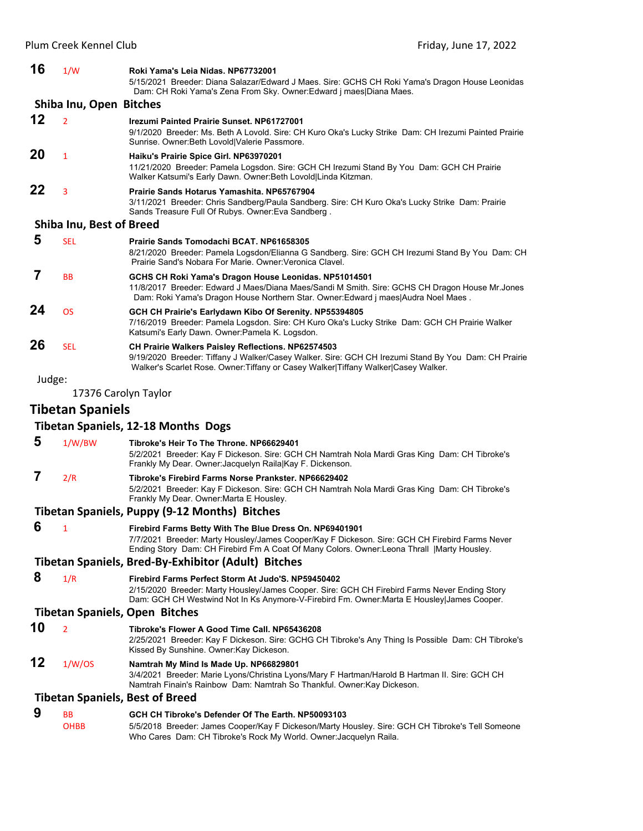| 16     | 1/W                      | Roki Yama's Leia Nidas. NP67732001<br>5/15/2021 Breeder: Diana Salazar/Edward J Maes. Sire: GCHS CH Roki Yama's Dragon House Leonidas<br>Dam: CH Roki Yama's Zena From Sky. Owner: Edward j maes   Diana Maes.                                            |
|--------|--------------------------|-----------------------------------------------------------------------------------------------------------------------------------------------------------------------------------------------------------------------------------------------------------|
|        | Shiba Inu, Open Bitches  |                                                                                                                                                                                                                                                           |
| 12     | $\overline{2}$           | <b>Irezumi Painted Prairie Sunset, NP61727001</b><br>9/1/2020 Breeder: Ms. Beth A Lovold. Sire: CH Kuro Oka's Lucky Strike Dam: CH Irezumi Painted Prairie<br>Sunrise. Owner: Beth Lovold Valerie Passmore.                                               |
| 20     | $\mathbf{1}$             | Haiku's Prairie Spice Girl. NP63970201<br>11/21/2020 Breeder: Pamela Logsdon. Sire: GCH CH Irezumi Stand By You Dam: GCH CH Prairie<br>Walker Katsumi's Early Dawn. Owner: Beth Lovold Linda Kitzman.                                                     |
| 22     | 3                        | Prairie Sands Hotarus Yamashita, NP65767904<br>3/11/2021 Breeder: Chris Sandberg/Paula Sandberg. Sire: CH Kuro Oka's Lucky Strike Dam: Prairie<br>Sands Treasure Full Of Rubys. Owner: Eva Sandberg.                                                      |
|        | Shiba Inu, Best of Breed |                                                                                                                                                                                                                                                           |
| 5      | <b>SEL</b>               | Prairie Sands Tomodachi BCAT. NP61658305<br>8/21/2020 Breeder: Pamela Logsdon/Elianna G Sandberg. Sire: GCH CH Irezumi Stand By You Dam: CH<br>Prairie Sand's Nobara For Marie. Owner: Veronica Clavel.                                                   |
| 7      | <b>BB</b>                | GCHS CH Roki Yama's Dragon House Leonidas. NP51014501<br>11/8/2017 Breeder: Edward J Maes/Diana Maes/Sandi M Smith. Sire: GCHS CH Dragon House Mr.Jones<br>Dam: Roki Yama's Dragon House Northern Star. Owner: Edward j maes Audra Noel Maes.             |
| 24     | <b>OS</b>                | GCH CH Prairie's Earlydawn Kibo Of Serenity. NP55394805<br>7/16/2019 Breeder: Pamela Logsdon. Sire: CH Kuro Oka's Lucky Strike Dam: GCH CH Prairie Walker<br>Katsumi's Early Dawn. Owner: Pamela K. Logsdon.                                              |
| 26     | <b>SEL</b>               | CH Prairie Walkers Paisley Reflections. NP62574503<br>9/19/2020 Breeder: Tiffany J Walker/Casey Walker. Sire: GCH CH Irezumi Stand By You Dam: CH Prairie<br>Walker's Scarlet Rose. Owner: Tiffany or Casey Walker Tiffany Walker Casey Walker.           |
| Judge: |                          |                                                                                                                                                                                                                                                           |
|        | 17376 Carolyn Taylor     |                                                                                                                                                                                                                                                           |
|        | <b>Tibetan Spaniels</b>  |                                                                                                                                                                                                                                                           |
|        |                          | <b>Tibetan Spaniels, 12-18 Months Dogs</b>                                                                                                                                                                                                                |
| 5      | 1/W/BW                   | Tibroke's Heir To The Throne. NP66629401<br>5/2/2021 Breeder: Kay F Dickeson. Sire: GCH CH Namtrah Nola Mardi Gras King Dam: CH Tibroke's<br>Frankly My Dear. Owner: Jacquelyn Raila Kay F. Dickenson.                                                    |
| 7      | 2/R                      | Tibroke's Firebird Farms Norse Prankster, NP66629402<br>5/2/2021 Breeder: Kay F Dickeson. Sire: GCH CH Namtrah Nola Mardi Gras King Dam: CH Tibroke's<br>Frankly My Dear. Owner Marta E Housley.                                                          |
|        |                          | Tibetan Spaniels, Puppy (9-12 Months) Bitches                                                                                                                                                                                                             |
| 6      | $\mathbf{1}$             | Firebird Farms Betty With The Blue Dress On. NP69401901<br>7/7/2021 Breeder: Marty Housley/James Cooper/Kay F Dickeson. Sire: GCH CH Firebird Farms Never<br>Ending Story Dam: CH Firebird Fm A Coat Of Many Colors. Owner: Leona Thrall   Marty Housley. |
|        |                          | Tibetan Spaniels, Bred-By-Exhibitor (Adult) Bitches                                                                                                                                                                                                       |
| 8      | 1/R                      | Firebird Farms Perfect Storm At Judo'S. NP59450402<br>2/15/2020 Breeder: Marty Housley/James Cooper. Sire: GCH CH Firebird Farms Never Ending Story<br>Dam: GCH CH Westwind Not In Ks Anymore-V-Firebird Fm. Owner: Marta E Housley James Cooper.         |
|        |                          | <b>Tibetan Spaniels, Open Bitches</b>                                                                                                                                                                                                                     |
| 10     | $\overline{2}$           | Tibroke's Flower A Good Time Call. NP65436208<br>2/25/2021 Breeder: Kay F Dickeson. Sire: GCHG CH Tibroke's Any Thing Is Possible Dam: CH Tibroke's<br>Kissed By Sunshine. Owner: Kay Dickeson.                                                           |
| 12     | 1/W/OS                   | Namtrah My Mind Is Made Up. NP66829801<br>3/4/2021 Breeder: Marie Lyons/Christina Lyons/Mary F Hartman/Harold B Hartman II. Sire: GCH CH<br>Namtrah Finain's Rainbow Dam: Namtrah So Thankful. Owner: Kay Dickeson.                                       |
|        |                          | <b>Tibetan Spaniels, Best of Breed</b>                                                                                                                                                                                                                    |
| 9      | ВB                       | GCH CH Tibroke's Defender Of The Earth. NP50093103                                                                                                                                                                                                        |
|        |                          |                                                                                                                                                                                                                                                           |

OHBB 5/5/2018 Breeder: James Cooper/Kay F Dickeson/Marty Housley. Sire: GCH CH Tibroke's Tell Someone Who Cares Dam: CH Tibroke's Rock My World. Owner:Jacquelyn Raila.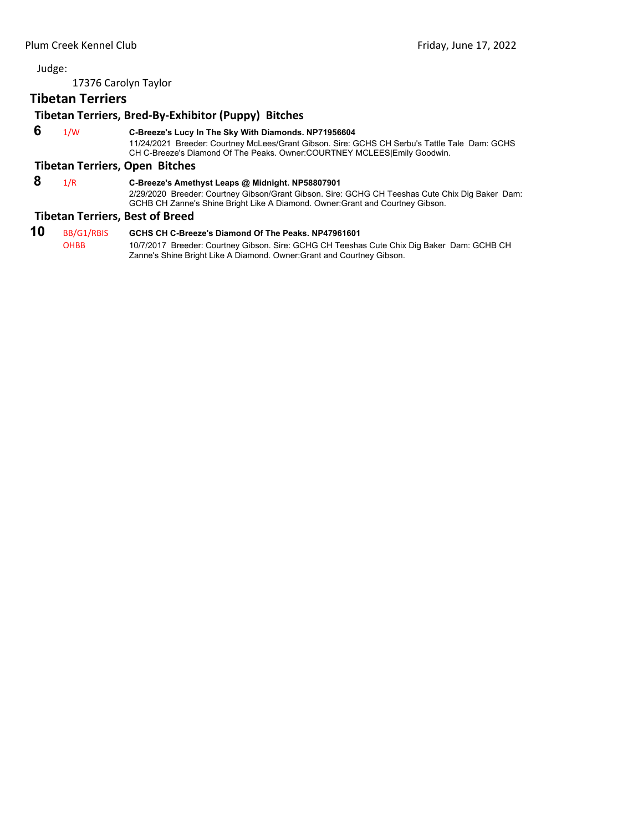17376 Carolyn Taylor

# **Tibetan Terriers**

# **Tibetan Terriers, Bred‐By‐Exhibitor (Puppy) Bitches**

 **6** 1/W **C-Breeze's Lucy In The Sky With Diamonds. NP71956604**

11/24/2021 Breeder: Courtney McLees/Grant Gibson. Sire: GCHS CH Serbu's Tattle Tale Dam: GCHS CH C-Breeze's Diamond Of The Peaks. Owner:COURTNEY MCLEES|Emily Goodwin.

# **Tibetan Terriers, Open Bitches**

# **8** 1/R **C-Breeze's Amethyst Leaps @ Midnight. NP58807901**

2/29/2020 Breeder: Courtney Gibson/Grant Gibson. Sire: GCHG CH Teeshas Cute Chix Dig Baker Dam: GCHB CH Zanne's Shine Bright Like A Diamond. Owner:Grant and Courtney Gibson.

#### **Tibetan Terriers, Best of Breed**

**10** BB/G1/RBIS **GCHS CH C-Breeze's Diamond Of The Peaks. NP47961601** 10/7/2017 Breeder: Courtney Gibson. Sire: GCHG CH Teeshas Cute Chix Dig Baker Dam: GCHB CH Zanne's Shine Bright Like A Diamond. Owner:Grant and Courtney Gibson.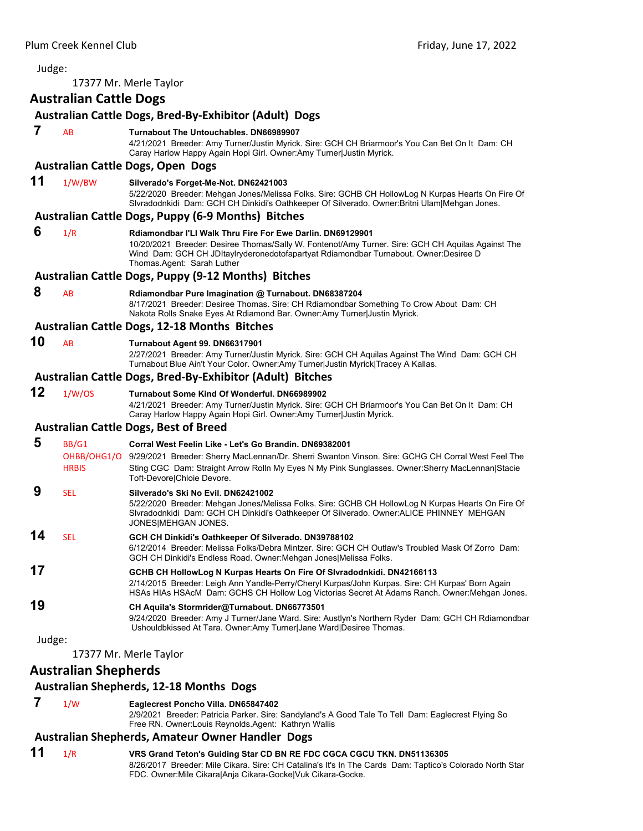<span id="page-48-0"></span>

| Judge: |                               |                                                                                                                                                                                                                                                                                                             |
|--------|-------------------------------|-------------------------------------------------------------------------------------------------------------------------------------------------------------------------------------------------------------------------------------------------------------------------------------------------------------|
|        |                               | 17377 Mr. Merle Taylor                                                                                                                                                                                                                                                                                      |
|        | <b>Australian Cattle Dogs</b> |                                                                                                                                                                                                                                                                                                             |
|        |                               | Australian Cattle Dogs, Bred-By-Exhibitor (Adult) Dogs                                                                                                                                                                                                                                                      |
| 7      | AB                            | Turnabout The Untouchables, DN66989907<br>4/21/2021 Breeder: Amy Turner/Justin Myrick. Sire: GCH CH Briarmoor's You Can Bet On It Dam: CH<br>Caray Harlow Happy Again Hopi Girl. Owner: Amy Turner Justin Myrick.                                                                                           |
|        |                               | <b>Australian Cattle Dogs, Open Dogs</b>                                                                                                                                                                                                                                                                    |
| 11     | 1/W/BW                        | Silverado's Forget-Me-Not. DN62421003<br>5/22/2020 Breeder: Mehgan Jones/Melissa Folks. Sire: GCHB CH HollowLog N Kurpas Hearts On Fire Of<br>Sivradodnkidi Dam: GCH CH Dinkidi's Oathkeeper Of Silverado. Owner: Britni Ulam Mehgan Jones.                                                                 |
|        |                               | <b>Australian Cattle Dogs, Puppy (6-9 Months) Bitches</b>                                                                                                                                                                                                                                                   |
| 6      | 1/R                           | Rdiamondbar I'Ll Walk Thru Fire For Ewe Darlin, DN69129901<br>10/20/2021 Breeder: Desiree Thomas/Sally W. Fontenot/Amy Turner. Sire: GCH CH Aquilas Against The<br>Wind Dam: GCH CH JDItaylryderonedotofapartyat Rdiamondbar Turnabout. Owner:Desiree D<br>Thomas.Agent: Sarah Luther                       |
|        |                               | <b>Australian Cattle Dogs, Puppy (9-12 Months) Bitches</b>                                                                                                                                                                                                                                                  |
| 8      | AB                            | Rdiamondbar Pure Imagination @ Turnabout. DN68387204<br>8/17/2021 Breeder: Desiree Thomas. Sire: CH Rdiamondbar Something To Crow About Dam: CH<br>Nakota Rolls Snake Eyes At Rdiamond Bar. Owner: Amy Turner Justin Myrick.                                                                                |
|        |                               | <b>Australian Cattle Dogs, 12-18 Months Bitches</b>                                                                                                                                                                                                                                                         |
| 10     | AB                            | Turnabout Agent 99. DN66317901<br>2/27/2021 Breeder: Amy Turner/Justin Myrick. Sire: GCH CH Aquilas Against The Wind Dam: GCH CH<br>Turnabout Blue Ain't Your Color. Owner:Amy Turner Justin Myrick Tracey A Kallas.                                                                                        |
|        |                               | Australian Cattle Dogs, Bred-By-Exhibitor (Adult) Bitches                                                                                                                                                                                                                                                   |
| 12     | 1/W/OS                        | Turnabout Some Kind Of Wonderful. DN66989902<br>4/21/2021 Breeder: Amy Turner/Justin Myrick. Sire: GCH CH Briarmoor's You Can Bet On It Dam: CH<br>Caray Harlow Happy Again Hopi Girl. Owner: Amy Turner Justin Myrick.                                                                                     |
|        |                               | <b>Australian Cattle Dogs, Best of Breed</b>                                                                                                                                                                                                                                                                |
| 5      | BB/G1<br><b>HRBIS</b>         | Corral West Feelin Like - Let's Go Brandin. DN69382001<br>OHBB/OHG1/O 9/29/2021 Breeder: Sherry MacLennan/Dr. Sherri Swanton Vinson. Sire: GCHG CH Corral West Feel The<br>Sting CGC Dam: Straight Arrow Rolln My Eyes N My Pink Sunglasses. Owner: Sherry MacLennan   Stacie<br>Toft-Devore Chloie Devore. |
| 9      | <b>SEL</b>                    | Silverado's Ski No Evil. DN62421002<br>5/22/2020 Breeder: Mehgan Jones/Melissa Folks. Sire: GCHB CH HollowLog N Kurpas Hearts On Fire Of<br>Sivradodnkidi Dam: GCH CH Dinkidi's Oathkeeper Of Silverado. Owner: ALICE PHINNEY MEHGAN<br>JONES MEHGAN JONES.                                                 |
| 14     | <b>SEL</b>                    | GCH CH Dinkidi's Oathkeeper Of Silverado. DN39788102<br>6/12/2014 Breeder: Melissa Folks/Debra Mintzer. Sire: GCH CH Outlaw's Troubled Mask Of Zorro Dam:<br>GCH CH Dinkidi's Endless Road. Owner: Mehgan Jones Melissa Folks.                                                                              |
| 17     |                               | GCHB CH HollowLog N Kurpas Hearts On Fire Of Slvradodnkidi. DN42166113<br>2/14/2015 Breeder: Leigh Ann Yandle-Perry/Cheryl Kurpas/John Kurpas. Sire: CH Kurpas' Born Again<br>HSAs HIAs HSAcM Dam: GCHS CH Hollow Log Victorias Secret At Adams Ranch. Owner: Mehgan Jones.                                 |
| 19     |                               | CH Aquila's Stormrider@Turnabout. DN66773501<br>9/24/2020 Breeder: Amy J Turner/Jane Ward. Sire: Austlyn's Northern Ryder Dam: GCH CH Rdiamondbar<br>Ushouldbkissed At Tara. Owner:Amy Turner Jane Ward Desiree Thomas.                                                                                     |
| Judge: |                               | 17377 Mr. Merle Taylor                                                                                                                                                                                                                                                                                      |
|        | <b>Australian Shepherds</b>   | <b>Australian Shepherds, 12-18 Months Dogs</b>                                                                                                                                                                                                                                                              |
|        |                               |                                                                                                                                                                                                                                                                                                             |

 **7** 1/W **Eaglecrest Poncho Villa. DN65847402**

2/9/2021 Breeder: Patricia Parker. Sire: Sandyland's A Good Tale To Tell Dam: Eaglecrest Flying So Free RN. Owner:Louis Reynolds.Agent: Kathryn Wallis

#### **Australian Shepherds, Amateur Owner Handler Dogs**

**11** 1/R **VRS Grand Teton's Guiding Star CD BN RE FDC CGCA CGCU TKN. DN51136305** 8/26/2017 Breeder: Mile Cikara. Sire: CH Catalina's It's In The Cards Dam: Taptico's Colorado North Star FDC. Owner:Mile Cikara|Anja Cikara-Gocke|Vuk Cikara-Gocke.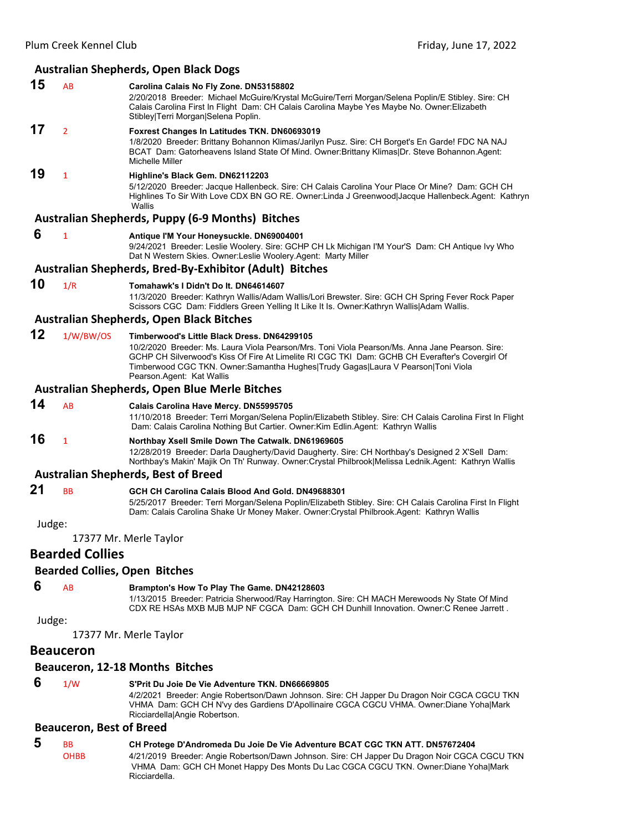# **Australian Shepherds, Open Black Dogs**

| 15     | AB                     | Carolina Calais No Fly Zone. DN53158802<br>2/20/2018 Breeder: Michael McGuire/Krystal McGuire/Terri Morgan/Selena Poplin/E Stibley. Sire: CH<br>Calais Carolina First In Flight Dam: CH Calais Carolina Maybe Yes Maybe No. Owner: Elizabeth<br>Stibley Terri Morgan Selena Poplin.                                                                               |
|--------|------------------------|-------------------------------------------------------------------------------------------------------------------------------------------------------------------------------------------------------------------------------------------------------------------------------------------------------------------------------------------------------------------|
| 17     | $\overline{2}$         | Foxrest Changes In Latitudes TKN. DN60693019<br>1/8/2020 Breeder: Brittany Bohannon Klimas/Jarilyn Pusz. Sire: CH Borget's En Garde! FDC NA NAJ<br>BCAT Dam: Gatorheavens Island State Of Mind. Owner:Brittany Klimas Dr. Steve Bohannon.Agent:<br>Michelle Miller                                                                                                |
| 19     | $\mathbf{1}$           | Highline's Black Gem. DN62112203<br>5/12/2020 Breeder: Jacque Hallenbeck. Sire: CH Calais Carolina Your Place Or Mine? Dam: GCH CH<br>Highlines To Sir With Love CDX BN GO RE. Owner:Linda J Greenwood Jacque Hallenbeck.Agent: Kathryn<br>Wallis                                                                                                                 |
|        |                        | <b>Australian Shepherds, Puppy (6-9 Months) Bitches</b>                                                                                                                                                                                                                                                                                                           |
| 6      | $\mathbf{1}$           | Antique I'M Your Honeysuckle. DN69004001<br>9/24/2021 Breeder: Leslie Woolery. Sire: GCHP CH Lk Michigan I'M Your'S Dam: CH Antique Ivy Who<br>Dat N Western Skies. Owner:Leslie Woolery.Agent: Marty Miller                                                                                                                                                      |
|        |                        | Australian Shepherds, Bred-By-Exhibitor (Adult) Bitches                                                                                                                                                                                                                                                                                                           |
| 10     | 1/R                    | Tomahawk's I Didn't Do It. DN64614607<br>11/3/2020 Breeder: Kathryn Wallis/Adam Wallis/Lori Brewster. Sire: GCH CH Spring Fever Rock Paper<br>Scissors CGC Dam: Fiddlers Green Yelling It Like It Is. Owner:Kathryn Wallis/Adam Wallis.                                                                                                                           |
|        |                        | <b>Australian Shepherds, Open Black Bitches</b>                                                                                                                                                                                                                                                                                                                   |
| 12     | 1/W/BW/OS              | Timberwood's Little Black Dress. DN64299105<br>10/2/2020 Breeder: Ms. Laura Viola Pearson/Mrs. Toni Viola Pearson/Ms. Anna Jane Pearson. Sire:<br>GCHP CH Silverwood's Kiss Of Fire At Limelite RI CGC TKI Dam: GCHB CH Everafter's Covergirl Of<br>Timberwood CGC TKN. Owner:Samantha Hughes Trudy Gagas Laura V Pearson Toni Viola<br>Pearson.Agent: Kat Wallis |
|        |                        | <b>Australian Shepherds, Open Blue Merle Bitches</b>                                                                                                                                                                                                                                                                                                              |
| 14     | <b>AB</b>              | Calais Carolina Have Mercy. DN55995705<br>11/10/2018 Breeder: Terri Morgan/Selena Poplin/Elizabeth Stibley. Sire: CH Calais Carolina First In Flight<br>Dam: Calais Carolina Nothing But Cartier. Owner: Kim Edlin. Agent: Kathryn Wallis                                                                                                                         |
| 16     | 1                      | Northbay Xsell Smile Down The Catwalk. DN61969605<br>12/28/2019 Breeder: Darla Daugherty/David Daugherty. Sire: CH Northbay's Designed 2 X'Sell Dam:<br>Northbay's Makin' Majik On Th' Runway. Owner: Crystal Philbrook Melissa Lednik.Agent: Kathryn Wallis                                                                                                      |
|        |                        | <b>Australian Shepherds, Best of Breed</b>                                                                                                                                                                                                                                                                                                                        |
| 21     | <b>BB</b>              | GCH CH Carolina Calais Blood And Gold. DN49688301<br>5/25/2017 Breeder: Terri Morgan/Selena Poplin/Elizabeth Stibley. Sire: CH Calais Carolina First In Flight<br>Dam: Calais Carolina Shake Ur Money Maker. Owner: Crystal Philbrook.Agent: Kathryn Wallis                                                                                                       |
| Judge: |                        |                                                                                                                                                                                                                                                                                                                                                                   |
|        |                        | 17377 Mr. Merle Taylor                                                                                                                                                                                                                                                                                                                                            |
|        | <b>Bearded Collies</b> |                                                                                                                                                                                                                                                                                                                                                                   |
|        |                        | <b>Bearded Collies, Open Bitches</b>                                                                                                                                                                                                                                                                                                                              |
| 6      | AB                     | Brampton's How To Play The Game. DN42128603<br>1/13/2015 Breeder: Patricia Sherwood/Ray Harrington. Sire: CH MACH Merewoods Ny State Of Mind<br>CDX RE HSAs MXB MJB MJP NF CGCA Dam: GCH CH Dunhill Innovation. Owner: C Renee Jarrett.                                                                                                                           |
| Judge: |                        |                                                                                                                                                                                                                                                                                                                                                                   |
|        |                        | 17377 Mr. Merle Taylor                                                                                                                                                                                                                                                                                                                                            |
|        | <b>Beauceron</b>       |                                                                                                                                                                                                                                                                                                                                                                   |
|        |                        | Beauceron, 12-18 Months Bitches                                                                                                                                                                                                                                                                                                                                   |

 **6** 1/W **S'Prit Du Joie De Vie Adventure TKN. DN66669805** 4/2/2021 Breeder: Angie Robertson/Dawn Johnson. Sire: CH Japper Du Dragon Noir CGCA CGCU TKN VHMA Dam: GCH CH N'vy des Gardiens D'Apollinaire CGCA CGCU VHMA. Owner:Diane Yoha|Mark Ricciardella|Angie Robertson.

# **Beauceron, Best of Breed**

 **5** BB **CH Protege D'Andromeda Du Joie De Vie Adventure BCAT CGC TKN ATT. DN57672404** OHBB 4/21/2019 Breeder: Angie Robertson/Dawn Johnson. Sire: CH Japper Du Dragon Noir CGCA CGCU TKN VHMA Dam: GCH CH Monet Happy Des Monts Du Lac CGCA CGCU TKN. Owner:Diane Yoha|Mark Ricciardella.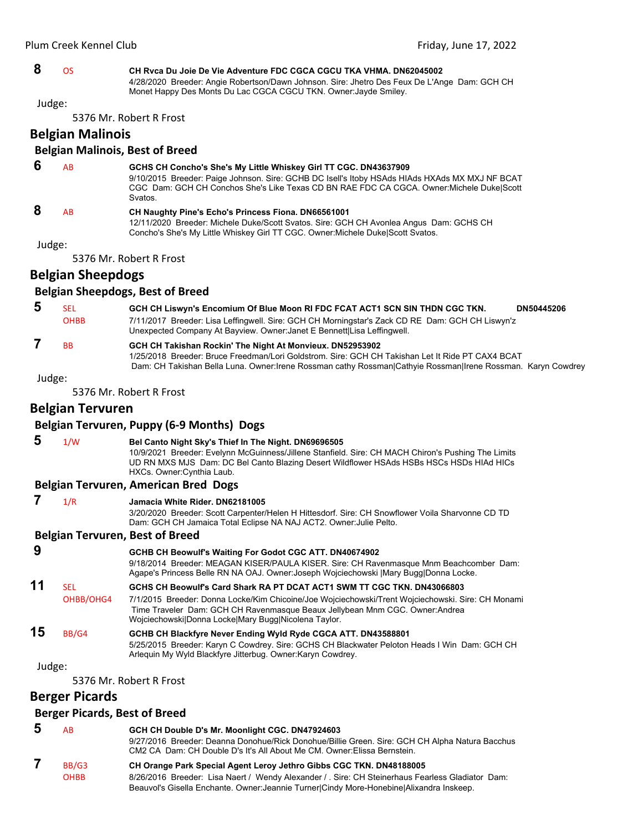# **8** OS **CH Rvca Du Joie De Vie Adventure FDC CGCA CGCU TKA VHMA. DN62045002** 4/28/2020 Breeder: Angie Robertson/Dawn Johnson. Sire: Jhetro Des Feux De L'Ange Dam: GCH CH

Monet Happy Des Monts Du Lac CGCA CGCU TKN. Owner:Jayde Smiley. Judge:

5376 Mr. Robert R Frost

**Belgian Malinois**

### **Belgian Malinois, Best of Breed**

| 6 | ΑR | GCHS CH Concho's She's My Little Whiskey Girl TT CGC. DN43637909<br>9/10/2015 Breeder: Paige Johnson. Sire: GCHB DC Isell's Itoby HSAds HIAds HXAds MX MXJ NF BCAT<br>CGC Dam: GCH CH Conchos She's Like Texas CD BN RAE FDC CA CGCA. Owner: Michele Duke Scott<br>Svatos. |
|---|----|----------------------------------------------------------------------------------------------------------------------------------------------------------------------------------------------------------------------------------------------------------------------------|
| 8 | AB | <b>CH Naughty Pine's Echo's Princess Fiona. DN66561001</b><br>12/11/2020 Breeder: Michele Duke/Scott Svatos. Sire: GCH CH Avonlea Angus Dam: GCHS CH<br>Concho's She's My Little Whiskey Girl TT CGC. Owner: Michele Duke Scott Svatos.                                    |

Judge:

5376 Mr. Robert R Frost

# **Belgian Sheepdogs**

#### **Belgian Sheepdogs, Best of Breed**

| 5 | SEL                  | GCH CH Liswyn's Encomium Of Blue Moon RI FDC FCAT ACT1 SCN SIN THDN CGC TKN.                                                                                                                                                                                                  | DN50445206 |
|---|----------------------|-------------------------------------------------------------------------------------------------------------------------------------------------------------------------------------------------------------------------------------------------------------------------------|------------|
|   | <b>OHBB</b>          | 7/11/2017 Breeder: Lisa Leffingwell. Sire: GCH CH Morningstar's Zack CD RE Dam: GCH CH Liswyn'z<br>Unexpected Company At Bayview. Owner: Janet E Bennett Lisa Leffingwell.                                                                                                    |            |
|   | <b>B<sub>B</sub></b> | GCH CH Takishan Rockin' The Night At Monvieux. DN52953902<br>1/25/2018 Breeder: Bruce Freedman/Lori Goldstrom, Sire: GCH CH Takishan Let It Ride PT CAX4 BCAT<br>Dam: CH Takishan Bella Luna. Owner: Irene Rossman cathy Rossman Cathyie Rossman Irene Rossman. Karyn Cowdrey |            |

Judge:

5376 Mr. Robert R Frost

# **Belgian Tervuren**

# **Belgian Tervuren, Puppy (6‐9 Months) Dogs**

| $\overline{\mathbf{5}}$ | 1/W | Bel Canto Night Sky's Thief In The Night. DN69696505                                               |
|-------------------------|-----|----------------------------------------------------------------------------------------------------|
|                         |     | 10/9/2021 Breeder: Evelynn McGuinness/Jillene Stanfield. Sire: CH MACH Chiron's Pushing The Limits |
|                         |     | UD RN MXS MJS Dam: DC Bel Canto Blazing Desert Wildflower HSAds HSBs HSCs HSDs HIAd HICs           |
|                         |     | HXCs. Owner:Cynthia Laub.                                                                          |
|                         |     | Belgian Tervuren, American Bred Dogs                                                               |

# **7** 1/R **Jamacia White Rider. DN62181005**

3/20/2020 Breeder: Scott Carpenter/Helen H Hittesdorf. Sire: CH Snowflower Voila Sharvonne CD TD Dam: GCH CH Jamaica Total Eclipse NA NAJ ACT2. Owner:Julie Pelto.

#### **Belgian Tervuren, Best of Breed**

| 9<br>11 |            | GCHB CH Beowulf's Waiting For Godot CGC ATT. DN40674902<br>9/18/2014 Breeder: MEAGAN KISER/PAULA KISER. Sire: CH Ravenmasque Mnm Beachcomber Dam:<br>Agape's Princess Belle RN NA OAJ. Owner: Joseph Wojciechowski   Mary Bugg Donna Locke. |
|---------|------------|---------------------------------------------------------------------------------------------------------------------------------------------------------------------------------------------------------------------------------------------|
|         | <b>SEL</b> | GCHS CH Beowulf's Card Shark RA PT DCAT ACT1 SWM TT CGC TKN, DN43066803                                                                                                                                                                     |
|         | OHBB/OHG4  | 7/1/2015 Breeder: Donna Locke/Kim Chicoine/Joe Wojciechowski/Trent Wojciechowski. Sire: CH Monami<br>Time Traveler Dam: GCH CH Ravenmasque Beaux Jellybean Mnm CGC. Owner: Andrea                                                           |

Wojciechowski|Donna Locke|Mary Bugg|Nicolena Taylor. **15** BB/G4 **GCHB CH Blackfyre Never Ending Wyld Ryde CGCA ATT. DN43588801** 5/25/2015 Breeder: Karyn C Cowdrey. Sire: GCHS CH Blackwater Peloton Heads I Win Dam: GCH CH Arlequin My Wyld Blackfyre Jitterbug. Owner:Karyn Cowdrey.

#### Judge:

5376 Mr. Robert R Frost

# **Berger Picards**

# **Berger Picards, Best of Breed**

| 5 | AB          | GCH CH Double D's Mr. Moonlight CGC. DN47924603<br>9/27/2016 Breeder: Deanna Donohue/Rick Donohue/Billie Green. Sire: GCH CH Alpha Natura Bacchus<br>CM2 CA Dam: CH Double D's It's All About Me CM. Owner: Elissa Bernstein. |
|---|-------------|-------------------------------------------------------------------------------------------------------------------------------------------------------------------------------------------------------------------------------|
|   | BB/G3       | CH Orange Park Special Agent Leroy Jethro Gibbs CGC TKN. DN48188005                                                                                                                                                           |
|   | <b>OHBB</b> | 8/26/2016 Breeder: Lisa Naert / Wendy Alexander / Sire: CH Steinerhaus Fearless Gladiator Dam:                                                                                                                                |
|   |             | Beauvol's Gisella Enchante. Owner: Jeannie Turner Cindy More-Honebine Alixandra Inskeep.                                                                                                                                      |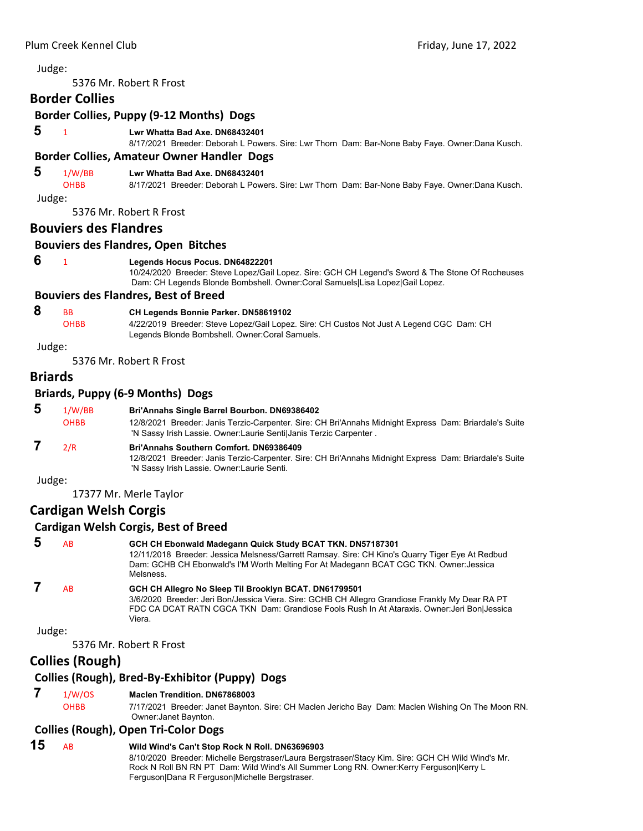5376 Mr. Robert R Frost

# **Border Collies**

#### **Border Collies, Puppy (9‐12 Months) Dogs**

 **5** <sup>1</sup> **Lwr Whatta Bad Axe. DN68432401**

8/17/2021 Breeder: Deborah L Powers. Sire: Lwr Thorn Dam: Bar-None Baby Faye. Owner:Dana Kusch.

#### **Border Collies, Amateur Owner Handler Dogs**

#### **5** 1/W/BB **Lwr Whatta Bad Axe. DN68432401**

OHBB 8/17/2021 Breeder: Deborah L Powers. Sire: Lwr Thorn Dam: Bar-None Baby Faye. Owner:Dana Kusch.

Judge:

5376 Mr. Robert R Frost

#### **Bouviers des Flandres**

# **Bouviers des Flandres, Open Bitches**

#### **6** <sup>1</sup> **Legends Hocus Pocus. DN64822201**

10/24/2020 Breeder: Steve Lopez/Gail Lopez. Sire: GCH CH Legend's Sword & The Stone Of Rocheuses Dam: CH Legends Blonde Bombshell. Owner:Coral Samuels|Lisa Lopez|Gail Lopez.

# **Bouviers des Flandres, Best of Breed**

# **8** BB **CH Legends Bonnie Parker. DN58619102**

OHBB 4/22/2019 Breeder: Steve Lopez/Gail Lopez. Sire: CH Custos Not Just A Legend CGC Dam: CH Legends Blonde Bombshell. Owner:Coral Samuels.

#### Judge:

5376 Mr. Robert R Frost

# **Briards**

#### **Briards, Puppy (6‐9 Months) Dogs**

| 5      | 1/W/BB<br><b>OHBB</b> | Bri'Annahs Single Barrel Bourbon. DN69386402<br>12/8/2021 Breeder: Janis Terzic-Carpenter. Sire: CH Bri'Annahs Midnight Express Dam: Briardale's Suite<br>'N Sassy Irish Lassie. Owner: Laurie Sentil Janis Terzic Carpenter. |
|--------|-----------------------|-------------------------------------------------------------------------------------------------------------------------------------------------------------------------------------------------------------------------------|
|        | 2/R                   | <b>Bri'Annahs Southern Comfort, DN69386409</b><br>12/8/2021 Breeder: Janis Terzic-Carpenter. Sire: CH Bri'Annahs Midnight Express Dam: Briardale's Suite<br>'N Sassy Irish Lassie. Owner: Laurie Senti.                       |
| Judge: |                       |                                                                                                                                                                                                                               |

17377 Mr. Merle Taylor

# **Cardigan Welsh Corgis**

#### **Cardigan Welsh Corgis, Best of Breed**

| 5 | <b>AB</b> | GCH CH Ebonwald Madegann Quick Study BCAT TKN. DN57187301<br>12/11/2018 Breeder: Jessica Melsness/Garrett Ramsay. Sire: CH Kino's Quarry Tiger Eye At Redbud<br>Dam: GCHB CH Ebonwald's I'M Worth Melting For At Madegann BCAT CGC TKN. Owner: Jessica<br>Melsness. |
|---|-----------|---------------------------------------------------------------------------------------------------------------------------------------------------------------------------------------------------------------------------------------------------------------------|
|   | AB.       | GCH CH Allegro No Sleep Til Brooklyn BCAT. DN61799501<br>3/6/2020 Breeder: Jeri Bon/Jessica Viera. Sire: GCHB CH Allegro Grandiose Frankly My Dear RA PT<br>FDC CA DCAT RATN CGCA TKN Dam: Grandiose Fools Rush In At Ataraxis. Owner: Jeri Bon Jessica             |

Judge:

5376 Mr. Robert R Frost

Viera.

# **Collies (Rough)**

# **Collies (Rough), Bred‐By‐Exhibitor (Puppy) Dogs**

# **7** 1/W/OS **Maclen Trendition. DN67868003**

OHBB 7/17/2021 Breeder: Janet Baynton. Sire: CH Maclen Jericho Bay Dam: Maclen Wishing On The Moon RN. Owner:Janet Baynton.

# **Collies (Rough), Open Tri‐Color Dogs**

#### **15** AB **Wild Wind's Can't Stop Rock N Roll. DN63696903** 8/10/2020 Breeder: Michelle Bergstraser/Laura Bergstraser/Stacy Kim. Sire: GCH CH Wild Wind's Mr. Rock N Roll BN RN PT Dam: Wild Wind's All Summer Long RN. Owner:Kerry Ferguson|Kerry L Ferguson|Dana R Ferguson|Michelle Bergstraser.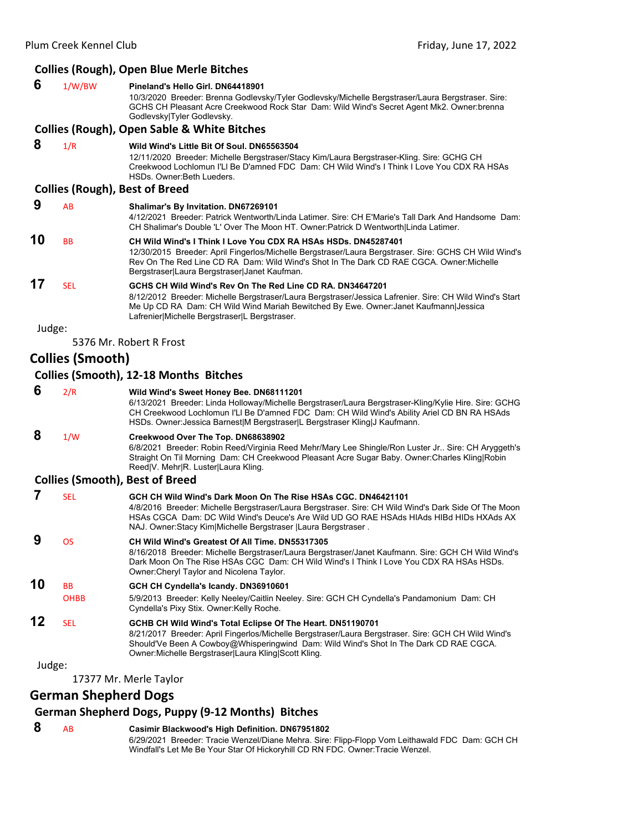#### **Collies (Rough), Open Blue Merle Bitches 6** 1/W/BW **Pineland's Hello Girl. DN64418901** 10/3/2020 Breeder: Brenna Godlevsky/Tyler Godlevsky/Michelle Bergstraser/Laura Bergstraser. Sire: GCHS CH Pleasant Acre Creekwood Rock Star Dam: Wild Wind's Secret Agent Mk2. Owner:brenna Godlevsky|Tyler Godlevsky. **Collies (Rough), Open Sable & White Bitches 8** 1/R **Wild Wind's Little Bit Of Soul. DN65563504** 12/11/2020 Breeder: Michelle Bergstraser/Stacy Kim/Laura Bergstraser-Kling. Sire: GCHG CH Creekwood Lochlomun I'Ll Be D'amned FDC Dam: CH Wild Wind's I Think I Love You CDX RA HSAs HSDs. Owner:Beth Lueders. **Collies (Rough), Best of Breed 9** AB **Shalimar's By Invitation. DN67269101** 4/12/2021 Breeder: Patrick Wentworth/Linda Latimer. Sire: CH E'Marie's Tall Dark And Handsome Dam: CH Shalimar's Double 'L' Over The Moon HT. Owner:Patrick D Wentworth|Linda Latimer. **10** BB **CH Wild Wind's I Think I Love You CDX RA HSAs HSDs. DN45287401** 12/30/2015 Breeder: April Fingerlos/Michelle Bergstraser/Laura Bergstraser. Sire: GCHS CH Wild Wind's Rev On The Red Line CD RA Dam: Wild Wind's Shot In The Dark CD RAE CGCA. Owner:Michelle Bergstraser|Laura Bergstraser|Janet Kaufman. **17** SEL **GCHS CH Wild Wind's Rev On The Red Line CD RA. DN34647201** 8/12/2012 Breeder: Michelle Bergstraser/Laura Bergstraser/Jessica Lafrenier. Sire: CH Wild Wind's Start Me Up CD RA Dam: CH Wild Wind Mariah Bewitched By Ewe. Owner:Janet Kaufmann|Jessica Lafrenier|Michelle Bergstraser|L Bergstraser. Judge: 5376 Mr. Robert R Frost **Collies (Smooth) Collies (Smooth), 12‐18 Months Bitches 6** 2/R **Wild Wind's Sweet Honey Bee. DN68111201** 6/13/2021 Breeder: Linda Holloway/Michelle Bergstraser/Laura Bergstraser-Kling/Kylie Hire. Sire: GCHG CH Creekwood Lochlomun I'Ll Be D'amned FDC Dam: CH Wild Wind's Ability Ariel CD BN RA HSAds HSDs. Owner: Jessica Barnest|M Bergstraser|L Bergstraser Kling|J Kaufmann.  **8** 1/W **Creekwood Over The Top. DN68638902** 6/8/2021 Breeder: Robin Reed/Virginia Reed Mehr/Mary Lee Shingle/Ron Luster Jr.. Sire: CH Aryggeth's Straight On Til Morning Dam: CH Creekwood Pleasant Acre Sugar Baby. Owner:Charles Kling|Robin Reed|V. Mehr|R. Luster|Laura Kling. **Collies (Smooth), Best of Breed 7** SEL **GCH CH Wild Wind's Dark Moon On The Rise HSAs CGC. DN46421101** 4/8/2016 Breeder: Michelle Bergstraser/Laura Bergstraser. Sire: CH Wild Wind's Dark Side Of The Moon HSAs CGCA Dam: DC Wild Wind's Deuce's Are Wild UD GO RAE HSAds HIAds HIBd HIDs HXAds AX NAJ. Owner:Stacy Kim|Michelle Bergstraser |Laura Bergstraser .  **9** OS **CH Wild Wind's Greatest Of All Time. DN55317305** 8/16/2018 Breeder: Michelle Bergstraser/Laura Bergstraser/Janet Kaufmann. Sire: GCH CH Wild Wind's Dark Moon On The Rise HSAs CGC Dam: CH Wild Wind's I Think I Love You CDX RA HSAs HSDs. Owner:Cheryl Taylor and Nicolena Taylor. **10** BB **GCH CH Cyndella's Icandy. DN36910601** OHBB 5/9/2013 Breeder: Kelly Neeley/Caitlin Neeley. Sire: GCH CH Cyndella's Pandamonium Dam: CH Cyndella's Pixy Stix. Owner:Kelly Roche. **12** SEL **GCHB CH Wild Wind's Total Eclipse Of The Heart. DN51190701** 8/21/2017 Breeder: April Fingerlos/Michelle Bergstraser/Laura Bergstraser. Sire: GCH CH Wild Wind's Should'Ve Been A Cowboy@Whisperingwind Dam: Wild Wind's Shot In The Dark CD RAE CGCA. Owner:Michelle Bergstraser|Laura Kling|Scott Kling. Judge:

17377 Mr. Merle Taylor

**German Shepherd Dogs**

# **German Shepherd Dogs, Puppy (9‐12 Months) Bitches**

# **8** AB **Casimir Blackwood's High Definition. DN67951802**

6/29/2021 Breeder: Tracie Wenzel/Diane Mehra. Sire: Flipp-Flopp Vom Leithawald FDC Dam: GCH CH Windfall's Let Me Be Your Star Of Hickoryhill CD RN FDC. Owner:Tracie Wenzel.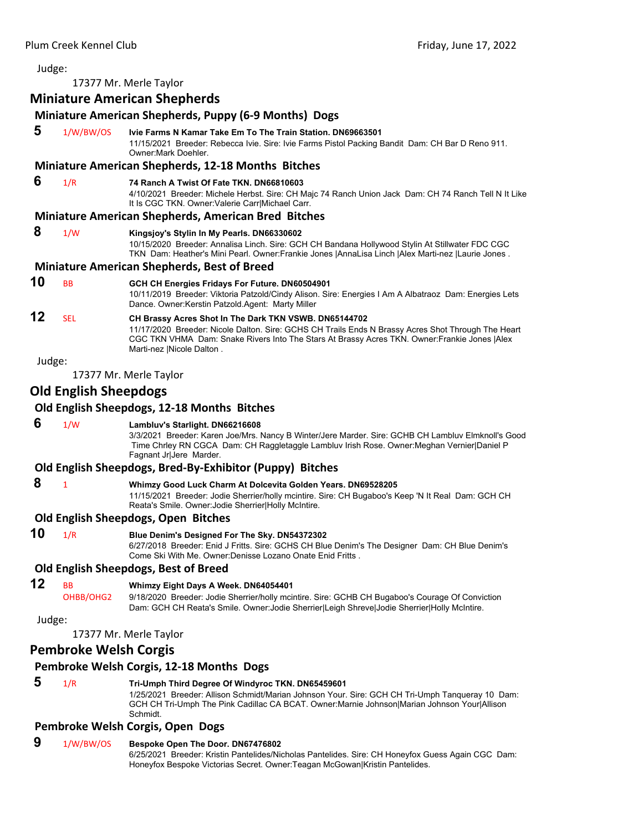17377 Mr. Merle Taylor

# **Miniature American Shepherds**

# **Miniature American Shepherds, Puppy (6‐9 Months) Dogs**

 **5** 1/W/BW/OS **Ivie Farms N Kamar Take Em To The Train Station. DN69663501** 11/15/2021 Breeder: Rebecca Ivie. Sire: Ivie Farms Pistol Packing Bandit Dam: CH Bar D Reno 911.

#### **Miniature American Shepherds, 12‐18 Months Bitches**

#### **6** 1/R **74 Ranch A Twist Of Fate TKN. DN66810603**

Owner:Mark Doehler.

4/10/2021 Breeder: Michele Herbst. Sire: CH Majc 74 Ranch Union Jack Dam: CH 74 Ranch Tell N It Like It Is CGC TKN. Owner:Valerie Carr|Michael Carr.

#### **Miniature American Shepherds, American Bred Bitches**

#### **8** 1/W **Kingsjoy's Stylin In My Pearls. DN66330602**

10/15/2020 Breeder: Annalisa Linch. Sire: GCH CH Bandana Hollywood Stylin At Stillwater FDC CGC TKN Dam: Heather's Mini Pearl. Owner:Frankie Jones |AnnaLisa Linch |Alex Marti-nez |Laurie Jones .

#### **Miniature American Shepherds, Best of Breed**

**10** BB **GCH CH Energies Fridays For Future. DN60504901**

10/11/2019 Breeder: Viktoria Patzold/Cindy Alison. Sire: Energies I Am A Albatraoz Dam: Energies Lets Dance. Owner:Kerstin Patzold.Agent: Marty Miller

# **12** SEL **CH Brassy Acres Shot In The Dark TKN VSWB. DN65144702**

11/17/2020 Breeder: Nicole Dalton. Sire: GCHS CH Trails Ends N Brassy Acres Shot Through The Heart CGC TKN VHMA Dam: Snake Rivers Into The Stars At Brassy Acres TKN. Owner:Frankie Jones |Alex Marti-nez |Nicole Dalton .

Judge:

17377 Mr. Merle Taylor

# **Old English Sheepdogs**

#### **Old English Sheepdogs, 12‐18 Months Bitches**

# **6** 1/W **Lambluv's Starlight. DN66216608**

3/3/2021 Breeder: Karen Joe/Mrs. Nancy B Winter/Jere Marder. Sire: GCHB CH Lambluv Elmknoll's Good Time Chrley RN CGCA Dam: CH Raggletaggle Lambluv Irish Rose. Owner:Meghan Vernier|Daniel P Fagnant Jr|Jere Marder.

#### **Old English Sheepdogs, Bred‐By‐Exhibitor (Puppy) Bitches**

# **8** <sup>1</sup> **Whimzy Good Luck Charm At Dolcevita Golden Years. DN69528205**

11/15/2021 Breeder: Jodie Sherrier/holly mcintire. Sire: CH Bugaboo's Keep 'N It Real Dam: GCH CH Reata's Smile. Owner:Jodie Sherrier|Holly McIntire.

### **Old English Sheepdogs, Open Bitches**

**10** 1/R **Blue Denim's Designed For The Sky. DN54372302**

6/27/2018 Breeder: Enid J Fritts. Sire: GCHS CH Blue Denim's The Designer Dam: CH Blue Denim's Come Ski With Me. Owner:Denisse Lozano Onate Enid Fritts .

#### **Old English Sheepdogs, Best of Breed**

# **12** BB **Whimzy Eight Days A Week. DN64054401**

OHBB/OHG2 9/18/2020 Breeder: Jodie Sherrier/holly mcintire. Sire: GCHB CH Bugaboo's Courage Of Conviction Dam: GCH CH Reata's Smile. Owner: Jodie Sherrier|Leigh Shreve|Jodie Sherrier|Holly McIntire.

Judge:

17377 Mr. Merle Taylor

# **Pembroke Welsh Corgis**

# **Pembroke Welsh Corgis, 12‐18 Months Dogs**

 **5** 1/R **Tri-Umph Third Degree Of Windyroc TKN. DN65459601** 1/25/2021 Breeder: Allison Schmidt/Marian Johnson Your. Sire: GCH CH Tri-Umph Tanqueray 10 Dam: GCH CH Tri-Umph The Pink Cadillac CA BCAT. Owner:Marnie Johnson|Marian Johnson Your|Allison Schmidt.

### **Pembroke Welsh Corgis, Open Dogs**

# **9** 1/W/BW/OS **Bespoke Open The Door. DN67476802**

6/25/2021 Breeder: Kristin Pantelides/Nicholas Pantelides. Sire: CH Honeyfox Guess Again CGC Dam: Honeyfox Bespoke Victorias Secret. Owner:Teagan McGowan|Kristin Pantelides.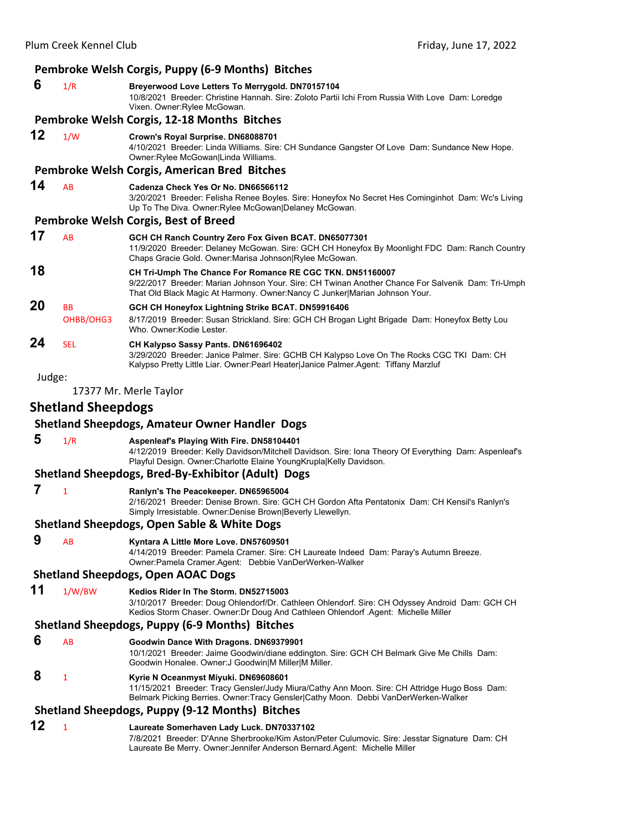| Pembroke Welsh Corgis, Puppy (6-9 Months) Bitches      |                           |                                                                                                                                                                                                                                               |
|--------------------------------------------------------|---------------------------|-----------------------------------------------------------------------------------------------------------------------------------------------------------------------------------------------------------------------------------------------|
| 6                                                      | 1/R                       | Breyerwood Love Letters To Merrygold. DN70157104<br>10/8/2021 Breeder: Christine Hannah. Sire: Zoloto Partii Ichi From Russia With Love Dam: Loredge<br>Vixen. Owner: Rylee McGowan.                                                          |
|                                                        |                           | Pembroke Welsh Corgis, 12-18 Months Bitches                                                                                                                                                                                                   |
| 12                                                     | 1/W                       | Crown's Royal Surprise. DN68088701<br>4/10/2021 Breeder: Linda Williams. Sire: CH Sundance Gangster Of Love Dam: Sundance New Hope.<br>Owner: Rylee McGowan Linda Williams.                                                                   |
|                                                        |                           | Pembroke Welsh Corgis, American Bred Bitches                                                                                                                                                                                                  |
| 14                                                     | AB                        | Cadenza Check Yes Or No. DN66566112<br>3/20/2021 Breeder: Felisha Renee Boyles. Sire: Honeyfox No Secret Hes Cominginhot Dam: Wc's Living<br>Up To The Diva. Owner: Rylee McGowan Delaney McGowan.                                            |
|                                                        |                           | Pembroke Welsh Corgis, Best of Breed                                                                                                                                                                                                          |
| 17                                                     | AB                        | GCH CH Ranch Country Zero Fox Given BCAT. DN65077301<br>11/9/2020 Breeder: Delaney McGowan. Sire: GCH CH Honeyfox By Moonlight FDC Dam: Ranch Country<br>Chaps Gracie Gold. Owner: Marisa Johnson Rylee McGowan.                              |
| 18                                                     |                           | CH Tri-Umph The Chance For Romance RE CGC TKN. DN51160007<br>9/22/2017 Breeder: Marian Johnson Your. Sire: CH Twinan Another Chance For Salvenik Dam: Tri-Umph<br>That Old Black Magic At Harmony. Owner: Nancy C Junker Marian Johnson Your. |
| 20                                                     | <b>BB</b>                 | GCH CH Honeyfox Lightning Strike BCAT. DN59916406                                                                                                                                                                                             |
|                                                        | OHBB/OHG3                 | 8/17/2019 Breeder: Susan Strickland. Sire: GCH CH Brogan Light Brigade Dam: Honeyfox Betty Lou<br>Who. Owner: Kodie Lester.                                                                                                                   |
| 24                                                     | <b>SEL</b>                | CH Kalypso Sassy Pants. DN61696402<br>3/29/2020 Breeder: Janice Palmer. Sire: GCHB CH Kalypso Love On The Rocks CGC TKI Dam: CH<br>Kalypso Pretty Little Liar. Owner:Pearl Heater Janice Palmer.Agent: Tiffany Marzluf                        |
| Judge:                                                 |                           |                                                                                                                                                                                                                                               |
|                                                        |                           | 17377 Mr. Merle Taylor                                                                                                                                                                                                                        |
|                                                        | <b>Shetland Sheepdogs</b> |                                                                                                                                                                                                                                               |
|                                                        |                           | <b>Shetland Sheepdogs, Amateur Owner Handler Dogs</b>                                                                                                                                                                                         |
| 5                                                      | 1/R                       | Aspenleaf's Playing With Fire. DN58104401<br>4/12/2019 Breeder: Kelly Davidson/Mitchell Davidson. Sire: Iona Theory Of Everything Dam: Aspenleaf's<br>Playful Design. Owner: Charlotte Elaine YoungKrupla Kelly Davidson.                     |
|                                                        |                           | Shetland Sheepdogs, Bred-By-Exhibitor (Adult) Dogs                                                                                                                                                                                            |
| 7                                                      | $\mathbf{1}$              | Ranlyn's The Peacekeeper. DN65965004<br>2/16/2021 Breeder: Denise Brown. Sire: GCH CH Gordon Afta Pentatonix Dam: CH Kensil's Ranlyn's<br>Simply Irresistable. Owner: Denise Brown Beverly Llewellyn.                                         |
| <b>Shetland Sheepdogs, Open Sable &amp; White Dogs</b> |                           |                                                                                                                                                                                                                                               |
| 9                                                      | AB                        | Kyntara A Little More Love. DN57609501<br>4/14/2019 Breeder: Pamela Cramer. Sire: CH Laureate Indeed Dam: Paray's Autumn Breeze.<br>Owner: Pamela Cramer Agent: Debbie VanDerWerken-Walker                                                    |
| <b>Shetland Sheepdogs, Open AOAC Dogs</b>              |                           |                                                                                                                                                                                                                                               |
| 11                                                     | 1/W/BW                    | Kedios Rider In The Storm, DN52715003<br>3/10/2017 Breeder: Doug Ohlendorf/Dr. Cathleen Ohlendorf. Sire: CH Odyssey Android Dam: GCH CH<br>Kedios Storm Chaser. Owner: Dr Doug And Cathleen Ohlendorf .Agent: Michelle Miller                 |
| Shetland Sheepdogs, Puppy (6-9 Months) Bitches         |                           |                                                                                                                                                                                                                                               |
|                                                        |                           |                                                                                                                                                                                                                                               |

#### **6** AB **Goodwin Dance With Dragons. DN69379901** 10/1/2021 Breeder: Jaime Goodwin/diane eddington. Sire: GCH CH Belmark Give Me Chills Dam: Goodwin Honalee. Owner:J Goodwin|M Miller|M Miller.

# **8** <sup>1</sup> **Kyrie N Oceanmyst Miyuki. DN69608601**

11/15/2021 Breeder: Tracy Gensler/Judy Miura/Cathy Ann Moon. Sire: CH Attridge Hugo Boss Dam: Belmark Picking Berries. Owner:Tracy Gensler|Cathy Moon. Debbi VanDerWerken-Walker

# **Shetland Sheepdogs, Puppy (9‐12 Months) Bitches**

#### **12** <sup>1</sup> **Laureate Somerhaven Lady Luck. DN70337102** 7/8/2021 Breeder: D'Anne Sherbrooke/Kim Aston/Peter Culumovic. Sire: Jesstar Signature Dam: CH Laureate Be Merry. Owner:Jennifer Anderson Bernard.Agent: Michelle Miller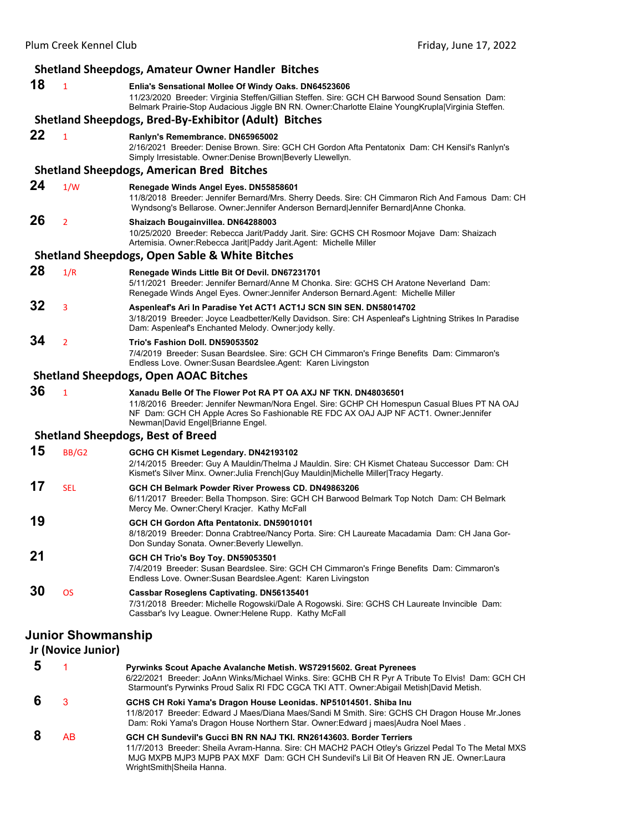|                           | <b>Shetland Sheepdogs, Amateur Owner Handler Bitches</b> |                                                                                                                                                                                                                                                                                             |  |
|---------------------------|----------------------------------------------------------|---------------------------------------------------------------------------------------------------------------------------------------------------------------------------------------------------------------------------------------------------------------------------------------------|--|
| 18                        | $\mathbf{1}$                                             | Enlia's Sensational Mollee Of Windy Oaks. DN64523606<br>11/23/2020 Breeder: Virginia Steffen/Gillian Steffen. Sire: GCH CH Barwood Sound Sensation Dam:<br>Belmark Prairie-Stop Audacious Jiggle BN RN. Owner:Charlotte Elaine YoungKrupla Virginia Steffen.                                |  |
|                           |                                                          | <b>Shetland Sheepdogs, Bred-By-Exhibitor (Adult) Bitches</b>                                                                                                                                                                                                                                |  |
| 22                        | $\mathbf{1}$                                             | Ranlyn's Remembrance. DN65965002<br>2/16/2021 Breeder: Denise Brown. Sire: GCH CH Gordon Afta Pentatonix Dam: CH Kensil's Ranlyn's<br>Simply Irresistable. Owner: Denise Brown   Beverly Llewellyn.                                                                                         |  |
|                           |                                                          | <b>Shetland Sheepdogs, American Bred Bitches</b>                                                                                                                                                                                                                                            |  |
| 24                        | 1/W                                                      | Renegade Winds Angel Eyes. DN55858601<br>11/8/2018 Breeder: Jennifer Bernard/Mrs. Sherry Deeds. Sire: CH Cimmaron Rich And Famous Dam: CH<br>Wyndsong's Bellarose. Owner: Jennifer Anderson Bernard Jennifer Bernard Anne Chonka.                                                           |  |
| 26                        | $\overline{2}$                                           | Shaizach Bougainvillea. DN64288003<br>10/25/2020 Breeder: Rebecca Jarit/Paddy Jarit. Sire: GCHS CH Rosmoor Mojave Dam: Shaizach<br>Artemisia. Owner:Rebecca Jarit Paddy Jarit.Agent: Michelle Miller                                                                                        |  |
|                           |                                                          | <b>Shetland Sheepdogs, Open Sable &amp; White Bitches</b>                                                                                                                                                                                                                                   |  |
| 28                        | 1/R                                                      | Renegade Winds Little Bit Of Devil. DN67231701<br>5/11/2021 Breeder: Jennifer Bernard/Anne M Chonka. Sire: GCHS CH Aratone Neverland Dam:<br>Renegade Winds Angel Eyes. Owner: Jennifer Anderson Bernard. Agent: Michelle Miller                                                            |  |
| 32                        | 3                                                        | Aspenleaf's Ari In Paradise Yet ACT1 ACT1J SCN SIN SEN. DN58014702<br>3/18/2019 Breeder: Joyce Leadbetter/Kelly Davidson, Sire: CH Aspenleaf's Lightning Strikes In Paradise<br>Dam: Aspenleaf's Enchanted Melody. Owner: jody kelly.                                                       |  |
| 34                        | $\overline{2}$                                           | Trio's Fashion Doll. DN59053502<br>7/4/2019 Breeder: Susan Beardslee. Sire: GCH CH Cimmaron's Fringe Benefits Dam: Cimmaron's<br>Endless Love. Owner: Susan Beardslee. Agent: Karen Livingston                                                                                              |  |
|                           |                                                          | <b>Shetland Sheepdogs, Open AOAC Bitches</b>                                                                                                                                                                                                                                                |  |
| 36                        | $\mathbf{1}$                                             | Xanadu Belle Of The Flower Pot RA PT OA AXJ NF TKN. DN48036501<br>11/8/2016 Breeder: Jennifer Newman/Nora Engel. Sire: GCHP CH Homespun Casual Blues PT NA OAJ<br>NF Dam: GCH CH Apple Acres So Fashionable RE FDC AX OAJ AJP NF ACT1. Owner: Jennifer<br>Newman David Engel Brianne Engel. |  |
|                           |                                                          | <b>Shetland Sheepdogs, Best of Breed</b>                                                                                                                                                                                                                                                    |  |
| 15                        | <b>BB/G2</b>                                             | GCHG CH Kismet Legendary. DN42193102<br>2/14/2015 Breeder: Guy A Mauldin/Thelma J Mauldin. Sire: CH Kismet Chateau Successor Dam: CH<br>Kismet's Silver Minx. Owner: Julia French Guy Mauldin Michelle Miller Tracy Hegarty.                                                                |  |
| 17                        | <b>SEL</b>                                               | GCH CH Belmark Powder River Prowess CD. DN49863206<br>6/11/2017 Breeder: Bella Thompson. Sire: GCH CH Barwood Belmark Top Notch Dam: CH Belmark<br>Mercy Me. Owner: Cheryl Kracjer. Kathy McFall                                                                                            |  |
| 19                        |                                                          | GCH CH Gordon Afta Pentatonix. DN59010101<br>8/18/2019 Breeder: Donna Crabtree/Nancy Porta. Sire: CH Laureate Macadamia Dam: CH Jana Gor-<br>Don Sunday Sonata. Owner: Beverly Llewellyn.                                                                                                   |  |
| 21                        |                                                          | GCH CH Trio's Boy Toy. DN59053501<br>7/4/2019 Breeder: Susan Beardslee. Sire: GCH CH Cimmaron's Fringe Benefits Dam: Cimmaron's<br>Endless Love. Owner:Susan Beardslee.Agent: Karen Livingston                                                                                              |  |
| 30                        | <b>OS</b>                                                | <b>Cassbar Roseglens Captivating. DN56135401</b><br>7/31/2018 Breeder: Michelle Rogowski/Dale A Rogowski. Sire: GCHS CH Laureate Invincible Dam:<br>Cassbar's Ivy League. Owner: Helene Rupp. Kathy McFall                                                                                  |  |
| <b>Junior Showmanship</b> |                                                          |                                                                                                                                                                                                                                                                                             |  |
|                           | Jr (Novice Junior)                                       |                                                                                                                                                                                                                                                                                             |  |
| 5                         |                                                          | Pyrwinks Scout Apache Avalanche Metish. WS72915602. Great Pyrenees                                                                                                                                                                                                                          |  |
|                           |                                                          | 6/22/2021 Breeder: JoAnn Winks/Michael Winks. Sire: GCHB CH R Pyr A Tribute To Elvis! Dam: GCH CH<br>Starmount's Pyrwinks Proud Salix RI FDC CGCA TKI ATT. Owner: Abigail Metish   David Metish.                                                                                            |  |

- **6** <sup>3</sup> **GCHS CH Roki Yama's Dragon House Leonidas. NP51014501. Shiba Inu** 11/8/2017 Breeder: Edward J Maes/Diana Maes/Sandi M Smith. Sire: GCHS CH Dragon House Mr.Jones Dam: Roki Yama's Dragon House Northern Star. Owner:Edward j maes|Audra Noel Maes .  **8** AB **GCH CH Sundevil's Gucci BN RN NAJ TKI. RN26143603. Border Terriers**
	- 11/7/2013 Breeder: Sheila Avram-Hanna. Sire: CH MACH2 PACH Otley's Grizzel Pedal To The Metal MXS MJG MXPB MJP3 MJPB PAX MXF Dam: GCH CH Sundevil's Lil Bit Of Heaven RN JE. Owner:Laura WrightSmith|Sheila Hanna.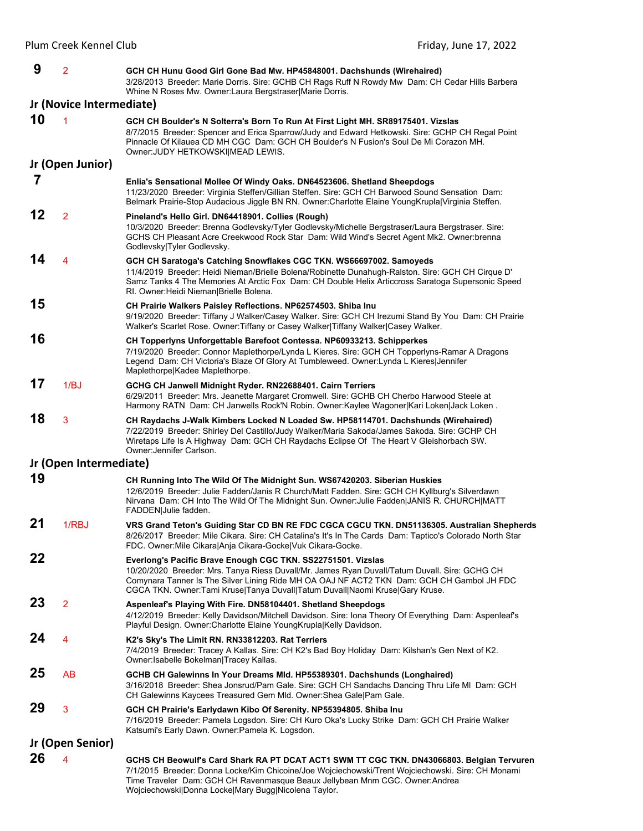| 9  | $\overline{2}$           | GCH CH Hunu Good Girl Gone Bad Mw. HP45848001. Dachshunds (Wirehaired)<br>3/28/2013 Breeder: Marie Dorris. Sire: GCHB CH Rags Ruff N Rowdy Mw Dam: CH Cedar Hills Barbera<br>Whine N Roses Mw. Owner: Laura Bergstraser Marie Dorris.                                                                                                      |
|----|--------------------------|--------------------------------------------------------------------------------------------------------------------------------------------------------------------------------------------------------------------------------------------------------------------------------------------------------------------------------------------|
|    | Jr (Novice Intermediate) |                                                                                                                                                                                                                                                                                                                                            |
| 10 |                          | GCH CH Boulder's N Solterra's Born To Run At First Light MH. SR89175401. Vizslas<br>8/7/2015 Breeder: Spencer and Erica Sparrow/Judy and Edward Hetkowski. Sire: GCHP CH Regal Point<br>Pinnacle Of Kilauea CD MH CGC Dam: GCH CH Boulder's N Fusion's Soul De Mi Corazon MH.<br>Owner: JUDY HETKOWSKI MEAD LEWIS.                         |
|    | Jr (Open Junior)         |                                                                                                                                                                                                                                                                                                                                            |
| 7  |                          | Enlia's Sensational Mollee Of Windy Oaks. DN64523606. Shetland Sheepdogs<br>11/23/2020 Breeder: Virginia Steffen/Gillian Steffen. Sire: GCH CH Barwood Sound Sensation Dam:<br>Belmark Prairie-Stop Audacious Jiggle BN RN. Owner:Charlotte Elaine YoungKrupla Virginia Steffen.                                                           |
| 12 | $\overline{2}$           | Pineland's Hello Girl. DN64418901. Collies (Rough)<br>10/3/2020 Breeder: Brenna Godlevsky/Tyler Godlevsky/Michelle Bergstraser/Laura Bergstraser. Sire:<br>GCHS CH Pleasant Acre Creekwood Rock Star Dam: Wild Wind's Secret Agent Mk2. Owner: brenna<br>Godlevsky Tyler Godlevsky.                                                        |
| 14 | 4                        | GCH CH Saratoga's Catching Snowflakes CGC TKN. WS66697002. Samoyeds<br>11/4/2019 Breeder: Heidi Nieman/Brielle Bolena/Robinette Dunahugh-Ralston. Sire: GCH CH Cirque D'<br>Samz Tanks 4 The Memories At Arctic Fox Dam: CH Double Helix Articcross Saratoga Supersonic Speed<br>RI. Owner: Heidi Nieman   Brielle Bolena.                 |
| 15 |                          | CH Prairie Walkers Paisley Reflections. NP62574503. Shiba Inu<br>9/19/2020 Breeder: Tiffany J Walker/Casey Walker. Sire: GCH CH Irezumi Stand By You Dam: CH Prairie<br>Walker's Scarlet Rose. Owner: Tiffany or Casey Walker Tiffany Walker Casey Walker.                                                                                 |
| 16 |                          | CH Topperlyns Unforgettable Barefoot Contessa. NP60933213. Schipperkes<br>7/19/2020 Breeder: Connor Maplethorpe/Lynda L Kieres. Sire: GCH CH Topperlyns-Ramar A Dragons<br>Legend Dam: CH Victoria's Blaze Of Glory At Tumbleweed. Owner: Lynda L Kieres Jennifer<br>Maplethorpe Kadee Maplethorpe.                                        |
| 17 | 1/BJ                     | GCHG CH Janwell Midnight Ryder. RN22688401. Cairn Terriers<br>6/29/2011 Breeder: Mrs. Jeanette Margaret Cromwell. Sire: GCHB CH Cherbo Harwood Steele at<br>Harmony RATN Dam: CH Janwells Rock'N Robin. Owner: Kaylee Wagoner Kari Loken Jack Loken.                                                                                       |
| 18 | 3                        | CH Raydachs J-Walk Kimbers Locked N Loaded Sw. HP58114701. Dachshunds (Wirehaired)<br>7/22/2019 Breeder: Shirley Del Castillo/Judy Walker/Maria Sakoda/James Sakoda. Sire: GCHP CH<br>Wiretaps Life Is A Highway Dam: GCH CH Raydachs Eclipse Of The Heart V Gleishorbach SW.<br>Owner: Jennifer Carlson.                                  |
|    | Jr (Open Intermediate)   |                                                                                                                                                                                                                                                                                                                                            |
| 19 |                          | CH Running Into The Wild Of The Midnight Sun. WS67420203. Siberian Huskies<br>12/6/2019 Breeder: Julie Fadden/Janis R Church/Matt Fadden. Sire: GCH CH Kyllburg's Silverdawn<br>Nirvana Dam: CH Into The Wild Of The Midnight Sun. Owner: Julie Fadden JANIS R. CHURCH MATT<br>FADDEN Julie fadden.                                        |
| 21 | 1/RBJ                    | VRS Grand Teton's Guiding Star CD BN RE FDC CGCA CGCU TKN. DN51136305. Australian Shepherds<br>8/26/2017 Breeder: Mile Cikara. Sire: CH Catalina's It's In The Cards Dam: Taptico's Colorado North Star<br>FDC. Owner: Mile Cikara Anja Cikara-Gocke Vuk Cikara-Gocke.                                                                     |
| 22 |                          | Everlong's Pacific Brave Enough CGC TKN. SS22751501. Vizslas<br>10/20/2020 Breeder: Mrs. Tanya Riess Duvall/Mr. James Ryan Duvall/Tatum Duvall. Sire: GCHG CH<br>Comynara Tanner Is The Silver Lining Ride MH OA OAJ NF ACT2 TKN Dam: GCH CH Gambol JH FDC<br>CGCA TKN. Owner:Tami Kruse Tanya Duvall Tatum Duvall Naomi Kruse Gary Kruse. |
| 23 | $\overline{2}$           | Aspenleaf's Playing With Fire. DN58104401. Shetland Sheepdogs<br>4/12/2019 Breeder: Kelly Davidson/Mitchell Davidson. Sire: Iona Theory Of Everything Dam: Aspenleaf's<br>Playful Design. Owner: Charlotte Elaine Young Krupla Kelly Davidson.                                                                                             |
| 24 | 4                        | K2's Sky's The Limit RN. RN33812203. Rat Terriers<br>7/4/2019 Breeder: Tracey A Kallas. Sire: CH K2's Bad Boy Holiday Dam: Kilshan's Gen Next of K2.<br>Owner: Isabelle Bokelman Tracey Kallas.                                                                                                                                            |
| 25 | AB                       | GCHB CH Galewinns In Your Dreams MId. HP55389301. Dachshunds (Longhaired)<br>3/16/2018 Breeder: Shea Jonsrud/Pam Gale. Sire: GCH CH Sandachs Dancing Thru Life MI Dam: GCH<br>CH Galewinns Kaycees Treasured Gem Mld. Owner: Shea Gale Pam Gale.                                                                                           |
| 29 | 3                        | GCH CH Prairie's Earlydawn Kibo Of Serenity. NP55394805. Shiba Inu<br>7/16/2019 Breeder: Pamela Logsdon. Sire: CH Kuro Oka's Lucky Strike Dam: GCH CH Prairie Walker<br>Katsumi's Early Dawn. Owner: Pamela K. Logsdon.                                                                                                                    |
|    | Jr (Open Senior)         |                                                                                                                                                                                                                                                                                                                                            |
| 26 | 4                        | GCHS CH Beowulf's Card Shark RA PT DCAT ACT1 SWM TT CGC TKN. DN43066803. Belgian Tervuren<br>7/1/2015 Breeder: Donna Locke/Kim Chicoine/Joe Wojciechowski/Trent Wojciechowski. Sire: CH Monami<br>Time Traveler Dam: GCH CH Ravenmasque Beaux Jellybean Mnm CGC. Owner: Andrea<br>Wojciechowski Donna Locke Mary Bugg Nicolena Taylor.     |